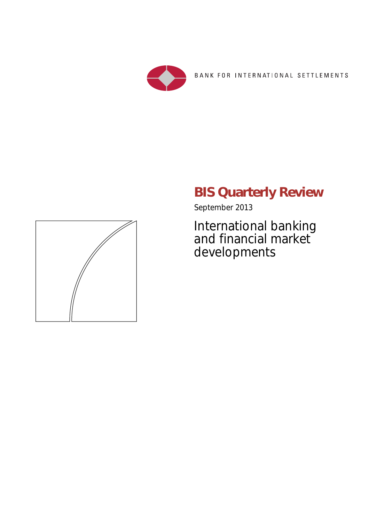

BANK FOR INTERNATIONAL SETTLEMENTS

# **BIS Quarterly Review**

September 2013

International banking and financial market developments

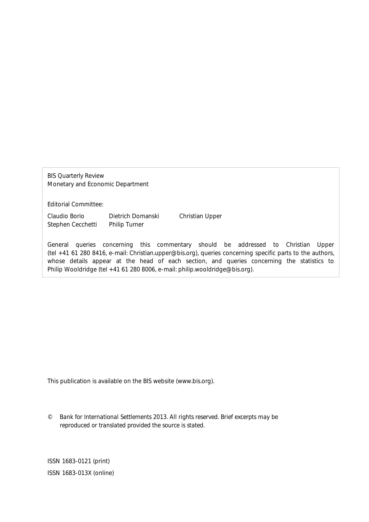BIS Quarterly Review Monetary and Economic Department

Editorial Committee:

Claudio Borio Dietrich Domanski Christian Upper Stephen Cecchetti Philip Turner

General queries concerning this commentary should be addressed to Christian Upper (tel +41 61 280 8416, e-mail: Christian.upper@bis.org), queries concerning specific parts to the authors, whose details appear at the head of each section, and queries concerning the statistics to Philip Wooldridge (tel +41 61 280 8006, e-mail: philip.wooldridge@bis.org).

This publication is available on the BIS website (www.bis.org).

*© Bank for International Settlements 2013. All rights reserved. Brief excerpts may be reproduced or translated provided the source is stated.* 

ISSN 1683-0121 (print) ISSN 1683-013X (online)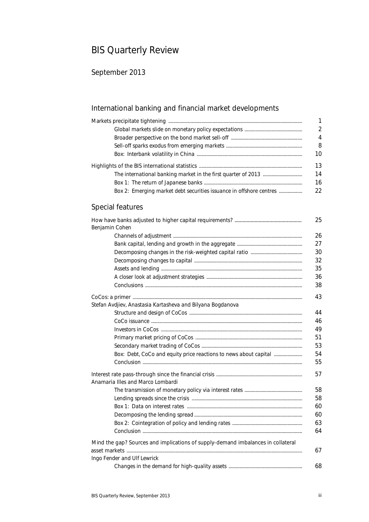## BIS Quarterly Review

### September 2013

### International banking and financial market developments

|                                                                     | $\mathcal{P}$ |
|---------------------------------------------------------------------|---------------|
|                                                                     | 4             |
|                                                                     | 8             |
|                                                                     | 10            |
|                                                                     |               |
|                                                                     | 14            |
|                                                                     | 16            |
| Box 2: Emerging market debt securities issuance in offshore centres | 22            |

#### Special features

|                                                                                  | 25 |  |  |
|----------------------------------------------------------------------------------|----|--|--|
| Benjamin Cohen                                                                   |    |  |  |
|                                                                                  | 26 |  |  |
|                                                                                  |    |  |  |
|                                                                                  |    |  |  |
|                                                                                  | 32 |  |  |
|                                                                                  | 35 |  |  |
|                                                                                  | 36 |  |  |
|                                                                                  | 38 |  |  |
|                                                                                  | 43 |  |  |
| Stefan Avdjiev, Anastasia Kartasheva and Bilyana Bogdanova                       |    |  |  |
|                                                                                  | 44 |  |  |
|                                                                                  | 46 |  |  |
|                                                                                  | 49 |  |  |
|                                                                                  | 51 |  |  |
|                                                                                  | 53 |  |  |
| Box: Debt, CoCo and equity price reactions to news about capital                 | 54 |  |  |
|                                                                                  | 55 |  |  |
|                                                                                  | 57 |  |  |
| Anamaria Illes and Marco Lombardi                                                |    |  |  |
|                                                                                  | 58 |  |  |
|                                                                                  | 58 |  |  |
|                                                                                  | 60 |  |  |
|                                                                                  | 60 |  |  |
|                                                                                  | 63 |  |  |
|                                                                                  | 64 |  |  |
| Mind the gap? Sources and implications of supply-demand imbalances in collateral |    |  |  |
|                                                                                  | 67 |  |  |
| Ingo Fender and Ulf Lewrick                                                      |    |  |  |
|                                                                                  | 68 |  |  |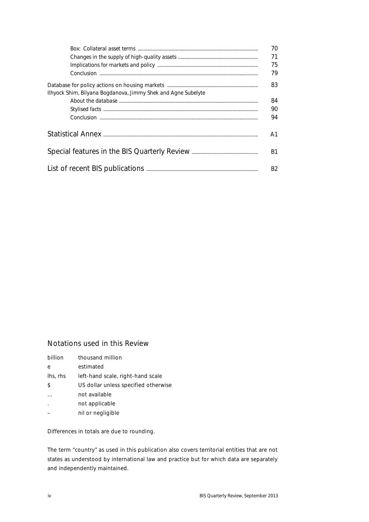|                                                               | 70<br>71<br>75<br>79 |  |
|---------------------------------------------------------------|----------------------|--|
|                                                               | 83                   |  |
| Ilhyock Shim, Bilyana Bogdanova, Jimmy Shek and Agne Subelyte | 84                   |  |
|                                                               | 90                   |  |
|                                                               | 94                   |  |
|                                                               |                      |  |
|                                                               |                      |  |
|                                                               |                      |  |

#### Notations used in this Review

| billion              | thousand million                     |
|----------------------|--------------------------------------|
| e                    | estimated                            |
| lhs, rhs             | left-hand scale, right-hand scale    |
| \$                   | US dollar unless specified otherwise |
|                      | not available                        |
| $\ddot{\phantom{a}}$ | not applicable                       |
|                      | nil or negligible                    |
|                      |                                      |

Differences in totals are due to rounding.

The term "country" as used in this publication also covers territorial entities that are not states as understood by international law and practice but for which data are separately and independently maintained.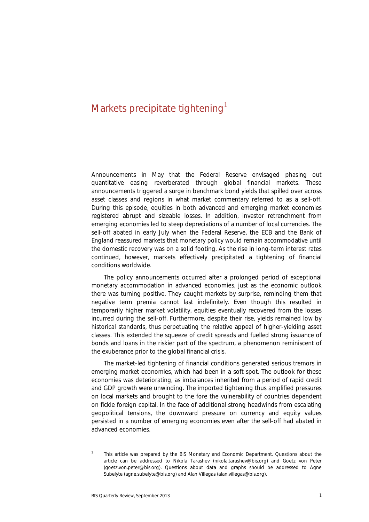### Markets precipitate tightening<sup>1</sup>

Announcements in May that the Federal Reserve envisaged phasing out quantitative easing reverberated through global financial markets. These announcements triggered a surge in benchmark bond yields that spilled over across asset classes and regions in what market commentary referred to as a sell-off. During this episode, equities in both advanced and emerging market economies registered abrupt and sizeable losses. In addition, investor retrenchment from emerging economies led to steep depreciations of a number of local currencies. The sell-off abated in early July when the Federal Reserve, the ECB and the Bank of England reassured markets that monetary policy would remain accommodative until the domestic recovery was on a solid footing. As the rise in long-term interest rates continued, however, markets effectively precipitated a tightening of financial conditions worldwide.

The policy announcements occurred after a prolonged period of exceptional monetary accommodation in advanced economies, just as the economic outlook there was turning positive. They caught markets by surprise, reminding them that negative term premia cannot last indefinitely. Even though this resulted in temporarily higher market volatility, equities eventually recovered from the losses incurred during the sell-off. Furthermore, despite their rise, yields remained low by historical standards, thus perpetuating the relative appeal of higher-yielding asset classes. This extended the squeeze of credit spreads and fuelled strong issuance of bonds and loans in the riskier part of the spectrum, a phenomenon reminiscent of the exuberance prior to the global financial crisis.

The market-led tightening of financial conditions generated serious tremors in emerging market economies, which had been in a soft spot. The outlook for these economies was deteriorating, as imbalances inherited from a period of rapid credit and GDP growth were unwinding. The imported tightening thus amplified pressures on local markets and brought to the fore the vulnerability of countries dependent on fickle foreign capital. In the face of additional strong headwinds from escalating geopolitical tensions, the downward pressure on currency and equity values persisted in a number of emerging economies even after the sell-off had abated in advanced economies.

<sup>1</sup> This article was prepared by the BIS Monetary and Economic Department. Questions about the article can be addressed to Nikola Tarashev (nikola.tarashev@bis.org) and Goetz von Peter (goetz.von.peter@bis.org). Questions about data and graphs should be addressed to Agne Subelyte (agne.subelyte@bis.org) and Alan Villegas (alan.villegas@bis.org).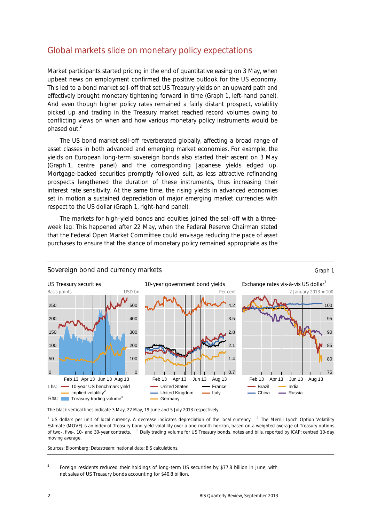### Global markets slide on monetary policy expectations

Market participants started pricing in the end of quantitative easing on 3 May, when upbeat news on employment confirmed the positive outlook for the US economy. This led to a bond market sell-off that set US Treasury yields on an upward path and effectively brought monetary tightening forward in time (Graph 1, left-hand panel). And even though higher policy rates remained a fairly distant prospect, volatility picked up and trading in the Treasury market reached record volumes owing to conflicting views on when and how various monetary policy instruments would be phased out.<sup>2</sup>

The US bond market sell-off reverberated globally, affecting a broad range of asset classes in both advanced and emerging market economies. For example, the yields on European long-term sovereign bonds also started their ascent on 3 May (Graph 1, centre panel) and the corresponding Japanese yields edged up. Mortgage-backed securities promptly followed suit, as less attractive refinancing prospects lengthened the duration of these instruments, thus increasing their interest rate sensitivity. At the same time, the rising yields in advanced economies set in motion a sustained depreciation of major emerging market currencies with respect to the US dollar (Graph 1, right-hand panel).

The markets for high-yield bonds and equities joined the sell-off with a threeweek lag. This happened after 22 May, when the Federal Reserve Chairman stated that the Federal Open Market Committee could envisage reducing the pace of asset purchases to ensure that the stance of monetary policy remained appropriate as the



#### Sovereign bond and currency markets Graph 1 and  $G$  and  $G$  and  $G$  and  $G$  and  $G$  and  $G$  and  $G$  and  $G$  and  $G$  and  $G$  and  $G$  and  $G$  and  $G$  and  $G$  and  $G$  and  $G$  and  $G$  and  $G$  and  $G$  and  $G$  and  $G$  and  $G$  an

The black vertical lines indicate 3 May, 22 May, 19 June and 5 July 2013 respectively.

<sup>1</sup> US dollars per unit of local currency. A decrease indicates depreciation of the local currency. <sup>2</sup> The Merrill Lynch Option Volatility Estimate (MOVE) is an index of Treasury bond yield volatility over a one-month horizon, based on a weighted average of Treasury options of two-, five-, 10- and 30-year contracts. <sup>3</sup> Daily trading volume for US Treasury bonds, notes and bills, reported by ICAP; centred 10-day moving average.

Sources: Bloomberg; Datastream; national data; BIS calculations.

 $\overline{2}$  Foreign residents reduced their holdings of long-term US securities by \$77.8 billion in June, with net sales of US Treasury bonds accounting for \$40.8 billion.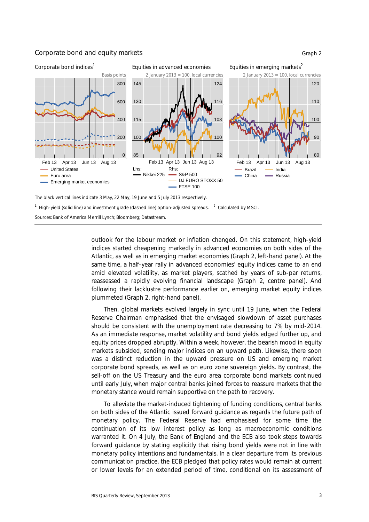#### Corporate bond and equity markets Graph 2



The black vertical lines indicate 3 May, 22 May, 19 June and 5 July 2013 respectively.

 $1$  High-yield (solid line) and investment grade (dashed line) option-adjusted spreads.  $2$  Calculated by MSCI.

Sources: Bank of America Merrill Lynch; Bloomberg; Datastream.

outlook for the labour market or inflation changed. On this statement, high-yield indices started cheapening markedly in advanced economies on both sides of the Atlantic, as well as in emerging market economies (Graph 2, left-hand panel). At the same time, a half-year rally in advanced economies' equity indices came to an end amid elevated volatility, as market players, scathed by years of sub-par returns, reassessed a rapidly evolving financial landscape (Graph 2, centre panel). And following their lacklustre performance earlier on, emerging market equity indices plummeted (Graph 2, right-hand panel).

Then, global markets evolved largely in sync until 19 June, when the Federal Reserve Chairman emphasised that the envisaged slowdown of asset purchases should be consistent with the unemployment rate decreasing to 7% by mid-2014. As an immediate response, market volatility and bond yields edged further up, and equity prices dropped abruptly. Within a week, however, the bearish mood in equity markets subsided, sending major indices on an upward path. Likewise, there soon was a distinct reduction in the upward pressure on US and emerging market corporate bond spreads, as well as on euro zone sovereign yields. By contrast, the sell-off on the US Treasury and the euro area corporate bond markets continued until early July, when major central banks joined forces to reassure markets that the monetary stance would remain supportive on the path to recovery.

To alleviate the market-induced tightening of funding conditions, central banks on both sides of the Atlantic issued forward guidance as regards the future path of monetary policy. The Federal Reserve had emphasised for some time the continuation of its low interest policy as long as macroeconomic conditions warranted it. On 4 July, the Bank of England and the ECB also took steps towards forward guidance by stating explicitly that rising bond yields were not in line with monetary policy intentions and fundamentals. In a clear departure from its previous communication practice, the ECB pledged that policy rates would remain at current or lower levels for an extended period of time, conditional on its assessment of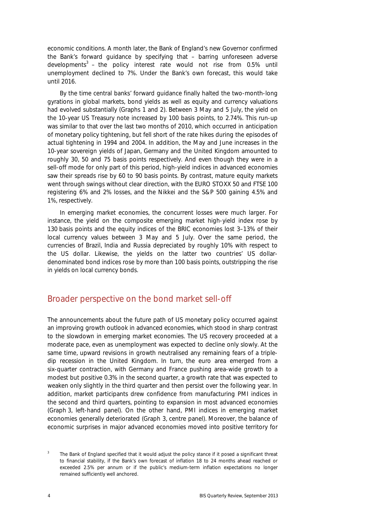economic conditions. A month later, the Bank of England's new Governor confirmed the Bank's forward guidance by specifying that – barring unforeseen adverse developments<sup>3</sup> – the policy interest rate would not rise from 0.5% until unemployment declined to 7%. Under the Bank's own forecast, this would take until 2016.

By the time central banks' forward guidance finally halted the two-month-long gyrations in global markets, bond yields as well as equity and currency valuations had evolved substantially (Graphs 1 and 2). Between 3 May and 5 July, the yield on the 10-year US Treasury note increased by 100 basis points, to 2.74%. This run-up was similar to that over the last two months of 2010, which occurred in anticipation of monetary policy tightening, but fell short of the rate hikes during the episodes of actual tightening in 1994 and 2004. In addition, the May and June increases in the 10-year sovereign yields of Japan, Germany and the United Kingdom amounted to roughly 30, 50 and 75 basis points respectively. And even though they were in a sell-off mode for only part of this period, high-yield indices in advanced economies saw their spreads rise by 60 to 90 basis points. By contrast, mature equity markets went through swings without clear direction, with the EURO STOXX 50 and FTSE 100 registering 6% and 2% losses, and the Nikkei and the S&P 500 gaining 4.5% and 1%, respectively.

In emerging market economies, the concurrent losses were much larger. For instance, the yield on the composite emerging market high-yield index rose by 130 basis points and the equity indices of the BRIC economies lost 3–13% of their local currency values between 3 May and 5 July. Over the same period, the currencies of Brazil, India and Russia depreciated by roughly 10% with respect to the US dollar. Likewise, the yields on the latter two countries' US dollardenominated bond indices rose by more than 100 basis points, outstripping the rise in yields on local currency bonds.

#### Broader perspective on the bond market sell-off

The announcements about the future path of US monetary policy occurred against an improving growth outlook in advanced economies, which stood in sharp contrast to the slowdown in emerging market economies. The US recovery proceeded at a moderate pace, even as unemployment was expected to decline only slowly. At the same time, upward revisions in growth neutralised any remaining fears of a tripledip recession in the United Kingdom. In turn, the euro area emerged from a six-quarter contraction, with Germany and France pushing area-wide growth to a modest but positive 0.3% in the second quarter, a growth rate that was expected to weaken only slightly in the third quarter and then persist over the following year. In addition, market participants drew confidence from manufacturing PMI indices in the second and third quarters, pointing to expansion in most advanced economies (Graph 3, left-hand panel). On the other hand, PMI indices in emerging market economies generally deteriorated (Graph 3, centre panel). Moreover, the balance of economic surprises in major advanced economies moved into positive territory for

<sup>3</sup> The Bank of England specified that it would adjust the policy stance if it posed a significant threat to financial stability, if the Bank's own forecast of inflation 18 to 24 months ahead reached or exceeded 2.5% per annum or if the public's medium-term inflation expectations no longer remained sufficiently well anchored.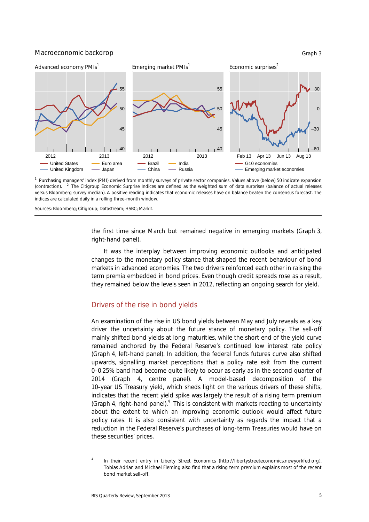

<sup>1</sup> Purchasing managers' index (PMI) derived from monthly surveys of private sector companies. Values above (below) 50 indicate expansion (contraction). <sup>2</sup> The Citigroup Economic Surprise Indices are defined as the weighted sum of data surprises (balance of actual releases versus Bloomberg survey median). A positive reading indicates that economic releases have on balance beaten the consensus forecast. The indices are calculated daily in a rolling three-month window.

Sources: Bloomberg; Citigroup; Datastream; HSBC; Markit.

the first time since March but remained negative in emerging markets (Graph 3, right-hand panel).

It was the interplay between improving economic outlooks and anticipated changes to the monetary policy stance that shaped the recent behaviour of bond markets in advanced economies. The two drivers reinforced each other in raising the term premia embedded in bond prices. Even though credit spreads rose as a result, they remained below the levels seen in 2012, reflecting an ongoing search for yield.

#### Drivers of the rise in bond yields

An examination of the rise in US bond yields between May and July reveals as a key driver the uncertainty about the future stance of monetary policy. The sell-off mainly shifted bond yields at long maturities, while the short end of the yield curve remained anchored by the Federal Reserve's continued low interest rate policy (Graph 4, left-hand panel). In addition, the federal funds futures curve also shifted upwards, signalling market perceptions that a policy rate exit from the current 0–0.25% band had become quite likely to occur as early as in the second quarter of 2014 (Graph 4, centre panel). A model-based decomposition of the 10-year US Treasury yield, which sheds light on the various drivers of these shifts, indicates that the recent yield spike was largely the result of a rising term premium (Graph 4, right-hand panel). $4$  This is consistent with markets reacting to uncertainty about the extent to which an improving economic outlook would affect future policy rates. It is also consistent with uncertainty as regards the impact that a reduction in the Federal Reserve's purchases of long-term Treasuries would have on these securities' prices.

<sup>4</sup> In their recent entry in *Liberty Street Economics* (http://libertystreeteconomics.newyorkfed.org), Tobias Adrian and Michael Fleming also find that a rising term premium explains most of the recent bond market sell-off.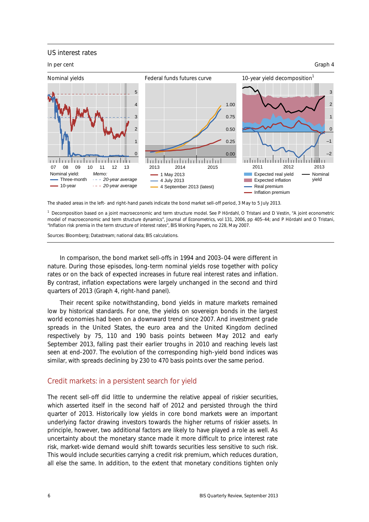#### US interest rates



The shaded areas in the left- and right-hand panels indicate the bond market sell-off period, 3 May to 5 July 2013.

<sup>1</sup> Decomposition based on a joint macroeconomic and term structure model. See P Hördahl, O Tristani and D Vestin, "A joint econometric model of macroeconomic and term structure dynamics", *Journal of Econometrics*, vol 131, 2006, pp 405–44; and P Hördahl and O Tristani, "Inflation risk premia in the term structure of interest rates", *BIS Working Papers*, no 228, May 2007.

Sources: Bloomberg; Datastream; national data; BIS calculations.

In comparison, the bond market sell-offs in 1994 and 2003–04 were different in nature. During those episodes, long-term nominal yields rose together with policy rates or on the back of expected increases in future real interest rates and inflation. By contrast, inflation expectations were largely unchanged in the second and third quarters of 2013 (Graph 4, right-hand panel).

Their recent spike notwithstanding, bond yields in mature markets remained low by historical standards. For one, the yields on sovereign bonds in the largest world economies had been on a downward trend since 2007. And investment grade spreads in the United States, the euro area and the United Kingdom declined respectively by 75, 110 and 190 basis points between May 2012 and early September 2013, falling past their earlier troughs in 2010 and reaching levels last seen at end-2007. The evolution of the corresponding high-yield bond indices was similar, with spreads declining by 230 to 470 basis points over the same period.

#### Credit markets: in a persistent search for yield

The recent sell-off did little to undermine the relative appeal of riskier securities, which asserted itself in the second half of 2012 and persisted through the third quarter of 2013. Historically low yields in core bond markets were an important underlying factor drawing investors towards the higher returns of riskier assets. In principle, however, two additional factors are likely to have played a role as well. As uncertainty about the monetary stance made it more difficult to price interest rate risk, market-wide demand would shift towards securities less sensitive to such risk. This would include securities carrying a credit risk premium, which reduces duration, all else the same. In addition, to the extent that monetary conditions tighten only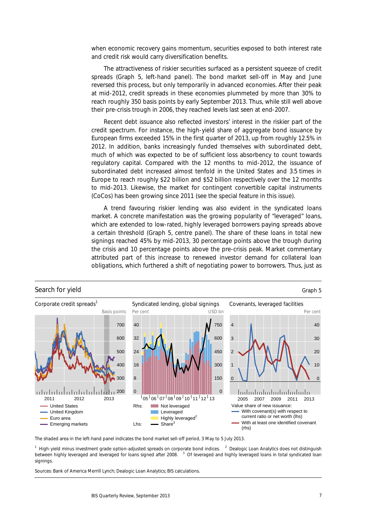when economic recovery gains momentum, securities exposed to both interest rate and credit risk would carry diversification benefits.

The attractiveness of riskier securities surfaced as a persistent squeeze of credit spreads (Graph 5, left-hand panel). The bond market sell-off in May and June reversed this process, but only temporarily in advanced economies. After their peak at mid-2012, credit spreads in these economies plummeted by more than 30% to reach roughly 350 basis points by early September 2013. Thus, while still well above their pre-crisis trough in 2006, they reached levels last seen at end-2007.

Recent debt issuance also reflected investors' interest in the riskier part of the credit spectrum. For instance, the high-yield share of aggregate bond issuance by European firms exceeded 15% in the first quarter of 2013, up from roughly 12.5% in 2012. In addition, banks increasingly funded themselves with subordinated debt, much of which was expected to be of sufficient loss absorbency to count towards regulatory capital. Compared with the 12 months to mid-2012, the issuance of subordinated debt increased almost tenfold in the United States and 3.5 times in Europe to reach roughly \$22 billion and \$52 billion respectively over the 12 months to mid-2013. Likewise, the market for contingent convertible capital instruments (CoCos) has been growing since 2011 (see the special feature in this issue).

A trend favouring riskier lending was also evident in the syndicated loans market. A concrete manifestation was the growing popularity of "leveraged" loans, which are extended to low-rated, highly leveraged borrowers paying spreads above a certain threshold (Graph 5, centre panel). The share of these loans in total new signings reached 45% by mid-2013, 30 percentage points above the trough during the crisis and 10 percentage points above the pre-crisis peak. Market commentary attributed part of this increase to renewed investor demand for collateral loan obligations, which furthered a shift of negotiating power to borrowers. Thus, just as



The shaded area in the left-hand panel indicates the bond market sell-off period, 3 May to 5 July 2013.

<sup>1</sup> High-yield minus investment grade option-adjusted spreads on corporate bond indices. <sup>2</sup> Dealogic Loan Analytics does not distinguish between highly leveraged and leveraged for loans signed after 2008. <sup>3</sup> Of leveraged and highly leveraged loans in total syndicated loan signings

Sources: Bank of America Merrill Lynch; Dealogic Loan Analytics; BIS calculations.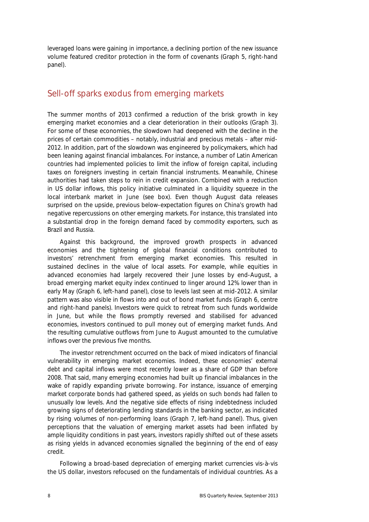leveraged loans were gaining in importance, a declining portion of the new issuance volume featured creditor protection in the form of covenants (Graph 5, right-hand panel).

### Sell-off sparks exodus from emerging markets

The summer months of 2013 confirmed a reduction of the brisk growth in key emerging market economies and a clear deterioration in their outlooks (Graph 3). For some of these economies, the slowdown had deepened with the decline in the prices of certain commodities – notably, industrial and precious metals – after mid-2012. In addition, part of the slowdown was engineered by policymakers, which had been leaning against financial imbalances. For instance, a number of Latin American countries had implemented policies to limit the inflow of foreign capital, including taxes on foreigners investing in certain financial instruments. Meanwhile, Chinese authorities had taken steps to rein in credit expansion. Combined with a reduction in US dollar inflows, this policy initiative culminated in a liquidity squeeze in the local interbank market in June (see box). Even though August data releases surprised on the upside, previous below-expectation figures on China's growth had negative repercussions on other emerging markets. For instance, this translated into a substantial drop in the foreign demand faced by commodity exporters, such as Brazil and Russia.

Against this background, the improved growth prospects in advanced economies and the tightening of global financial conditions contributed to investors' retrenchment from emerging market economies. This resulted in sustained declines in the value of local assets. For example, while equities in advanced economies had largely recovered their June losses by end-August, a broad emerging market equity index continued to linger around 12% lower than in early May (Graph 6, left-hand panel), close to levels last seen at mid-2012. A similar pattern was also visible in flows into and out of bond market funds (Graph 6, centre and right-hand panels). Investors were quick to retreat from such funds worldwide in June, but while the flows promptly reversed and stabilised for advanced economies, investors continued to pull money out of emerging market funds. And the resulting cumulative outflows from June to August amounted to the cumulative inflows over the previous five months.

The investor retrenchment occurred on the back of mixed indicators of financial vulnerability in emerging market economies. Indeed, these economies' external debt and capital inflows were most recently lower as a share of GDP than before 2008. That said, many emerging economies had built up financial imbalances in the wake of rapidly expanding private borrowing. For instance, issuance of emerging market corporate bonds had gathered speed, as yields on such bonds had fallen to unusually low levels. And the negative side effects of rising indebtedness included growing signs of deteriorating lending standards in the banking sector, as indicated by rising volumes of non-performing loans (Graph 7, left-hand panel). Thus, given perceptions that the valuation of emerging market assets had been inflated by ample liquidity conditions in past years, investors rapidly shifted out of these assets as rising yields in advanced economies signalled the beginning of the end of easy credit.

Following a broad-based depreciation of emerging market currencies vis-à-vis the US dollar, investors refocused on the fundamentals of individual countries. As a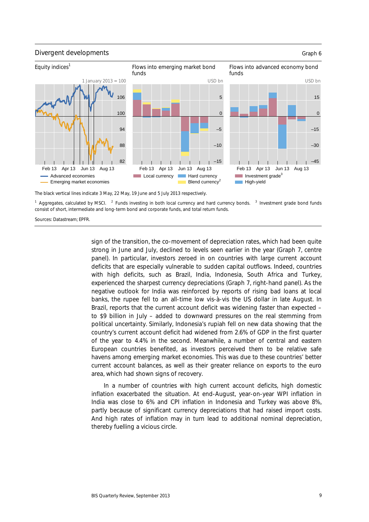

The black vertical lines indicate 3 May, 22 May, 19 June and 5 July 2013 respectively.

<sup>1</sup> Aggregates, calculated by MSCI. <sup>2</sup> Funds investing in both local currency and hard currency bonds. <sup>3</sup> Investment grade bond funds consist of short, intermediate and long-term bond and corporate funds, and total return funds.

Sources: Datastream; EPFR.

sign of the transition, the co-movement of depreciation rates, which had been quite strong in June and July, declined to levels seen earlier in the year (Graph 7, centre panel). In particular, investors zeroed in on countries with large current account deficits that are especially vulnerable to sudden capital outflows. Indeed, countries with high deficits, such as Brazil, India, Indonesia, South Africa and Turkey, experienced the sharpest currency depreciations (Graph 7, right-hand panel). As the negative outlook for India was reinforced by reports of rising bad loans at local banks, the rupee fell to an all-time low vis-à-vis the US dollar in late August. In Brazil, reports that the current account deficit was widening faster than expected – to \$9 billion in July – added to downward pressures on the real stemming from political uncertainty. Similarly, Indonesia's rupiah fell on new data showing that the country's current account deficit had widened from 2.6% of GDP in the first quarter of the year to 4.4% in the second. Meanwhile, a number of central and eastern European countries benefited, as investors perceived them to be relative safe havens among emerging market economies. This was due to these countries' better current account balances, as well as their greater reliance on exports to the euro area, which had shown signs of recovery.

In a number of countries with high current account deficits, high domestic inflation exacerbated the situation. At end-August, year-on-year WPI inflation in India was close to 6% and CPI inflation in Indonesia and Turkey was above 8%, partly because of significant currency depreciations that had raised import costs. And high rates of inflation may in turn lead to additional nominal depreciation, thereby fuelling a vicious circle.

#### BIS Quarterly Review, September 2013 9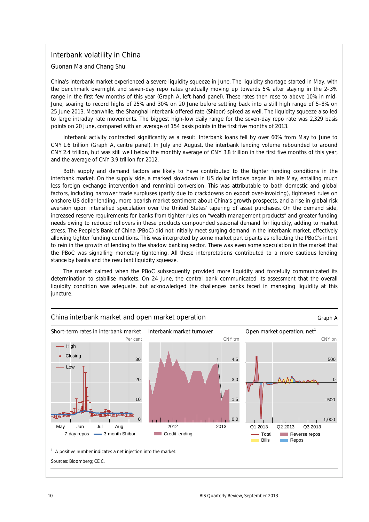#### Interbank volatility in China

*Guonan Ma and Chang Shu* 

China's interbank market experienced a severe liquidity squeeze in June. The liquidity shortage started in May, with the benchmark overnight and seven-day repo rates gradually moving up towards 5% after staying in the 2–3% range in the first few months of this year (Graph A, left-hand panel). These rates then rose to above 10% in mid-June, soaring to record highs of 25% and 30% on 20 June before settling back into a still high range of 5–8% on 25 June 2013. Meanwhile, the Shanghai interbank offered rate (Shibor) spiked as well. The liquidity squeeze also led to large intraday rate movements. The biggest high-low daily range for the seven-day repo rate was 2,329 basis points on 20 June, compared with an average of 154 basis points in the first five months of 2013.

Interbank activity contracted significantly as a result. Interbank loans fell by over 60% from May to June to CNY 1.6 trillion (Graph A, centre panel). In July and August, the interbank lending volume rebounded to around CNY 2.4 trillion, but was still well below the monthly average of CNY 3.8 trillion in the first five months of this year, and the average of CNY 3.9 trillion for 2012.

Both supply and demand factors are likely to have contributed to the tighter funding conditions in the interbank market. On the supply side, a marked slowdown in US dollar inflows began in late May, entailing much less foreign exchange intervention and renminbi conversion. This was attributable to both domestic and global factors, including narrower trade surpluses (partly due to crackdowns on export over-invoicing), tightened rules on onshore US dollar lending, more bearish market sentiment about China's growth prospects, and a rise in global risk aversion upon intensified speculation over the United States' tapering of asset purchases. On the demand side, increased reserve requirements for banks from tighter rules on "wealth management products" and greater funding needs owing to reduced rollovers in these products compounded seasonal demand for liquidity, adding to market stress. The People's Bank of China (PBoC) did not initially meet surging demand in the interbank market, effectively allowing tighter funding conditions. This was interpreted by some market participants as reflecting the PBoC's intent to rein in the growth of lending to the shadow banking sector. There was even some speculation in the market that the PBoC was signalling monetary tightening. All these interpretations contributed to a more cautious lending stance by banks and the resultant liquidity squeeze.

The market calmed when the PBoC subsequently provided more liquidity and forcefully communicated its determination to stabilise markets. On 24 June, the central bank communicated its assessment that the overall liquidity condition was adequate, but acknowledged the challenges banks faced in managing liquidity at this juncture.

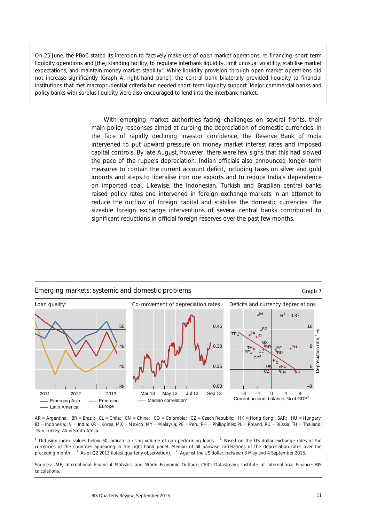On 25 June, the PBoC stated its intention to "actively make use of open market operations, re-financing, short-term liquidity operations and [the] standing facility, to regulate interbank liquidity, limit unusual volatility, stabilise market expectations, and maintain money market stability". While liquidity provision through open market operations did not increase significantly (Graph A, right-hand panel), the central bank bilaterally provided liquidity to financial institutions that met macroprudential criteria but needed short-term liquidity support. Major commercial banks and policy banks with surplus liquidity were also encouraged to lend into the interbank market.

> With emerging market authorities facing challenges on several fronts, their main policy responses aimed at curbing the depreciation of domestic currencies. In the face of rapidly declining investor confidence, the Reserve Bank of India intervened to put upward pressure on money market interest rates and imposed capital controls. By late August, however, there were few signs that this had slowed the pace of the rupee's depreciation. Indian officials also announced longer-term measures to contain the current account deficit, including taxes on silver and gold imports and steps to liberalise iron ore exports and to reduce India's dependence on imported coal. Likewise, the Indonesian, Turkish and Brazilian central banks raised policy rates and intervened in foreign exchange markets in an attempt to reduce the outflow of foreign capital and stabilise the domestic currencies. The sizeable foreign exchange interventions of several central banks contributed to significant reductions in official foreign reserves over the past few months.



AR = Argentina; BR = Brazil; CL = Chile; CN = China; CO = Colombia; CZ = Czech Republic; HK = Hong Kong SAR; HU = Hungary; ID = Indonesia; IN = India; KR = Korea; MX = Mexico; MY = Malaysia; PE = Peru; PH = Philippines; PL = Poland; RU = Russia; TH = Thailand;  $TR = Turkey$ ;  $ZA = South Africa$ .

<sup>1</sup> Diffusion index: values below 50 indicate a rising volume of non-performing loans. <sup>2</sup> Based on the US dollar exchange rates of the currencies of the countries appearing in the right-hand panel. Median of all pairwise correlations of the depreciation rates over the preceding month. <sup>3</sup> As of Q2 2013 (latest quarterly observation). <sup>4</sup> Against the US dollar, between 3 May and 4 September 2013.

Sources: IMF, *International Financial Statistics* and *World Economic Outlook*; CEIC; Datastream; Institute of International Finance; BIS calculations.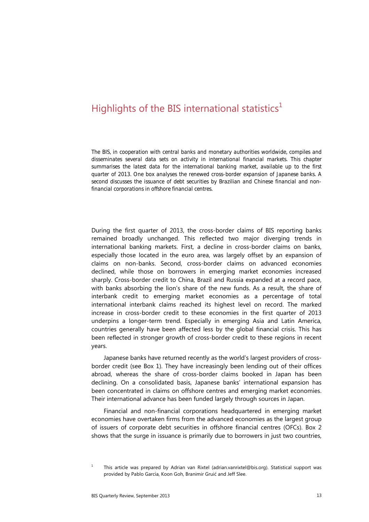### Highlights of the BIS international statistics<sup>1</sup>

*The BIS, in cooperation with central banks and monetary authorities worldwide, compiles and disseminates several data sets on activity in international financial markets. This chapter summarises the latest data for the international banking market, available up to the first quarter of 2013. One box analyses the renewed cross-border expansion of Japanese banks. A second discusses the issuance of debt securities by Brazilian and Chinese financial and nonfinancial corporations in offshore financial centres.* 

During the first quarter of 2013, the cross-border claims of BIS reporting banks remained broadly unchanged. This reflected two major diverging trends in international banking markets. First, a decline in cross-border claims on banks, especially those located in the euro area, was largely offset by an expansion of claims on non-banks. Second, cross-border claims on advanced economies declined, while those on borrowers in emerging market economies increased sharply. Cross-border credit to China, Brazil and Russia expanded at a record pace, with banks absorbing the lion's share of the new funds. As a result, the share of interbank credit to emerging market economies as a percentage of total international interbank claims reached its highest level on record. The marked increase in cross-border credit to these economies in the first quarter of 2013 underpins a longer-term trend. Especially in emerging Asia and Latin America, countries generally have been affected less by the global financial crisis. This has been reflected in stronger growth of cross-border credit to these regions in recent years.

Japanese banks have returned recently as the world's largest providers of crossborder credit (see Box 1). They have increasingly been lending out of their offices abroad, whereas the share of cross-border claims booked in Japan has been declining. On a consolidated basis, Japanese banks' international expansion has been concentrated in claims on offshore centres and emerging market economies. Their international advance has been funded largely through sources in Japan.

Financial and non-financial corporations headquartered in emerging market economies have overtaken firms from the advanced economies as the largest group of issuers of corporate debt securities in offshore financial centres (OFCs). Box 2 shows that the surge in issuance is primarily due to borrowers in just two countries,

<sup>1</sup> This article was prepared by Adrian van Rixtel (adrian.vanrixtel@bis.org). Statistical support was provided by Pablo García, Koon Goh, Branimir Gruić and Jeff Slee.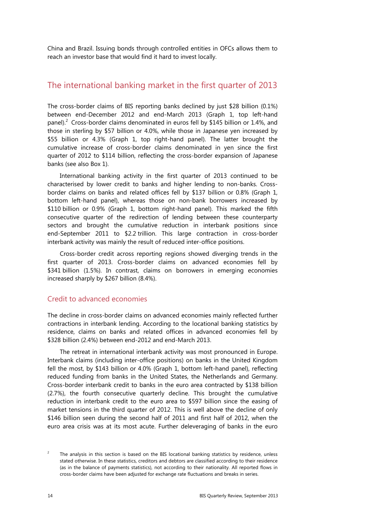China and Brazil. Issuing bonds through controlled entities in OFCs allows them to reach an investor base that would find it hard to invest locally.

#### The international banking market in the first quarter of 2013

The cross-border claims of BIS reporting banks declined by just \$28 billion (0.1%) between end-December 2012 and end-March 2013 (Graph 1, top left-hand panel).<sup>2</sup> Cross-border claims denominated in euros fell by \$145 billion or 1.4%, and those in sterling by \$57 billion or 4.0%, while those in Japanese yen increased by \$55 billion or 4.3% (Graph 1, top right-hand panel). The latter brought the cumulative increase of cross-border claims denominated in yen since the first quarter of 2012 to \$114 billion, reflecting the cross-border expansion of Japanese banks (see also Box 1).

International banking activity in the first quarter of 2013 continued to be characterised by lower credit to banks and higher lending to non-banks. Crossborder claims on banks and related offices fell by \$137 billion or 0.8% (Graph 1, bottom left-hand panel), whereas those on non-bank borrowers increased by \$110 billion or 0.9% (Graph 1, bottom right-hand panel). This marked the fifth consecutive quarter of the redirection of lending between these counterparty sectors and brought the cumulative reduction in interbank positions since end-September 2011 to \$2.2 trillion. This large contraction in cross-border interbank activity was mainly the result of reduced inter-office positions.

Cross-border credit across reporting regions showed diverging trends in the first quarter of 2013. Cross-border claims on advanced economies fell by \$341 billion (1.5%). In contrast, claims on borrowers in emerging economies increased sharply by \$267 billion (8.4%).

#### Credit to advanced economies

The decline in cross-border claims on advanced economies mainly reflected further contractions in interbank lending. According to the locational banking statistics by residence, claims on banks and related offices in advanced economies fell by \$328 billion (2.4%) between end-2012 and end-March 2013.

The retreat in international interbank activity was most pronounced in Europe. Interbank claims (including inter-office positions) on banks in the United Kingdom fell the most, by \$143 billion or 4.0% (Graph 1, bottom left-hand panel), reflecting reduced funding from banks in the United States, the Netherlands and Germany. Cross-border interbank credit to banks in the euro area contracted by \$138 billion (2.7%), the fourth consecutive quarterly decline. This brought the cumulative reduction in interbank credit to the euro area to \$597 billion since the easing of market tensions in the third quarter of 2012. This is well above the decline of only \$146 billion seen during the second half of 2011 and first half of 2012, when the euro area crisis was at its most acute. Further deleveraging of banks in the euro

<sup>2</sup> The analysis in this section is based on the BIS locational banking statistics by residence, unless stated otherwise. In these statistics, creditors and debtors are classified according to their residence (as in the balance of payments statistics), not according to their nationality. All reported flows in cross-border claims have been adjusted for exchange rate fluctuations and breaks in series.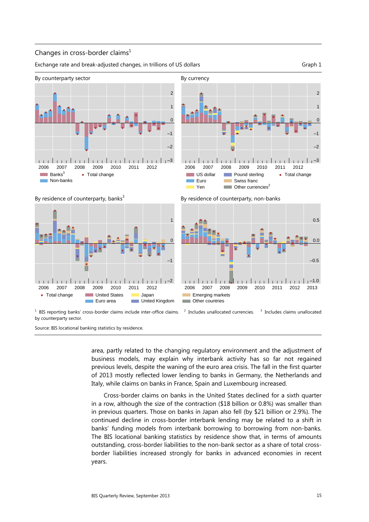#### Changes in cross-border claims $<sup>1</sup>$ </sup>

Exchange rate and break-adjusted changes, in trillions of US dollars Graph 1 Graph 1

–2

–1

0

1

 $\mathcal{L}$ 

–3

• Total change







 $1$  BIS reporting banks' cross-border claims include inter-office claims.  $2$ by counterparty sector.

Euro Yen Swiss franc  $\Box$  Other currencies<sup>2</sup>

2006 2007 2008 2009 2010 2011 2012

Pound sterling

. . . . . . . . 1



US dollar

 $1 - 1 = 1$ 

 $1 - 1 - 1$ 



Source: BIS locational banking statistics by residence.

area, partly related to the changing regulatory environment and the adjustment of business models, may explain why interbank activity has so far not regained previous levels, despite the waning of the euro area crisis. The fall in the first quarter of 2013 mostly reflected lower lending to banks in Germany, the Netherlands and Italy, while claims on banks in France, Spain and Luxembourg increased.

Cross-border claims on banks in the United States declined for a sixth quarter in a row, although the size of the contraction (\$18 billion or 0.8%) was smaller than in previous quarters. Those on banks in Japan also fell (by \$21 billion or 2.9%). The continued decline in cross-border interbank lending may be related to a shift in banks' funding models from interbank borrowing to borrowing from non-banks. The BIS locational banking statistics by residence show that, in terms of amounts outstanding, cross-border liabilities to the non-bank sector as a share of total crossborder liabilities increased strongly for banks in advanced economies in recent years.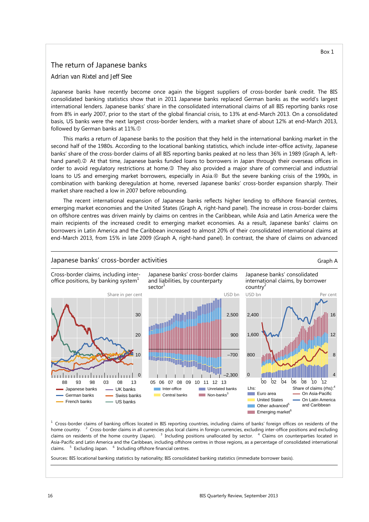#### The return of Japanese banks

*Adrian van Rixtel and Jeff Slee* 

Japanese banks have recently become once again the biggest suppliers of cross-border bank credit. The BIS consolidated banking statistics show that in 2011 Japanese banks replaced German banks as the world's largest international lenders. Japanese banks' share in the consolidated international claims of all BIS reporting banks rose from 8% in early 2007, prior to the start of the global financial crisis, to 13% at end-March 2013. On a consolidated basis, US banks were the next largest cross-border lenders, with a market share of about 12% at end-March 2013, followed by German banks at 11%.

This marks a return of Japanese banks to the position that they held in the international banking market in the second half of the 1980s. According to the locational banking statistics, which include inter-office activity, Japanese banks' share of the cross-border claims of all BIS reporting banks peaked at no less than 36% in 1989 (Graph A, lefthand panel). At that time, Japanese banks funded loans to borrowers in Japan through their overseas offices in order to avoid regulatory restrictions at home.<sup>3</sup> They also provided a major share of commercial and industrial loans to US and emerging market borrowers, especially in Asia. **But the severe banking crisis of the 1990s**, in combination with banking deregulation at home, reversed Japanese banks' cross-border expansion sharply. Their market share reached a low in 2007 before rebounding.

The recent international expansion of Japanese banks reflects higher lending to offshore financial centres, emerging market economies and the United States (Graph A, right-hand panel). The increase in cross-border claims on offshore centres was driven mainly by claims on centres in the Caribbean, while Asia and Latin America were the main recipients of the increased credit to emerging market economies. As a result, Japanese banks' claims on borrowers in Latin America and the Caribbean increased to almost 20% of their consolidated international claims at end-March 2013, from 15% in late 2009 (Graph A, right-hand panel). In contrast, the share of claims on advanced

#### Japanese banks' cross-border activities Graph A



<sup>1</sup> Cross-border claims of banking offices located in BIS reporting countries, including claims of banks' foreign offices on residents of the home country. <sup>2</sup> Cross-border claims in all currencies plus local claims in foreign currencies, excluding inter-office positions and excluding claims on residents of the home country (Japan). <sup>3</sup> Including positions unallocated by sector. <sup>4</sup> Claims on counterparties located in Asia-Pacific and Latin America and the Caribbean, including offshore centres in those regions, as a percentage of consolidated international claims. <sup>5</sup> Excluding Japan. <sup>6</sup> Including offshore financial centres.

Sources: BIS locational banking statistics by nationality; BIS consolidated banking statistics (immediate borrower basis).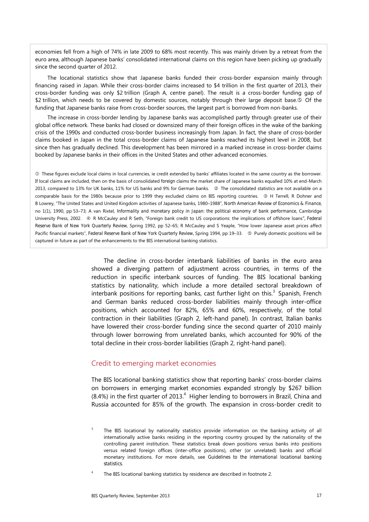economies fell from a high of 74% in late 2009 to 68% most recently. This was mainly driven by a retreat from the euro area, although Japanese banks' consolidated international claims on this region have been picking up gradually since the second quarter of 2012.

The locational statistics show that Japanese banks funded their cross-border expansion mainly through financing raised in Japan. While their cross-border claims increased to \$4 trillion in the first quarter of 2013, their cross-border funding was only \$2 trillion (Graph A, centre panel). The result is a cross-border funding gap of \$2 trillion, which needs to be covered by domestic sources, notably through their large deposit base.<sup>®</sup> Of the funding that Japanese banks raise from cross-border sources, the largest part is borrowed from non-banks.

The increase in cross-border lending by Japanese banks was accomplished partly through greater use of their global office network. These banks had closed or downsized many of their foreign offices in the wake of the banking crisis of the 1990s and conducted cross-border business increasingly from Japan. In fact, the share of cross-border claims booked in Japan in the total cross-border claims of Japanese banks reached its highest level in 2008, but since then has gradually declined. This development has been mirrored in a marked increase in cross-border claims booked by Japanese banks in their offices in the United States and other advanced economies.

 These figures exclude local claims in local currencies, ie credit extended by banks' affiliates located in the same country as the borrower. If local claims are included, then on the basis of consolidated *foreign* claims the market share of Japanese banks equalled 10% at end-March 2013, compared to 13% for UK banks, 11% for US banks and 9% for German banks. © The consolidated statistics are not available on a comparable basis for the 1980s because prior to 1999 they excluded claims on BIS reporting countries. <sup>3</sup> H Terrell, R Dohner and B Lowrey, "The United States and United Kingdom activities of Japanese banks, 1980–1988", *North American Review of Economics & Finance*, no 1(1), 1990, pp 53–73; A van Rixtel, *Informality and monetary policy in Japan: the political economy of bank performance*, Cambridge University Press, 2002. **As Keta Exercise** and R Seth, "Foreign bank credit to US corporations: the implications of offshore loans", Federal *Reserve Bank of New York Quarterly Review*, Spring 1992, pp 52–65; R McCauley and S Yeaple, "How lower Japanese asset prices affect Pacific financial markets", Federal Reserve Bank of New York Quarterly Review, Spring 1994, pp 19-33. © Purely domestic positions will be captured in future as part of the enhancements to the BIS international banking statistics.

> The decline in cross-border interbank liabilities of banks in the euro area showed a diverging pattern of adjustment across countries, in terms of the reduction in specific interbank sources of funding. The BIS locational banking statistics by nationality, which include a more detailed sectoral breakdown of interbank positions for reporting banks, cast further light on this.<sup>3</sup> Spanish, French and German banks reduced cross-border liabilities mainly through inter-office positions, which accounted for 82%, 65% and 60%, respectively, of the total contraction in their liabilities (Graph 2, left-hand panel). In contrast, Italian banks have lowered their cross-border funding since the second quarter of 2010 mainly through lower borrowing from unrelated banks, which accounted for 90% of the total decline in their cross-border liabilities (Graph 2, right-hand panel).

#### Credit to emerging market economies

The BIS locational banking statistics show that reporting banks' cross-border claims on borrowers in emerging market economies expanded strongly by \$267 billion (8.4%) in the first quarter of 2013.<sup>4</sup> Higher lending to borrowers in Brazil, China and Russia accounted for 85% of the growth. The expansion in cross-border credit to

<sup>3</sup> The BIS locational by nationality statistics provide information on the banking activity of all internationally active banks residing in the reporting country grouped by the nationality of the controlling parent institution. These statistics break down positions versus banks into positions versus related foreign offices (inter-office positions), other (or unrelated) banks and official monetary institutions. For more details, see *Guidelines to the international locational banking statistics*.

<sup>4</sup> The BIS locational banking statistics by residence are described in footnote 2.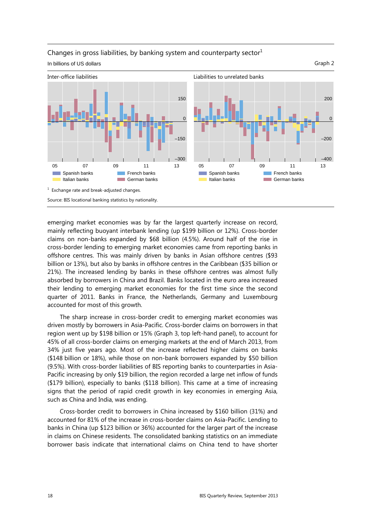

#### Changes in gross liabilities, by banking system and counterparty sector $1$ In billions of US dollars Graph 2

emerging market economies was by far the largest quarterly increase on record, mainly reflecting buoyant interbank lending (up \$199 billion or 12%). Cross-border claims on non-banks expanded by \$68 billion (4.5%). Around half of the rise in cross-border lending to emerging market economies came from reporting banks in offshore centres. This was mainly driven by banks in Asian offshore centres (\$93 billion or 13%), but also by banks in offshore centres in the Caribbean (\$35 billion or 21%). The increased lending by banks in these offshore centres was almost fully absorbed by borrowers in China and Brazil. Banks located in the euro area increased their lending to emerging market economies for the first time since the second quarter of 2011. Banks in France, the Netherlands, Germany and Luxembourg accounted for most of this growth.

The sharp increase in cross-border credit to emerging market economies was driven mostly by borrowers in Asia-Pacific. Cross-border claims on borrowers in that region went up by \$198 billion or 15% (Graph 3, top left-hand panel), to account for 45% of all cross-border claims on emerging markets at the end of March 2013, from 34% just five years ago. Most of the increase reflected higher claims on banks (\$148 billion or 18%), while those on non-bank borrowers expanded by \$50 billion (9.5%). With cross-border liabilities of BIS reporting banks to counterparties in Asia-Pacific increasing by only \$19 billion, the region recorded a large net inflow of funds (\$179 billion), especially to banks (\$118 billion). This came at a time of increasing signs that the period of rapid credit growth in key economies in emerging Asia, such as China and India, was ending.

Cross-border credit to borrowers in China increased by \$160 billion (31%) and accounted for 81% of the increase in cross-border claims on Asia-Pacific. Lending to banks in China (up \$123 billion or 36%) accounted for the larger part of the increase in claims on Chinese residents. The consolidated banking statistics on an immediate borrower basis indicate that international claims on China tend to have shorter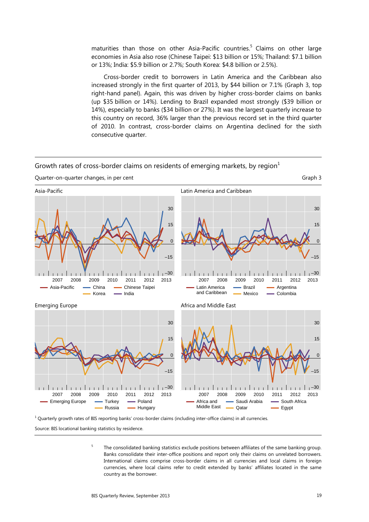maturities than those on other Asia-Pacific countries.<sup>5</sup> Claims on other large economies in Asia also rose (Chinese Taipei: \$13 billion or 15%; Thailand: \$7.1 billion or 13%; India: \$5.9 billion or 2.7%; South Korea: \$4.8 billion or 2.5%).

Cross-border credit to borrowers in Latin America and the Caribbean also increased strongly in the first quarter of 2013, by \$44 billion or 7.1% (Graph 3, top right-hand panel). Again, this was driven by higher cross-border claims on banks (up \$35 billion or 14%). Lending to Brazil expanded most strongly (\$39 billion or 14%), especially to banks (\$34 billion or 27%). It was the largest quarterly increase to this country on record, 36% larger than the previous record set in the third quarter of 2010. In contrast, cross-border claims on Argentina declined for the sixth consecutive quarter.



Growth rates of cross-border claims on residents of emerging markets, by region $<sup>1</sup>$ </sup>

 $^1$  Quarterly growth rates of BIS reporting banks' cross-border claims (including inter-office claims) in all currencies.

Source: BIS locational banking statistics by residence.

5 The consolidated banking statistics exclude positions between affiliates of the same banking group. Banks consolidate their inter-office positions and report only their claims on unrelated borrowers. International claims comprise cross-border claims in all currencies and local claims in foreign currencies, where local claims refer to credit extended by banks' affiliates located in the same country as the borrower.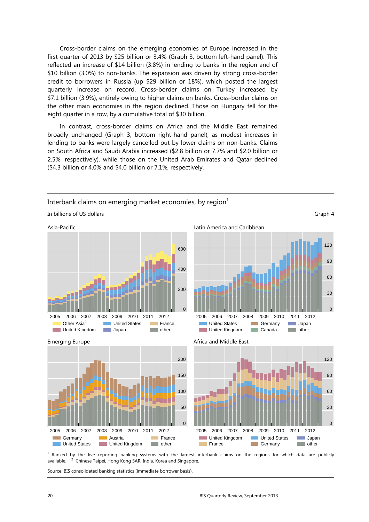Cross-border claims on the emerging economies of Europe increased in the first quarter of 2013 by \$25 billion or 3.4% (Graph 3, bottom left-hand panel). This reflected an increase of \$14 billion (3.8%) in lending to banks in the region and of \$10 billion (3.0%) to non-banks. The expansion was driven by strong cross-border credit to borrowers in Russia (up \$29 billion or 18%), which posted the largest quarterly increase on record. Cross-border claims on Turkey increased by \$7.1 billion (3.9%), entirely owing to higher claims on banks. Cross-border claims on the other main economies in the region declined. Those on Hungary fell for the eight quarter in a row, by a cumulative total of \$30 billion.

In contrast, cross-border claims on Africa and the Middle East remained broadly unchanged (Graph 3, bottom right-hand panel), as modest increases in lending to banks were largely cancelled out by lower claims on non-banks. Claims on South Africa and Saudi Arabia increased (\$2.8 billion or 7.7% and \$2.0 billion or 2.5%, respectively), while those on the United Arab Emirates and Qatar declined (\$4.3 billion or 4.0% and \$4.0 billion or 7.1%, respectively.

Interbank claims on emerging market economies, by region $<sup>1</sup>$ </sup>



<sup>1</sup> Ranked by the five reporting banking systems with the largest interbank claims on the regions for which data are publicly available. <sup>2</sup>  $<sup>2</sup>$  Chinese Taipei, Hong Kong SAR, India, Korea and Singapore.</sup>

Source: BIS consolidated banking statistics (immediate borrower basis).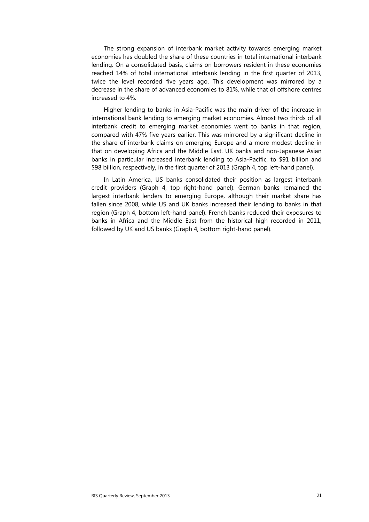The strong expansion of interbank market activity towards emerging market economies has doubled the share of these countries in total international interbank lending. On a consolidated basis, claims on borrowers resident in these economies reached 14% of total international interbank lending in the first quarter of 2013, twice the level recorded five years ago. This development was mirrored by a decrease in the share of advanced economies to 81%, while that of offshore centres increased to 4%.

Higher lending to banks in Asia-Pacific was the main driver of the increase in international bank lending to emerging market economies. Almost two thirds of all interbank credit to emerging market economies went to banks in that region, compared with 47% five years earlier. This was mirrored by a significant decline in the share of interbank claims on emerging Europe and a more modest decline in that on developing Africa and the Middle East. UK banks and non-Japanese Asian banks in particular increased interbank lending to Asia-Pacific, to \$91 billion and \$98 billion, respectively, in the first quarter of 2013 (Graph 4, top left-hand panel).

In Latin America, US banks consolidated their position as largest interbank credit providers (Graph 4, top right-hand panel). German banks remained the largest interbank lenders to emerging Europe, although their market share has fallen since 2008, while US and UK banks increased their lending to banks in that region (Graph 4, bottom left-hand panel). French banks reduced their exposures to banks in Africa and the Middle East from the historical high recorded in 2011, followed by UK and US banks (Graph 4, bottom right-hand panel).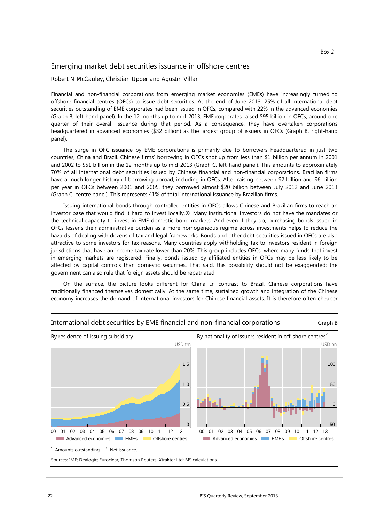#### Emerging market debt securities issuance in offshore centres

#### *Robert N McCauley, Christian Upper and Agustín Villar*

Financial and non-financial corporations from emerging market economies (EMEs) have increasingly turned to offshore financial centres (OFCs) to issue debt securities. At the end of June 2013, 25% of all international debt securities outstanding of EME corporates had been issued in OFCs, compared with 22% in the advanced economies (Graph B, left-hand panel). In the 12 months up to mid-2013, EME corporates raised \$95 billion in OFCs, around one quarter of their overall issuance during that period. As a consequence, they have overtaken corporations headquartered in advanced economies (\$32 billion) as the largest group of issuers in OFCs (Graph B, right-hand panel).

The surge in OFC issuance by EME corporations is primarily due to borrowers headquartered in just two countries, China and Brazil. Chinese firms' borrowing in OFCs shot up from less than \$1 billion per annum in 2001 and 2002 to \$51 billion in the 12 months up to mid-2013 (Graph C, left-hand panel). This amounts to approximately 70% of all international debt securities issued by Chinese financial and non-financial corporations. Brazilian firms have a much longer history of borrowing abroad, including in OFCs. After raising between \$2 billion and \$6 billion per year in OFCs between 2001 and 2005, they borrowed almost \$20 billion between July 2012 and June 2013 (Graph C, centre panel). This represents 41% of total international issuance by Brazilian firms.

Issuing international bonds through controlled entities in OFCs allows Chinese and Brazilian firms to reach an investor base that would find it hard to invest locally.<sup>1</sup> Many institutional investors do not have the mandates or the technical capacity to invest in EME domestic bond markets. And even if they do, purchasing bonds issued in OFCs lessens their administrative burden as a more homogeneous regime across investments helps to reduce the hazards of dealing with dozens of tax and legal frameworks. Bonds and other debt securities issued in OFCs are also attractive to some investors for tax-reasons. Many countries apply withholding tax to investors resident in foreign jurisdictions that have an income tax rate lower than 20%. This group includes OFCs, where many funds that invest in emerging markets are registered. Finally, bonds issued by affiliated entities in OFCs may be less likely to be affected by capital controls than domestic securities. That said, this possibility should not be exaggerated: the government can also rule that foreign assets should be repatriated.

On the surface, the picture looks different for China. In contrast to Brazil, Chinese corporations have traditionally financed themselves domestically. At the same time, sustained growth and integration of the Chinese economy increases the demand of international investors for Chinese financial assets. It is therefore often cheaper



International debt securities by EME financial and non-financial corporations Graph B

Box 2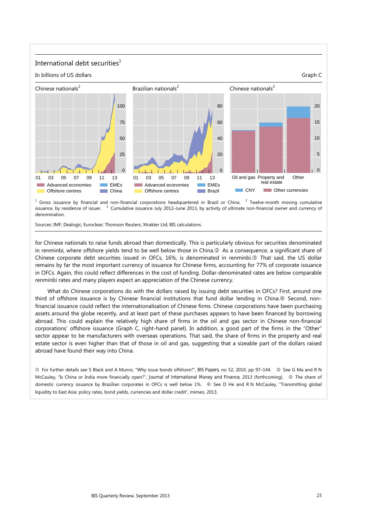#### International debt securities $<sup>1</sup>$ </sup>



 $<sup>1</sup>$  Gross issuance by financial and non-financial corporations headquartered in Brazil or China.  $<sup>2</sup>$ </sup></sup>  $2$  Twelve-month moving cumulative issuance, by residence of issuer. Cumulative issuance July 2012–June 2013, by activity of ultimate non-financial owner and currency of denomination.

Sources: IMF; Dealogic; Euroclear; Thomson Reuters; Xtrakter Ltd; BIS calculations.

for Chinese nationals to raise funds abroad than domestically. This is particularly obvious for securities denominated in renminbi, where offshore yields tend to be well below those in China. As a consequence, a significant share of Chinese corporate debt securities issued in OFCs, 16%, is denominated in renminbi.<sup>3</sup> That said, the US dollar remains by far the most important currency of issuance for Chinese firms, accounting for 77% of corporate issuance in OFCs. Again, this could reflect differences in the cost of funding. Dollar-denominated rates are below comparable renminbi rates and many players expect an appreciation of the Chinese currency.

What do Chinese corporations do with the dollars raised by issuing debt securities in OFCs? First, around one third of offshore issuance is by Chinese financial institutions that fund dollar lending in China. ® Second, nonfinancial issuance could reflect the internationalisation of Chinese firms. Chinese corporations have been purchasing assets around the globe recently, and at least part of these purchases appears to have been financed by borrowing abroad. This could explain the relatively high share of firms in the oil and gas sector in Chinese non-financial corporations' offshore issuance (Graph C, right-hand panel). In addition, a good part of the firms in the "Other" sector appear to be manufacturers with overseas operations. That said, the share of firms in the property and real estate sector is even higher than that of those in oil and gas, suggesting that a sizeable part of the dollars raised abroad have found their way into China.

 $\circledcirc$  For further details see S Black and A Munro, "Why issue bonds offshore?", *BIS Papers*, no 52, 2010, pp 97-144.  $\circledcirc$  See G Ma and R N McCauley, "Is China or India more financially open?", *Journal of International Money and Finance*, 2013 (forthcoming). <sup>3</sup> The share of domestic currency issuance by Brazilian corporates in OFCs is well below 1%.  $\circled$  See D He and R N McCauley, "Transmitting global liquidity to East Asia: policy rates, bond yields, currencies and dollar credit", mimeo, 2013.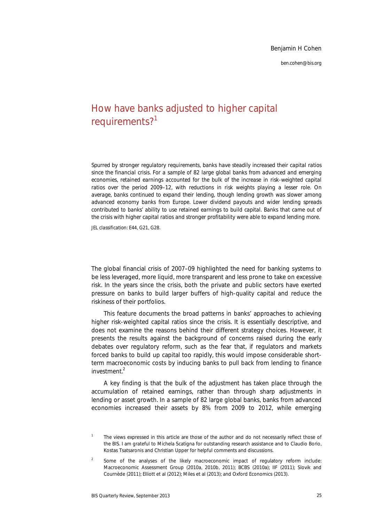*ben.cohen@bis.org*

### How have banks adjusted to higher capital requirements?<sup>1</sup>

*Spurred by stronger regulatory requirements, banks have steadily increased their capital ratios since the financial crisis. For a sample of 82 large global banks from advanced and emerging economies, retained earnings accounted for the bulk of the increase in risk-weighted capital ratios over the period 2009–12, with reductions in risk weights playing a lesser role. On average, banks continued to expand their lending, though lending growth was slower among advanced economy banks from Europe. Lower dividend payouts and wider lending spreads contributed to banks' ability to use retained earnings to build capital. Banks that came out of the crisis with higher capital ratios and stronger profitability were able to expand lending more.* 

*JEL classification: E44, G21, G28*.

The global financial crisis of 2007–09 highlighted the need for banking systems to be less leveraged, more liquid, more transparent and less prone to take on excessive risk. In the years since the crisis, both the private and public sectors have exerted pressure on banks to build larger buffers of high-quality capital and reduce the riskiness of their portfolios.

This feature documents the broad patterns in banks' approaches to achieving higher risk-weighted capital ratios since the crisis. It is essentially descriptive, and does not examine the reasons behind their different strategy choices. However, it presents the results against the background of concerns raised during the early debates over regulatory reform, such as the fear that, if regulators and markets forced banks to build up capital too rapidly, this would impose considerable shortterm macroeconomic costs by inducing banks to pull back from lending to finance investment.<sup>2</sup>

A key finding is that the bulk of the adjustment has taken place through the accumulation of retained earnings, rather than through sharp adjustments in lending or asset growth. In a sample of 82 large global banks, banks from advanced economies increased their assets by 8% from 2009 to 2012, while emerging

<sup>1</sup> The views expressed in this article are those of the author and do not necessarily reflect those of the BIS. I am grateful to Michela Scatigna for outstanding research assistance and to Claudio Borio, Kostas Tsatsaronis and Christian Upper for helpful comments and discussions.

 $\overline{2}$  Some of the analyses of the likely macroeconomic impact of regulatory reform include: Macroeconomic Assessment Group (2010a, 2010b, 2011); BCBS (2010a); IIF (2011); Slovik and Cournède (2011); Elliott et al (2012); Miles et al (2013); and Oxford Economics (2013).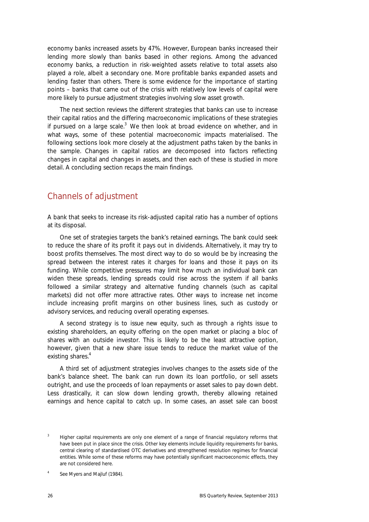economy banks increased assets by 47%. However, European banks increased their lending more slowly than banks based in other regions. Among the advanced economy banks, a reduction in risk-weighted assets relative to total assets also played a role, albeit a secondary one. More profitable banks expanded assets and lending faster than others. There is some evidence for the importance of starting points – banks that came out of the crisis with relatively low levels of capital were more likely to pursue adjustment strategies involving slow asset growth.

The next section reviews the different strategies that banks can use to increase their capital ratios and the differing macroeconomic implications of these strategies if pursued on a large scale. $3$  We then look at broad evidence on whether, and in what ways, some of these potential macroeconomic impacts materialised. The following sections look more closely at the adjustment paths taken by the banks in the sample. Changes in capital ratios are decomposed into factors reflecting changes in capital and changes in assets, and then each of these is studied in more detail. A concluding section recaps the main findings.

### Channels of adjustment

A bank that seeks to increase its risk-adjusted capital ratio has a number of options at its disposal.

One set of strategies targets the bank's *retained earnings*. The bank could seek to reduce the share of its profit it pays out in dividends. Alternatively, it may try to boost profits themselves. The most direct way to do so would be by increasing the spread between the interest rates it charges for loans and those it pays on its funding. While competitive pressures may limit how much an individual bank can widen these spreads, lending spreads could rise across the system if all banks followed a similar strategy and alternative funding channels (such as capital markets) did not offer more attractive rates. Other ways to increase net income include increasing profit margins on other business lines, such as custody or advisory services, and reducing overall operating expenses.

A second strategy is to *issue new equity,* such as through a rights issue to existing shareholders, an equity offering on the open market or placing a bloc of shares with an outside investor. This is likely to be the least attractive option, however, given that a new share issue tends to reduce the market value of the existing shares.<sup>4</sup>

A third set of adjustment strategies involves changes to the *assets* side of the bank's balance sheet. The bank can run down its loan portfolio, or sell assets outright, and use the proceeds of loan repayments or asset sales to pay down debt. Less drastically, it can slow down lending growth, thereby allowing retained earnings and hence capital to catch up. In some cases, an asset sale can boost

<sup>3</sup> Higher capital requirements are only one element of a range of financial regulatory reforms that have been put in place since the crisis. Other key elements include liquidity requirements for banks, central clearing of standardised OTC derivatives and strengthened resolution regimes for financial entities. While some of these reforms may have potentially significant macroeconomic effects, they are not considered here.

<sup>4</sup> See Myers and Majluf (1984).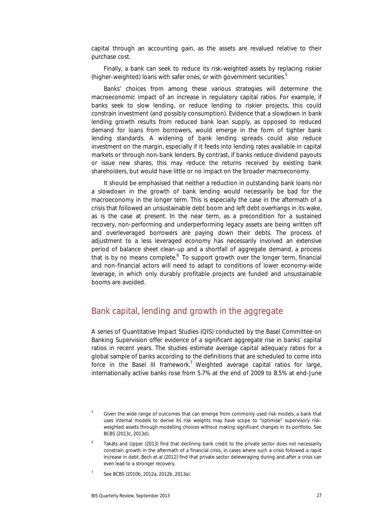capital through an accounting gain, as the assets are revalued relative to their purchase cost.

Finally, a bank can seek to reduce its *risk-weighted assets* by replacing riskier (higher-weighted) loans with safer ones, or with government securities.<sup>5</sup>

Banks' choices from among these various strategies will determine the macroeconomic impact of an increase in regulatory capital ratios. For example, if banks seek to slow lending, or reduce lending to riskier projects, this could constrain investment (and possibly consumption). Evidence that a slowdown in bank lending growth results from reduced bank loan supply, as opposed to reduced demand for loans from borrowers, would emerge in the form of tighter bank lending standards. A widening of bank lending spreads could also reduce investment on the margin, especially if it feeds into lending rates available in capital markets or through non-bank lenders. By contrast, if banks reduce dividend payouts or issue new shares, this may reduce the returns received by existing bank shareholders, but would have little or no impact on the broader macroeconomy.

It should be emphasised that neither a reduction in outstanding bank loans nor a slowdown in the growth of bank lending would necessarily be bad for the macroeconomy in the longer term. This is especially the case in the aftermath of a crisis that followed an unsustainable debt boom and left debt overhangs in its wake, as is the case at present. In the near term, as a precondition for a sustained recovery, non-performing and underperforming legacy assets are being written off and overleveraged borrowers are paying down their debts. The process of adjustment to a less leveraged economy has necessarily involved an extensive period of balance sheet clean-up and a shortfall of aggregate demand, a process that is by no means complete.<sup>6</sup> To support growth over the longer term, financial and non-financial actors will need to adapt to conditions of lower economy-wide leverage, in which only durably profitable projects are funded and unsustainable booms are avoided.

#### Bank capital, lending and growth in the aggregate

A series of Quantitative Impact Studies (QIS) conducted by the Basel Committee on Banking Supervision offer evidence of a significant aggregate rise in banks' capital ratios in recent years. The studies estimate average capital adequacy ratios for a global sample of banks according to the definitions that are scheduled to come into force in the Basel III framework.<sup>7</sup> Weighted average capital ratios for large, internationally active banks rose from 5.7% at the end of 2009 to 8.5% at end-June

<sup>5</sup> Given the wide range of outcomes that can emerge from commonly used risk models, a bank that uses internal models to derive its risk weights may have scope to "optimise" supervisory riskweighted assets through modelling choices without making significant changes in its portfolio. See BCBS (2013c, 2013d).

<sup>6</sup> Takáts and Upper (2013) find that declining bank credit to the private sector does not necessarily constrain growth in the aftermath of a financial crisis, in cases where such a crisis followed a rapid increase in debt. Bech et al (2012) find that private sector deleveraging during and after a crisis can even lead to a stronger recovery.

<sup>7</sup> See BCBS (2010b, 2012a, 2012b, 2013a).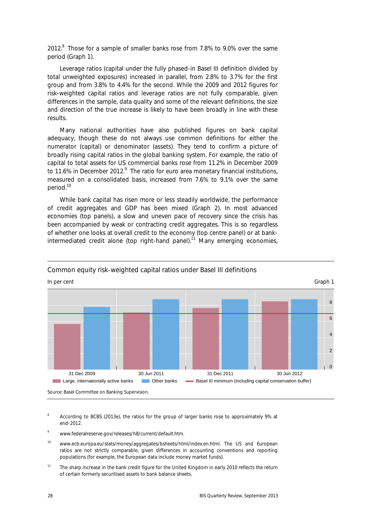2012. $8$  Those for a sample of smaller banks rose from 7.8% to 9.0% over the same period (Graph 1).

Leverage ratios (capital under the fully phased-in Basel III definition divided by total unweighted exposures) increased in parallel, from 2.8% to 3.7% for the first group and from 3.8% to 4.4% for the second. While the 2009 and 2012 figures for risk-weighted capital ratios and leverage ratios are not fully comparable, given differences in the sample, data quality and some of the relevant definitions, the size and direction of the true increase is likely to have been broadly in line with these results.

Many national authorities have also published figures on bank capital adequacy, though these do not always use common definitions for either the numerator (capital) or denominator (assets). They tend to confirm a picture of broadly rising capital ratios in the global banking system. For example, the ratio of capital to total assets for US commercial banks rose from 11.2% in December 2009 to 11.6% in December 2012. $9$  The ratio for euro area monetary financial institutions, measured on a consolidated basis, increased from 7.6% to 9.1% over the same period.10

While bank capital has risen more or less steadily worldwide, the performance of credit aggregates and GDP has been mixed (Graph 2). In most advanced economies (top panels), a slow and uneven pace of recovery since the crisis has been accompanied by weak or contracting credit aggregates. This is so regardless of whether one looks at overall credit to the economy (top centre panel) or at bankintermediated credit alone (top right-hand panel).<sup>11</sup> Many emerging economies,



#### Common equity risk-weighted capital ratios under Basel III definitions

- 8 According to BCBS (2013e), the ratios for the group of larger banks rose to approximately 9% at end-2012.
- 9 www.federalreserve.gov/releases/h8/current/default.htm.
- 10 www.ecb.europa.eu/stats/money/aggregates/bsheets/html/index.en.html. The US and European ratios are not strictly comparable, given differences in accounting conventions and reporting populations (for example, the European data include money market funds).
- <sup>11</sup> The sharp increase in the bank credit figure for the United Kingdom in early 2010 reflects the return of certain formerly securitised assets to bank balance sheets.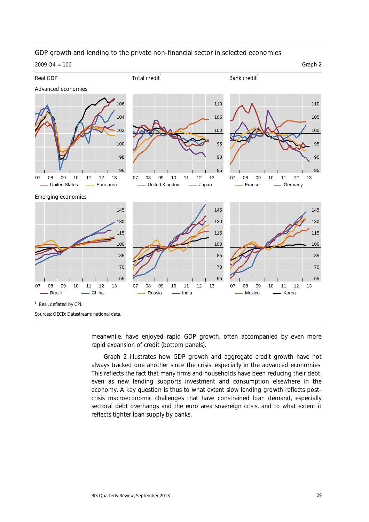#### GDP growth and lending to the private non-financial sector in selected economies

 $2009 \, \Omega$ 4 = 100 Graph 2



meanwhile, have enjoyed rapid GDP growth, often accompanied by even more rapid expansion of credit (bottom panels).

Graph 2 illustrates how GDP growth and aggregate credit growth have not always tracked one another since the crisis, especially in the advanced economies. This reflects the fact that many firms and households have been reducing their debt, even as new lending supports investment and consumption elsewhere in the economy. A key question is thus to what extent slow lending growth reflects postcrisis macroeconomic challenges that have constrained loan demand, especially sectoral debt overhangs and the euro area sovereign crisis, and to what extent it reflects tighter loan supply by banks.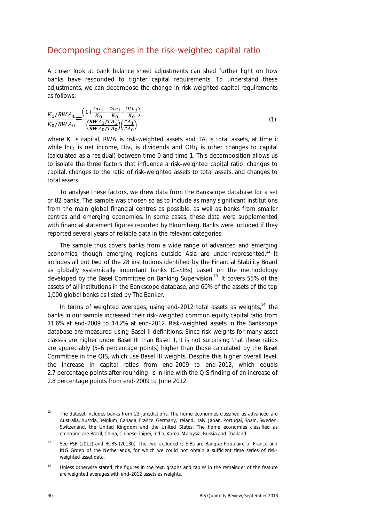#### Decomposing changes in the risk-weighted capital ratio

A closer look at bank balance sheet adjustments can shed further light on how banks have responded to tighter capital requirements. To understand these adjustments, we can decompose the change in risk-weighted capital requirements as follows:

$$
\frac{K_1/RWA_1}{K_0/RWA_0} = \frac{\left(1 + \frac{Inc_1}{K_0} - \frac{Div_1}{K_0} + \frac{Oth_1}{K_0}\right)}{\left(\frac{RWA_1/TA_1}{RWA_0/TA_0}\right)\left(\frac{TA_1}{TA_0}\right)}\tag{1}
$$

where  $K_i$  is capital, RWA<sub>i</sub> is risk-weighted assets and *TA<sub>i</sub>* is total assets, at time *i*; while  $Inc_1$  is net income,  $Div_1$  is dividends and  $Oth_1$  is other changes to capital (calculated as a residual) between time 0 and time 1*.* This decomposition allows us to isolate the three factors that influence a risk-weighted capital ratio: changes to capital, changes to the ratio of risk-weighted assets to total assets, and changes to total assets.

To analyse these factors, we drew data from the Bankscope database for a set of 82 banks. The sample was chosen so as to include as many significant institutions from the main global financial centres as possible, as well as banks from smaller centres and emerging economies. In some cases, these data were supplemented with financial statement figures reported by Bloomberg. Banks were included if they reported several years of reliable data in the relevant categories.

The sample thus covers banks from a wide range of advanced and emerging economies, though emerging regions outside Asia are under-represented.<sup>12</sup> It includes all but two of the 28 institutions identified by the Financial Stability Board as globally systemically important banks (G-SIBs) based on the methodology developed by the Basel Committee on Banking Supervision.13 It covers 55% of the assets of all institutions in the Bankscope database, and 60% of the assets of the top 1,000 global banks as listed by *The Banker*.

In terms of weighted averages, using end-2012 total assets as weights, $14$  the banks in our sample increased their risk-weighted common equity capital ratio from 11.6% at end-2009 to 14.2% at end-2012. Risk-weighted assets in the Bankscope database are measured using Basel II definitions. Since risk weights for many asset classes are higher under Basel III than Basel II, it is not surprising that these ratios are appreciably (5–6 percentage points) higher than those calculated by the Basel Committee in the QIS, which use Basel III weights. Despite this higher overall level, the increase in capital ratios from end-2009 to end-2012, which equals 2.7 percentage points after rounding, is in line with the QIS finding of an increase of 2.8 percentage points from end-2009 to June 2012.

 $12$  The dataset includes banks from 23 jurisdictions. The home economies classified as advanced are Australia, Austria, Belgium, Canada, France, Germany, Ireland, Italy, Japan, Portugal, Spain, Sweden, Switzerland, the United Kingdom and the United States, The home economies classified as emerging are Brazil, China, Chinese Taipei, India, Korea, Malaysia, Russia and Thailand.

See FSB (2012) and BCBS (2013b). The two excluded G-SIBs are Banque Populaire of France and ING Groep of the Netherlands, for which we could not obtain a sufficient time series of riskweighted asset data.

<sup>&</sup>lt;sup>14</sup> Unless otherwise stated, the figures in the text, graphs and tables in the remainder of the feature are weighted averages with end-2012 assets as weights.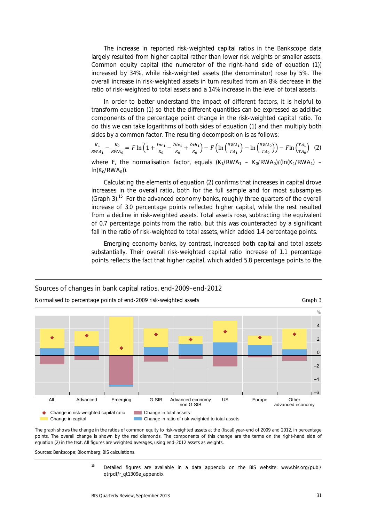The increase in reported risk-weighted capital ratios in the Bankscope data largely resulted from higher capital rather than lower risk weights or smaller assets. Common equity capital (the numerator of the right-hand side of equation (1)) increased by 34%, while risk-weighted assets (the denominator) rose by 5%. The overall increase in risk-weighted assets in turn resulted from an 8% decrease in the ratio of risk-weighted to total assets and a 14% increase in the level of total assets.

In order to better understand the impact of different factors, it is helpful to transform equation (1) so that the different quantities can be expressed as additive components of the percentage point change in the risk-weighted capital ratio. To do this we can take logarithms of both sides of equation (1) and then multiply both sides by a common factor. The resulting decomposition is as follows:

$$
\frac{K_1}{RWA_1} - \frac{K_0}{RWA_0} = F \ln \left( 1 + \frac{Inc_1}{K_0} - \frac{Div_1}{K_0} + \frac{oth_1}{K_0} \right) - F \left( \ln \left( \frac{RWA_1}{TA_1} \right) - \ln \left( \frac{RWA_0}{TA_0} \right) \right) - F \ln \left( \frac{TA_1}{TA_0} \right) \tag{2}
$$

where *F*, the normalisation factor, equals  $(K_1/RWA_1 - K_0/RWA_0)/(ln(K_1/RWA_1)$  $ln(K_0/RWA_0)$ ).

Calculating the elements of equation (2) confirms that increases in capital drove increases in the overall ratio, both for the full sample and for most subsamples (Graph 3).<sup>15</sup> For the advanced economy banks, roughly three quarters of the overall increase of 3.0 percentage points reflected higher capital, while the rest resulted from a decline in risk-weighted assets. Total assets rose, subtracting the equivalent of 0.7 percentage points from the ratio, but this was counteracted by a significant fall in the ratio of risk-weighted to total assets, which added 1.4 percentage points.

Emerging economy banks, by contrast, increased both capital and total assets substantially. Their overall risk-weighted capital ratio increase of 1.1 percentage points reflects the fact that higher capital, which added 5.8 percentage points to the



The graph shows the change in the ratios of common equity to risk-weighted assets at the (fiscal) year-end of 2009 and 2012, in percentage points. The overall change is shown by the red diamonds. The components of this change are the terms on the right-hand side of equation (2) in the text. All figures are weighted averages, using end-2012 assets as weights.

Sources: Bankscope; Bloomberg; BIS calculations.

<sup>15</sup> Detailed figures are available in a data appendix on the BIS website: www.bis.org/publ/ qtrpdf/r\_qt1309e\_appendix.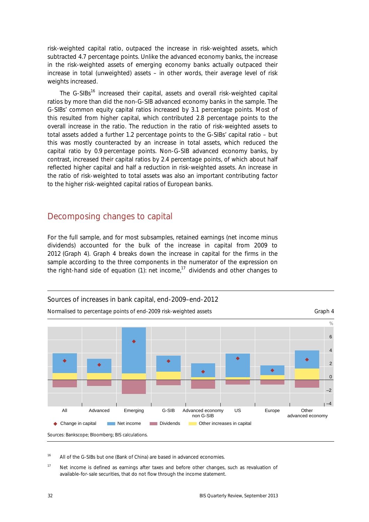risk-weighted capital ratio, outpaced the increase in risk-weighted assets, which subtracted 4.7 percentage points. Unlike the advanced economy banks, the increase in the risk-weighted assets of emerging economy banks actually outpaced their increase in total (unweighted) assets – in other words, their average level of risk weights increased.

The G-SIBs<sup>16</sup> increased their capital, assets and overall risk-weighted capital ratios by more than did the non-G-SIB advanced economy banks in the sample. The G-SIBs' common equity capital ratios increased by 3.1 percentage points. Most of this resulted from higher capital, which contributed 2.8 percentage points to the overall increase in the ratio. The reduction in the ratio of risk-weighted assets to total assets added a further 1.2 percentage points to the G-SIBs' capital ratio – but this was mostly counteracted by an increase in total assets, which reduced the capital ratio by 0.9 percentage points. Non-G-SIB advanced economy banks, by contrast, increased their capital ratios by 2.4 percentage points, of which about half reflected higher capital and half a reduction in risk-weighted assets. An increase in the ratio of risk-weighted to total assets was also an important contributing factor to the higher risk-weighted capital ratios of European banks.

#### Decomposing changes to capital

For the full sample, and for most subsamples, retained earnings (net income minus dividends) accounted for the bulk of the increase in capital from 2009 to 2012 (Graph 4). Graph 4 breaks down the increase in capital for the firms in the sample according to the three components in the numerator of the expression on the right-hand side of equation (1): net income.<sup>17</sup> dividends and other changes to



<sup>16</sup> All of the G-SIBs but one (Bank of China) are based in advanced economies.

<sup>17</sup> Net income is defined as earnings after taxes and before other changes, such as revaluation of available-for-sale securities, that do not flow through the income statement.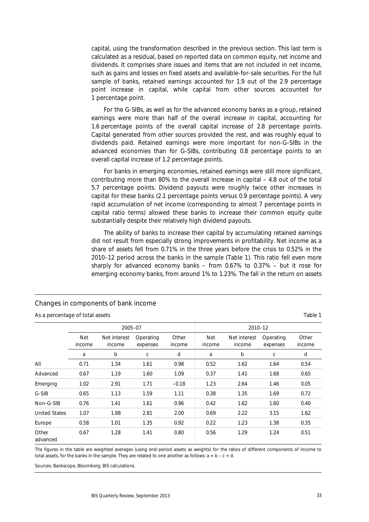capital, using the transformation described in the previous section. This last term is calculated as a residual, based on reported data on common equity, net income and dividends. It comprises share issues and items that are not included in net income, such as gains and losses on fixed assets and available-for-sale securities. For the full sample of banks, retained earnings accounted for 1.9 out of the 2.9 percentage point increase in capital, while capital from other sources accounted for 1 percentage point.

For the G-SIBs, as well as for the advanced economy banks as a group, retained earnings were more than half of the overall increase in capital, accounting for 1.6 percentage points of the overall capital increase of 2.8 percentage points. Capital generated from other sources provided the rest, and was roughly equal to dividends paid. Retained earnings were more important for non-G-SIBs in the advanced economies than for G-SIBs, contributing 0.8 percentage points to an overall capital increase of 1.2 percentage points.

For banks in emerging economies, retained earnings were still more significant, contributing more than 80% to the overall increase in capital – 4.8 out of the total 5.7 percentage points. Dividend payouts were roughly twice other increases in capital for these banks (2.1 percentage points versus 0.9 percentage points). A very rapid accumulation of net income (corresponding to almost 7 percentage points in capital ratio terms) allowed these banks to increase their common equity quite substantially despite their relatively high dividend payouts.

The ability of banks to increase their capital by accumulating retained earnings did not result from especially strong improvements in profitability. Net income as a share of assets fell from 0.71% in the three years before the crisis to 0.52% in the 2010–12 period across the banks in the sample (Table 1). This ratio fell even more sharply for advanced economy banks – from 0.67% to 0.37% – but it rose for emerging economy banks, from around 1% to 1.23%. The fall in the return on assets

|                      | 2005-07              |                        |                       |                 | 2010-12              |                        |                       |                 |
|----------------------|----------------------|------------------------|-----------------------|-----------------|----------------------|------------------------|-----------------------|-----------------|
|                      | <b>Net</b><br>income | Net interest<br>income | Operating<br>expenses | Other<br>income | <b>Net</b><br>income | Net interest<br>income | Operating<br>expenses | Other<br>income |
|                      | a                    | b                      | С                     | d               | a                    | b                      | С                     | d               |
| All                  | 0.71                 | 1.34                   | 1.61                  | 0.98            | 0.52                 | 1.62                   | 1.64                  | 0.54            |
| Advanced             | 0.67                 | 1.19                   | 1.60                  | 1.09            | 0.37                 | 1.41                   | 1.68                  | 0.65            |
| Emerging             | 1.02                 | 2.91                   | 1.71                  | $-0.18$         | 1.23                 | 2.64                   | 1.46                  | 0.05            |
| G-SIB                | 0.65                 | 1.13                   | 1.59                  | 1.11            | 0.38                 | 1.35                   | 1.69                  | 0.72            |
| Non-G-SIB            | 0.76                 | 1.41                   | 1.61                  | 0.96            | 0.42                 | 1.62                   | 1.60                  | 0.40            |
| <b>United States</b> | 1.07                 | 1.88                   | 2.81                  | 2.00            | 0.69                 | 2.22                   | 3.15                  | 1.62            |
| Europe               | 0.58                 | 1.01                   | 1.35                  | 0.92            | 0.22                 | 1.23                   | 1.38                  | 0.35            |
| Other<br>advanced    | 0.67                 | 1.28                   | 1.41                  | 0.80            | 0.56                 | 1.29                   | 1.24                  | 0.51            |

#### Changes in components of bank income

As a percentage of total assets Table 1

The figures in the table are weighted averages (using end-period assets as weights) for the ratios of different components of income to total assets, for the banks in the sample. They are related to one another as follows:  $a = b - c + d$ .

Sources: Bankscope, Bloomberg; BIS calculations.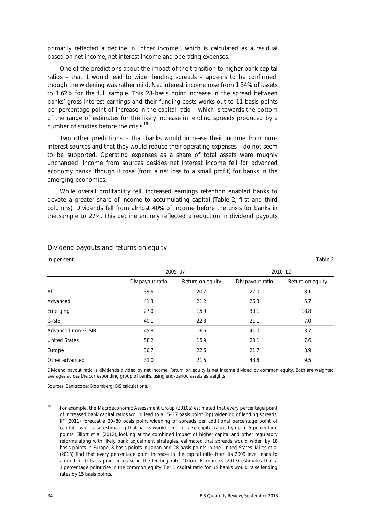primarily reflected a decline in "other income", which is calculated as a residual based on net income, net interest income and operating expenses.

One of the predictions about the impact of the transition to higher bank capital ratios – that it would lead to wider lending spreads – appears to be confirmed, though the widening was rather mild. Net interest income rose from 1.34% of assets to 1.62% for the full sample. This 28-basis point increase in the spread between banks' gross interest earnings and their funding costs works out to 11 basis points per percentage point of increase in the capital ratio – which is towards the bottom of the range of estimates for the likely increase in lending spreads produced by a number of studies before the crisis.<sup>18</sup>

Two other predictions – that banks would increase their income from noninterest sources and that they would reduce their operating expenses – do not seem to be supported. Operating expenses as a share of total assets were roughly unchanged. Income from sources besides net interest income fell for advanced economy banks, though it rose (from a net loss to a small profit) for banks in the emerging economies.

While overall profitability fell, increased earnings retention enabled banks to devote a greater share of income to accumulating capital (Table 2, first and third columns). Dividends fell from almost 40% of income before the crisis for banks in the sample to 27%. This decline entirely reflected a reduction in dividend payouts

#### Dividend payouts and returns on equity

In per cent Table 2

|                      |                  | 2005-07          | 2010-12          |                  |  |
|----------------------|------------------|------------------|------------------|------------------|--|
|                      | Div payout ratio | Return on equity | Div payout ratio | Return on equity |  |
| All                  | 39.6             | 20.7             | 27.0             | 8.1              |  |
| Advanced             | 41.3             | 21.2             | 26.3             | 5.7              |  |
| Emerging             | 27.0             | 15.9             | 30.1             | 18.8             |  |
| G-SIB                | 40.1             | 22.8             | 21.1             | 7.0              |  |
| Advanced non-G-SIB   | 45.8             | 16.6             | 41.0             | 3.7              |  |
| <b>United States</b> | 58.2             | 15.9             | 20.1             | 7.6              |  |
| Europe               | 36.7             | 22.6             | 21.7             | 3.9              |  |
| Other advanced       | 31.0             | 21.5             | 43.8             | 9.5              |  |

Dividend payout ratio is dividends divided by net income. Return on equity is net income divided by common equity. Both are weighted averages across the corresponding group of banks, using end-period assets as weights.

Sources: Bankscope; Bloomberg; BIS calculations.

<sup>18</sup> For example, the Macroeconomic Assessment Group (2010a) estimated that every percentage point of increased bank capital ratios would lead to a 15–17 basis point (bp) widening of lending spreads. IIF (2011) forecast a 30–80 basis point widening of spreads per additional percentage point of capital – while also estimating that banks would need to raise capital ratios by up to 5 percentage points. Elliott et al (2012), looking at the combined impact of higher capital and other regulatory reforms along with likely bank adjustment strategies, estimated that spreads would widen by 18 basis points in Europe, 8 basis points in Japan and 28 basis points in the United States. Miles et al (2013) find that every percentage point increase in the capital ratio from its 2009 level leads to around a 10 basis point increase in the lending rate. Oxford Economics (2013) estimates that a 1 percentage point rise in the common equity Tier 1 capital ratio for US banks would raise lending rates by 15 basis points.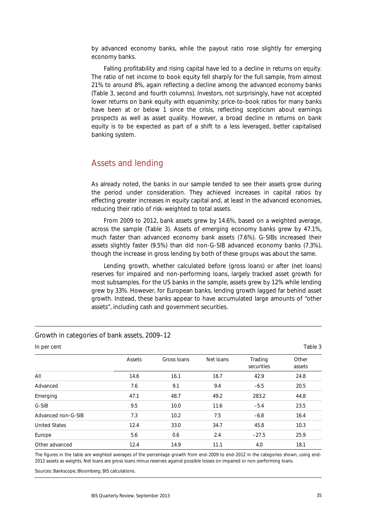by advanced economy banks, while the payout ratio rose slightly for emerging economy banks.

Falling profitability and rising capital have led to a decline in returns on equity. The ratio of net income to book equity fell sharply for the full sample, from almost 21% to around 8%, again reflecting a decline among the advanced economy banks (Table 3, second and fourth columns). Investors, not surprisingly, have not accepted lower returns on bank equity with equanimity; price-to-book ratios for many banks have been at or below 1 since the crisis, reflecting scepticism about earnings prospects as well as asset quality. However, a broad decline in returns on bank equity is to be expected as part of a shift to a less leveraged, better capitalised banking system.

## Assets and lending

As already noted, the banks in our sample tended to see their assets grow during the period under consideration. They achieved increases in capital ratios by effecting greater increases in equity capital and, at least in the advanced economies, reducing their ratio of risk-weighted to total assets.

From 2009 to 2012, bank assets grew by 14.6%, based on a weighted average, across the sample (Table 3). Assets of emerging economy banks grew by 47.1%, much faster than advanced economy bank assets (7.6%). G-SIBs increased their assets slightly faster (9.5%) than did non-G-SIB advanced economy banks (7.3%), though the increase in gross lending by both of these groups was about the same.

Lending growth, whether calculated before (gross loans) or after (net loans) reserves for impaired and non-performing loans, largely tracked asset growth for most subsamples. For the US banks in the sample, assets grew by 12% while lending grew by 33%. However, for European banks, lending growth lagged far behind asset growth. Instead, these banks appear to have accumulated large amounts of "other assets", including cash and government securities.

| In per cent          |        |             |           |                       | Table 3         |
|----------------------|--------|-------------|-----------|-----------------------|-----------------|
|                      | Assets | Gross Ioans | Net loans | Trading<br>securities | Other<br>assets |
| All                  | 14.6   | 16.1        | 16.7      | 42.9                  | 24.8            |
| Advanced             | 7.6    | 9.1         | 9.4       | $-6.5$                | 20.5            |
| Emerging             | 47.1   | 48.7        | 49.2      | 283.2                 | 44.8            |
| G-SIB                | 9.5    | 10.0        | 11.6      | $-5.4$                | 23.5            |
| Advanced non-G-SIB   | 7.3    | 10.2        | 7.5       | $-6.8$                | 16.4            |
| <b>United States</b> | 12.4   | 33.0        | 34.7      | 45.8                  | 10.3            |
| Europe               | 5.6    | 0.6         | 2.4       | $-27.5$               | 25.9            |
| Other advanced       | 12.4   | 14.9        | 11.1      | 4.0                   | 18.1            |

Growth in categories of bank assets, 2009–12

The figures in the table are weighted averages of the percentage growth from end-2009 to end-2012 in the categories shown, using end-2012 assets as weights. Net loans are gross loans minus reserves against possible losses on impaired or non-performing loans.

Sources: Bankscope; Bloomberg; BIS calculations.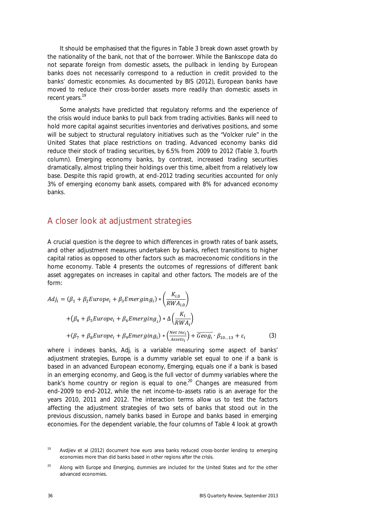It should be emphasised that the figures in Table 3 break down asset growth by the nationality of the bank, not that of the borrower. While the Bankscope data do not separate foreign from domestic assets, the pullback in lending by European banks does not necessarily correspond to a reduction in credit provided to the banks' domestic economies. As documented by BIS (2012), European banks have moved to reduce their cross-border assets more readily than domestic assets in recent years.<sup>19</sup>

Some analysts have predicted that regulatory reforms and the experience of the crisis would induce banks to pull back from trading activities. Banks will need to hold more capital against securities inventories and derivatives positions, and some will be subject to structural regulatory initiatives such as the "Volcker rule" in the United States that place restrictions on trading. Advanced economy banks did reduce their stock of trading securities, by 6.5% from 2009 to 2012 (Table 3, fourth column). Emerging economy banks, by contrast, increased trading securities dramatically, almost tripling their holdings over this time, albeit from a relatively low base. Despite this rapid growth, at end-2012 trading securities accounted for only 3% of emerging economy bank assets, compared with 8% for advanced economy banks.

#### A closer look at adjustment strategies

A crucial question is the degree to which differences in growth rates of bank assets, and other adjustment measures undertaken by banks, reflect transitions to higher capital ratios as opposed to other factors such as macroeconomic conditions in the home economy. Table 4 presents the outcomes of regressions of different bank asset aggregates on increases in capital and other factors. The models are of the form:

$$
Adj_i = (\beta_1 + \beta_2 Europe_i + \beta_3Emerging_i) * \left(\frac{K_{i,0}}{RWA_{i,0}}\right)
$$
  
+ 
$$
(\beta_4 + \beta_5 Europe_i + \beta_6Emerging_i) * \Delta \left(\frac{K_i}{RWA_i}\right)
$$
  
+ 
$$
(\beta_7 + \beta_8 Europe_i + \beta_9Emerging_i) * \left(\frac{Net Inc_i}{Assets_i}\right) + \overline{Geog_i} \cdot \beta_{10...13} + \varepsilon_i
$$
 (3)

where *i* indexes banks, *Adji* is a variable measuring some aspect of banks' adjustment strategies, *Europe<sub>i</sub>* is a dummy variable set equal to one if a bank is based in an advanced European economy, *Emergingi* equals one if a bank is based in an emerging economy, and *Geogi* is the full vector of dummy variables where the bank's home country or region is equal to one.<sup>20</sup> Changes are measured from end-2009 to end-2012, while the net income-to-assets ratio is an average for the years 2010, 2011 and 2012. The interaction terms allow us to test the factors affecting the adjustment strategies of two sets of banks that stood out in the previous discussion, namely banks based in Europe and banks based in emerging economies. For the dependent variable, the four columns of Table 4 look at growth

Avdjiev et al (2012) document how euro area banks reduced cross-border lending to emerging economies more than did banks based in other regions after the crisis.

<sup>20</sup> Along with *Europe* and *Emerging,* dummies are included for the United States and for the other advanced economies.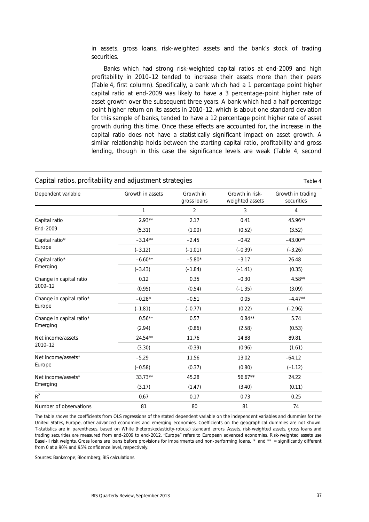in assets, gross loans, risk-weighted assets and the bank's stock of trading securities.

Banks which had strong risk-weighted capital ratios at end-2009 and high profitability in 2010–12 tended to increase their assets more than their peers (Table 4, first column). Specifically, a bank which had a 1 percentage point higher capital ratio at end-2009 was likely to have a 3 percentage-point higher rate of asset growth over the subsequent three years. A bank which had a half percentage point higher return on its assets in 2010–12, which is about one standard deviation for this sample of banks, tended to have a 12 percentage point higher rate of asset growth during this time. Once these effects are accounted for, the increase in the capital ratio does not have a statistically significant impact on asset growth. A similar relationship holds between the starting capital ratio, profitability and gross lending, though in this case the significance levels are weak (Table 4, second

| Capital ratios, profitability and adjustment strategies<br>Table 4 |                  |                          |                                    |                                 |  |
|--------------------------------------------------------------------|------------------|--------------------------|------------------------------------|---------------------------------|--|
| Dependent variable                                                 | Growth in assets | Growth in<br>gross loans | Growth in risk-<br>weighted assets | Growth in trading<br>securities |  |
|                                                                    | 1                | $\overline{2}$           | 3                                  | $\overline{4}$                  |  |
| Capital ratio                                                      | $2.93**$         | 2.17                     | 0.41                               | 45.96**                         |  |
| End-2009                                                           | (5.31)           | (1.00)                   | (0.52)                             | (3.52)                          |  |
| Capital ratio*                                                     | $-3.14**$        | $-2.45$                  | $-0.42$                            | $-43.00**$                      |  |
| Europe                                                             | $(-3.12)$        | $(-1.01)$                | $(-0.39)$                          | $(-3.26)$                       |  |
| Capital ratio*                                                     | $-6.60**$        | $-5.80*$                 | $-3.17$                            | 26.48                           |  |
| Emerging                                                           | $(-3.43)$        | $(-1.84)$                | $(-1.41)$                          | (0.35)                          |  |
| Change in capital ratio                                            | 0.12             | 0.35                     | $-0.30$                            | $4.58**$                        |  |
| 2009-12                                                            | (0.95)           | (0.54)                   | $(-1.35)$                          | (3.09)                          |  |
| Change in capital ratio*                                           | $-0.28*$         | $-0.51$                  | 0.05                               | $-4.47**$                       |  |
| Europe                                                             | $(-1.81)$        | $(-0.77)$                | (0.22)                             | $(-2.96)$                       |  |
| Change in capital ratio*                                           | $0.56***$        | 0.57                     | $0.84***$                          | 5.74                            |  |
| Emerging                                                           | (2.94)           | (0.86)                   | (2.58)                             | (0.53)                          |  |
| Net income/assets                                                  | 24.54**          | 11.76                    | 14.88                              | 89.81                           |  |
| 2010-12                                                            | (3.30)           | (0.39)                   | (0.96)                             | (1.61)                          |  |
| Net income/assets*                                                 | $-5.29$          | 11.56                    | 13.02                              | $-64.12$                        |  |
| Europe                                                             | $(-0.58)$        | (0.37)                   | (0.80)                             | $(-1.12)$                       |  |
| Net income/assets*                                                 | $33.73**$        | 45.28                    | 56.67**                            | 24.22                           |  |
| Emerging                                                           | (3.17)           | (1.47)                   | (3.40)                             | (0.11)                          |  |
| $R^2$                                                              | 0.67             | 0.17                     | 0.73                               | 0.25                            |  |
| Number of observations                                             | 81               | 80                       | 81                                 | 74                              |  |

The table shows the coefficients from OLS regressions of the stated dependent variable on the independent variables and dummies for the United States, Europe, other advanced economies and emerging economies. Coefficients on the geographical dummies are not shown. T-statistics are in parentheses, based on White (heteroskedasticity-robust) standard errors. Assets, risk-weighted assets, gross loans and trading securities are measured from end-2009 to end-2012. "Europe" refers to European advanced economies. Risk-weighted assets use Basel-II risk weights. Gross loans are loans before provisions for impairments and non-performing loans. \* and \*\* = significantly different from 0 at a 90% and 95% confidence level, respectively.

Sources: Bankscope; Bloomberg; BIS calculations.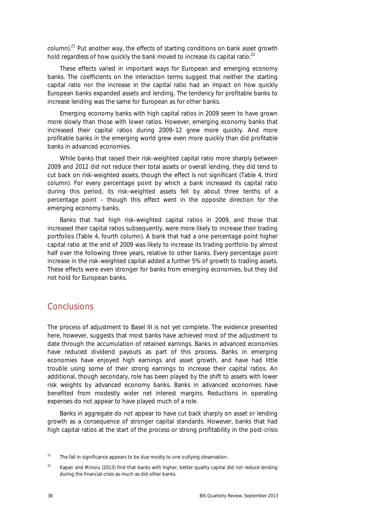column).21 Put another way, the effects of starting conditions on bank asset growth hold *regardless* of how quickly the bank moved to increase its capital ratio.<sup>22</sup>

These effects varied in important ways for European and emerging economy banks. The coefficients on the interaction terms suggest that neither the starting capital ratio nor the increase in the capital ratio had an impact on how quickly European banks expanded assets and lending. The tendency for profitable banks to increase lending was the same for European as for other banks.

Emerging economy banks with high capital ratios in 2009 seem to have grown more slowly than those with lower ratios. However, emerging economy banks that increased their capital ratios during 2009–12 grew more quickly. And more profitable banks in the emerging world grew even more quickly than did profitable banks in advanced economies.

While banks that raised their risk-weighted capital ratio more sharply between 2009 and 2012 did not reduce their total assets or overall lending, they did tend to cut back on risk-weighted assets, though the effect is not significant (Table 4, third column). For every percentage point by which a bank increased its capital ratio during this period, its risk-weighted assets fell by about three tenths of a percentage point – though this effect went in the opposite direction for the emerging economy banks.

Banks that had high risk-weighted capital ratios in 2009, and those that increased their capital ratios subsequently, were more likely to increase their trading portfolios (Table 4, fourth column). A bank that had a one percentage point higher capital ratio at the end of 2009 was likely to increase its trading portfolio by almost half over the following three years, relative to other banks. Every percentage point increase in the risk-weighted capital added a further 5% of growth to trading assets. These effects were even stronger for banks from emerging economies, but they did not hold for European banks.

#### **Conclusions**

The process of adjustment to Basel III is not yet complete. The evidence presented here, however, suggests that most banks have achieved most of the adjustment to date through the accumulation of retained earnings. Banks in advanced economies have reduced dividend payouts as part of this process. Banks in emerging economies have enjoyed high earnings and asset growth, and have had little trouble using some of their strong earnings to increase their capital ratios. An additional, though secondary, role has been played by the shift to assets with lower risk weights by advanced economy banks. Banks in advanced economies have benefited from modestly wider net interest margins. Reductions in operating expenses do not appear to have played much of a role.

Banks in aggregate do not appear to have cut back sharply on asset or lending growth as a consequence of stronger capital standards. However, banks that had high capital ratios at the start of the process or strong profitability in the post-crisis

<sup>&</sup>lt;sup>21</sup> The fall in significance appears to be due mostly to one outlying observation.

<sup>&</sup>lt;sup>22</sup> Kapan and Minoiu (2013) find that banks with higher, better-quality capital did not reduce lending during the financial crisis as much as did other banks.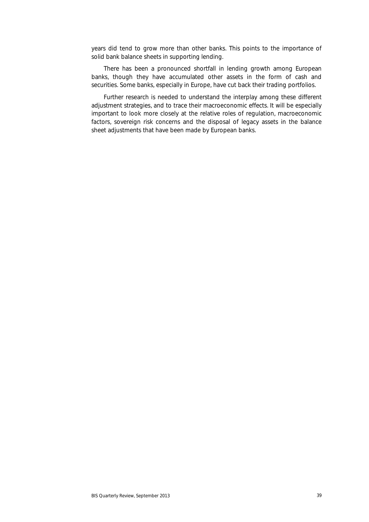years did tend to grow more than other banks. This points to the importance of solid bank balance sheets in supporting lending.

There has been a pronounced shortfall in lending growth among European banks, though they have accumulated other assets in the form of cash and securities. Some banks, especially in Europe, have cut back their trading portfolios.

Further research is needed to understand the interplay among these different adjustment strategies, and to trace their macroeconomic effects. It will be especially important to look more closely at the relative roles of regulation, macroeconomic factors, sovereign risk concerns and the disposal of legacy assets in the balance sheet adjustments that have been made by European banks.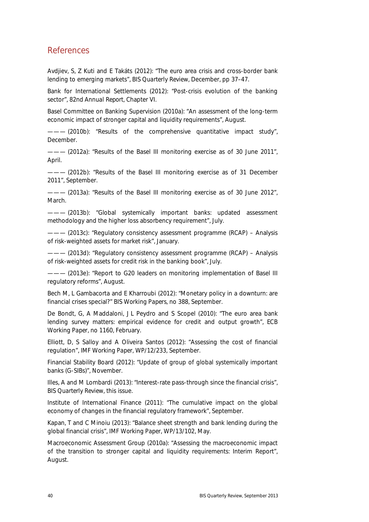## References

Avdjiev, S, Z Kuti and E Takáts (2012): "The euro area crisis and cross-border bank lending to emerging markets", *BIS Quarterly Review*, December, pp 37–47.

Bank for International Settlements (2012): "Post-crisis evolution of the banking sector", *82nd Annual Report,* Chapter VI.

Basel Committee on Banking Supervision (2010a): "An assessment of the long-term economic impact of stronger capital and liquidity requirements", August.

- (2010b): "Results of the comprehensive quantitative impact study", December.

- (2012a): "Results of the Basel III monitoring exercise as of 30 June 2011", April.

——— (2012b): "Results of the Basel III monitoring exercise as of 31 December 2011", September.

——— (2013a): "Results of the Basel III monitoring exercise as of 30 June 2012", March.

 $-$  (2013b): "Global systemically important banks: updated assessment methodology and the higher loss absorbency requirement", July.

 $-$  (2013c): "Regulatory consistency assessment programme (RCAP) - Analysis of risk-weighted assets for market risk", January.

——— (2013d): "Regulatory consistency assessment programme (RCAP) – Analysis of risk-weighted assets for credit risk in the banking book", July.

- (2013e): "Report to G20 leaders on monitoring implementation of Basel III regulatory reforms", August.

Bech M, L Gambacorta and E Kharroubi (2012): "Monetary policy in a downturn: are financial crises special?" *BIS Working Papers*, no 388, September.

De Bondt, G, A Maddaloni, J L Peydro and S Scopel (2010): "The euro area bank lending survey matters: empirical evidence for credit and output growth", *ECB Working Paper*, no 1160, February.

Elliott, D, S Salloy and A Oliveira Santos (2012): "Assessing the cost of financial regulation"*, IMF Working Paper*, WP/12/233, September.

Financial Stability Board (2012): "Update of group of global systemically important banks (G-SIBs)", November.

Illes, A and M Lombardi (2013): "Interest-rate pass-through since the financial crisis", *BIS Quarterly Review,* this issue.

Institute of International Finance (2011): "The cumulative impact on the global economy of changes in the financial regulatory framework", September.

Kapan, T and C Minoiu (2013): "Balance sheet strength and bank lending during the global financial crisis", *IMF Working Paper*, WP/13/102, May.

Macroeconomic Assessment Group (2010a): "Assessing the macroeconomic impact of the transition to stronger capital and liquidity requirements: Interim Report", August.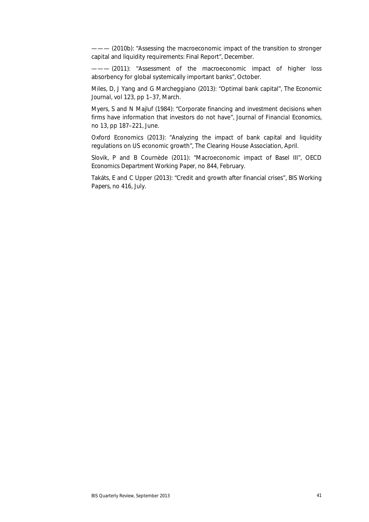$-$  (2010b): "Assessing the macroeconomic impact of the transition to stronger capital and liquidity requirements: Final Report", December.

- (2011): "Assessment of the macroeconomic impact of higher loss absorbency for global systemically important banks", October.

Miles, D, J Yang and G Marcheggiano (2013): "Optimal bank capital", *The Economic Journal*, vol 123, pp 1–37, March.

Myers, S and N Majluf (1984): "Corporate financing and investment decisions when firms have information that investors do not have", *Journal of Financial Economics*, no 13, pp 187–221, June.

Oxford Economics (2013): "Analyzing the impact of bank capital and liquidity regulations on US economic growth", The Clearing House Association, April.

Slovik, P and B Cournède (2011): "Macroeconomic impact of Basel III", *OECD Economics Department Working Pape*r, no 844, February.

Takáts, E and C Upper (2013): "Credit and growth after financial crises", *BIS Working Papers*, no 416, July.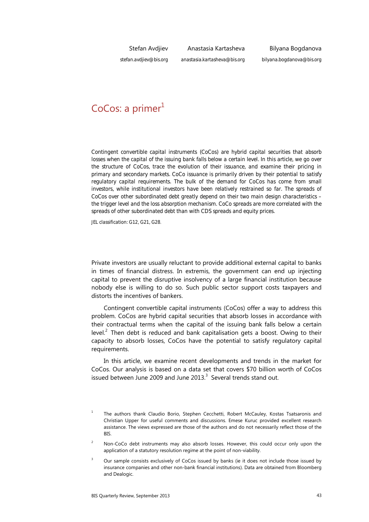Stefan Avdjiev

Anastasia Kartasheva

Bilyana Bogdanova

*stefan.avdjiev@bis.org*

*anastasia.kartasheva@bis.org*

*bilyana.bogdanova@bis.org*

# $CoCos: a primer<sup>1</sup>$

*Contingent convertible capital instruments (CoCos) are hybrid capital securities that absorb losses when the capital of the issuing bank falls below a certain level. In this article, we go over the structure of CoCos, trace the evolution of their issuance, and examine their pricing in primary and secondary markets. CoCo issuance is primarily driven by their potential to satisfy regulatory capital requirements. The bulk of the demand for CoCos has come from small investors, while institutional investors have been relatively restrained so far. The spreads of CoCos over other subordinated debt greatly depend on their two main design characteristics – the trigger level and the loss absorption mechanism. CoCo spreads are more correlated with the spreads of other subordinated debt than with CDS spreads and equity prices.* 

*JEL classification: G12, G21, G28*.

Private investors are usually reluctant to provide additional external capital to banks in times of financial distress. In extremis, the government can end up injecting capital to prevent the disruptive insolvency of a large financial institution because nobody else is willing to do so. Such public sector support costs taxpayers and distorts the incentives of bankers.

Contingent convertible capital instruments (CoCos) offer a way to address this problem. CoCos are hybrid capital securities that absorb losses in accordance with their contractual terms when the capital of the issuing bank falls below a certain level. $^2$  Then debt is reduced and bank capitalisation gets a boost. Owing to their capacity to absorb losses, CoCos have the potential to satisfy regulatory capital requirements.

In this article, we examine recent developments and trends in the market for CoCos. Our analysis is based on a data set that covers \$70 billion worth of CoCos issued between June 2009 and June 2013. $3$  Several trends stand out.

<sup>1</sup> The authors thank Claudio Borio, Stephen Cecchetti, Robert McCauley, Kostas Tsatsaronis and Christian Upper for useful comments and discussions. Emese Kuruc provided excellent research assistance. The views expressed are those of the authors and do not necessarily reflect those of the BIS.

<sup>2</sup> Non-CoCo debt instruments may also absorb losses. However, this could occur only upon the application of a statutory resolution regime at the point of non-viability.

<sup>3</sup> Our sample consists exclusively of CoCos issued by banks (ie it does not include those issued by insurance companies and other non-bank financial institutions). Data are obtained from Bloomberg and Dealogic.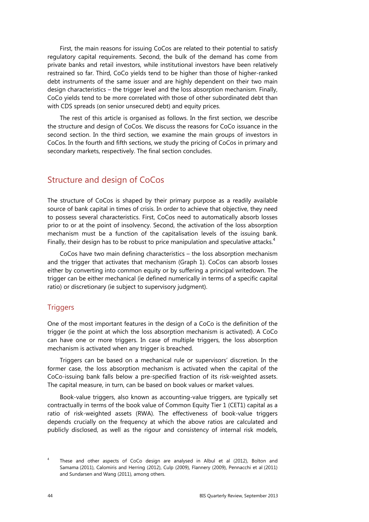First, the main reasons for issuing CoCos are related to their potential to satisfy regulatory capital requirements. Second, the bulk of the demand has come from private banks and retail investors, while institutional investors have been relatively restrained so far. Third, CoCo yields tend to be higher than those of higher-ranked debt instruments of the same issuer and are highly dependent on their two main design characteristics – the trigger level and the loss absorption mechanism. Finally, CoCo yields tend to be more correlated with those of other subordinated debt than with CDS spreads (on senior unsecured debt) and equity prices.

The rest of this article is organised as follows. In the first section, we describe the structure and design of CoCos. We discuss the reasons for CoCo issuance in the second section. In the third section, we examine the main groups of investors in CoCos. In the fourth and fifth sections, we study the pricing of CoCos in primary and secondary markets, respectively. The final section concludes.

## Structure and design of CoCos

The structure of CoCos is shaped by their primary purpose as a readily available source of bank capital in times of crisis. In order to achieve that objective, they need to possess several characteristics. First, CoCos need to automatically absorb losses prior to or at the point of insolvency. Second, the activation of the loss absorption mechanism must be a function of the capitalisation levels of the issuing bank. Finally, their design has to be robust to price manipulation and speculative attacks. $4$ 

CoCos have two main defining characteristics – the loss absorption mechanism and the trigger that activates that mechanism (Graph 1). CoCos can absorb losses either by converting into common equity or by suffering a principal writedown. The trigger can be either mechanical (ie defined numerically in terms of a specific capital ratio) or discretionary (ie subject to supervisory judgment).

#### **Triggers**

One of the most important features in the design of a CoCo is the definition of the trigger (ie the point at which the loss absorption mechanism is activated). A CoCo can have one or more triggers. In case of multiple triggers, the loss absorption mechanism is activated when any trigger is breached.

Triggers can be based on a mechanical rule or supervisors' discretion. In the former case, the loss absorption mechanism is activated when the capital of the CoCo-issuing bank falls below a pre-specified fraction of its risk-weighted assets. The capital measure, in turn, can be based on book values or market values.

Book-value triggers, also known as accounting-value triggers, are typically set contractually in terms of the book value of Common Equity Tier 1 (CET1) capital as a ratio of risk-weighted assets (RWA). The effectiveness of book-value triggers depends crucially on the frequency at which the above ratios are calculated and publicly disclosed, as well as the rigour and consistency of internal risk models,

<sup>4</sup> These and other aspects of CoCo design are analysed in Albul et al (2012), Bolton and Samama (2011), Calomiris and Herring (2012), Culp (2009), Flannery (2009), Pennacchi et al (2011) and Sundarsen and Wang (2011), among others.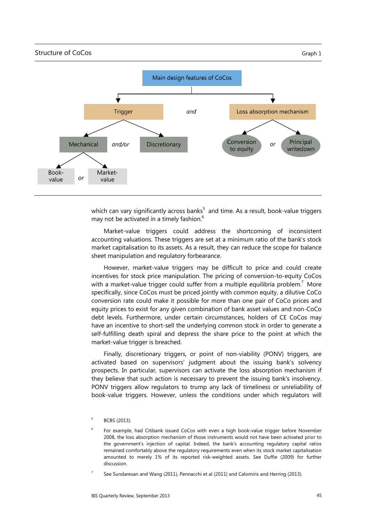

which can vary significantly across banks $^5$  and time. As a result, book-value triggers may not be activated in a timely fashion. $<sup>6</sup>$ </sup>

Market-value triggers could address the shortcoming of inconsistent accounting valuations. These triggers are set at a minimum ratio of the bank's stock market capitalisation to its assets. As a result, they can reduce the scope for balance sheet manipulation and regulatory forbearance.

However, market-value triggers may be difficult to price and could create incentives for stock price manipulation. The pricing of conversion-to-equity CoCos with a market-value trigger could suffer from a multiple equilibria problem.<sup>7</sup> More specifically, since CoCos must be priced jointly with common equity, a dilutive CoCo conversion rate could make it possible for more than one pair of CoCo prices and equity prices to exist for any given combination of bank asset values and non-CoCo debt levels. Furthermore, under certain circumstances, holders of CE CoCos may have an incentive to short-sell the underlying common stock in order to generate a self-fulfilling death spiral and depress the share price to the point at which the market-value trigger is breached.

Finally, discretionary triggers, or point of non-viability (PONV) triggers, are activated based on supervisors' judgment about the issuing bank's solvency prospects. In particular, supervisors can activate the loss absorption mechanism if they believe that such action is necessary to prevent the issuing bank's insolvency. PONV triggers allow regulators to trump any lack of timeliness or unreliability of book-value triggers. However, unless the conditions under which regulators will

<sup>5</sup> BCBS (2013).

<sup>6</sup> For example, had Citibank issued CoCos with even a high book-value trigger before November 2008, the loss absorption mechanism of those instruments would not have been activated prior to the government's injection of capital. Indeed, the bank's accounting regulatory capital ratios remained comfortably above the regulatory requirements even when its stock market capitalisation amounted to merely 1% of its reported risk-weighted assets. See Duffie (2009) for further discussion.

<sup>7</sup> See Sundaresan and Wang (2011), Pennacchi et al (2011) and Calomiris and Herring (2013).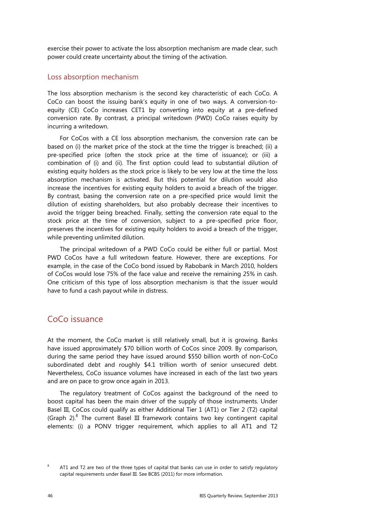exercise their power to activate the loss absorption mechanism are made clear, such power could create uncertainty about the timing of the activation.

#### Loss absorption mechanism

The loss absorption mechanism is the second key characteristic of each CoCo. A CoCo can boost the issuing bank's equity in one of two ways. A conversion-toequity (CE) CoCo increases CET1 by converting into equity at a pre-defined conversion rate. By contrast, a principal writedown (PWD) CoCo raises equity by incurring a writedown.

For CoCos with a CE loss absorption mechanism, the conversion rate can be based on (i) the market price of the stock at the time the trigger is breached; (ii) a pre-specified price (often the stock price at the time of issuance); or (iii) a combination of (i) and (ii). The first option could lead to substantial dilution of existing equity holders as the stock price is likely to be very low at the time the loss absorption mechanism is activated. But this potential for dilution would also increase the incentives for existing equity holders to avoid a breach of the trigger. By contrast, basing the conversion rate on a pre-specified price would limit the dilution of existing shareholders, but also probably decrease their incentives to avoid the trigger being breached. Finally, setting the conversion rate equal to the stock price at the time of conversion, subject to a pre-specified price floor, preserves the incentives for existing equity holders to avoid a breach of the trigger, while preventing unlimited dilution.

The principal writedown of a PWD CoCo could be either full or partial. Most PWD CoCos have a full writedown feature. However, there are exceptions. For example, in the case of the CoCo bond issued by Rabobank in March 2010, holders of CoCos would lose 75% of the face value and receive the remaining 25% in cash. One criticism of this type of loss absorption mechanism is that the issuer would have to fund a cash payout while in distress.

#### CoCo issuance

At the moment, the CoCo market is still relatively small, but it is growing. Banks have issued approximately \$70 billion worth of CoCos since 2009. By comparison, during the same period they have issued around \$550 billion worth of non-CoCo subordinated debt and roughly \$4.1 trillion worth of senior unsecured debt. Nevertheless, CoCo issuance volumes have increased in each of the last two years and are on pace to grow once again in 2013.

The regulatory treatment of CoCos against the background of the need to boost capital has been the main driver of the supply of those instruments. Under Basel III, CoCos could qualify as either Additional Tier 1 (AT1) or Tier 2 (T2) capital (Graph  $2$ ).<sup>8</sup> The current Basel III framework contains two key contingent capital elements: (i) a PONV trigger requirement, which applies to all AT1 and T2

<sup>8</sup> AT1 and T2 are two of the three types of capital that banks can use in order to satisfy regulatory capital requirements under Basel III. See BCBS (2011) for more information.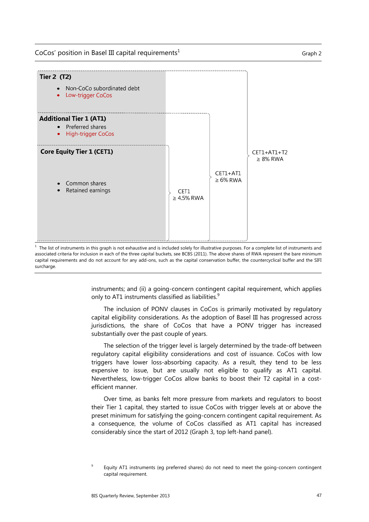$CoCos'$  position in Basel III capital requirements<sup>1</sup> Graph 2



1 The list of instruments in this graph is not exhaustive and is included solely for illustrative purposes. For a complete list of instruments and associated criteria for inclusion in each of the three capital buckets, see BCBS (2011). The above shares of RWA represent the bare minimum capital requirements and do not account for any add-ons, such as the capital conservation buffer, the countercyclical buffer and the SIFI surcharge.

> instruments; and (ii) a going-concern contingent capital requirement, which applies only to AT1 instruments classified as liabilities. $^{9}$

> The inclusion of PONV clauses in CoCos is primarily motivated by regulatory capital eligibility considerations. As the adoption of Basel III has progressed across jurisdictions, the share of CoCos that have a PONV trigger has increased substantially over the past couple of years.

> The selection of the trigger level is largely determined by the trade-off between regulatory capital eligibility considerations and cost of issuance. CoCos with low triggers have lower loss-absorbing capacity. As a result, they tend to be less expensive to issue, but are usually not eligible to qualify as AT1 capital. Nevertheless, low-trigger CoCos allow banks to boost their T2 capital in a costefficient manner.

> Over time, as banks felt more pressure from markets and regulators to boost their Tier 1 capital, they started to issue CoCos with trigger levels at or above the preset minimum for satisfying the going-concern contingent capital requirement. As a consequence, the volume of CoCos classified as AT1 capital has increased considerably since the start of 2012 (Graph 3, top left-hand panel).

<sup>9</sup> Equity AT1 instruments (eg preferred shares) do not need to meet the going-concern contingent capital requirement.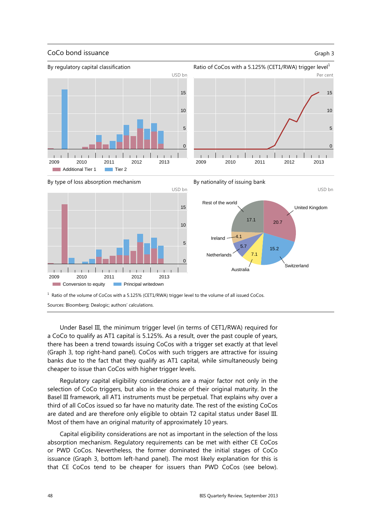#### CoCo bond issuance Graph 3

USD bn

United Kingdom

Switzerland

20.7

15.2

7.1

17.1





By type of loss absorption mechanism





Sources: Bloomberg; Dealogic; authors' calculations.

Under Basel III, the minimum trigger level (in terms of CET1/RWA) required for a CoCo to qualify as AT1 capital is 5.125%. As a result, over the past couple of years, there has been a trend towards issuing CoCos with a trigger set exactly at that level (Graph 3, top right-hand panel). CoCos with such triggers are attractive for issuing banks due to the fact that they qualify as AT1 capital, while simultaneously being cheaper to issue than CoCos with higher trigger levels.

Regulatory capital eligibility considerations are a major factor not only in the selection of CoCo triggers, but also in the choice of their original maturity. In the Basel III framework, all AT1 instruments must be perpetual. That explains why over a third of all CoCos issued so far have no maturity date. The rest of the existing CoCos are dated and are therefore only eligible to obtain T2 capital status under Basel III. Most of them have an original maturity of approximately 10 years.

Capital eligibility considerations are not as important in the selection of the loss absorption mechanism. Regulatory requirements can be met with either CE CoCos or PWD CoCos. Nevertheless, the former dominated the initial stages of CoCo issuance (Graph 3, bottom left-hand panel). The most likely explanation for this is that CE CoCos tend to be cheaper for issuers than PWD CoCos (see below).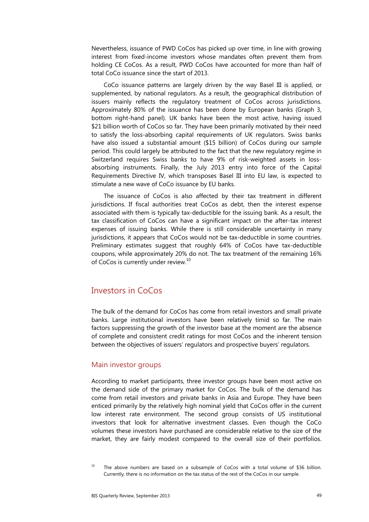Nevertheless, issuance of PWD CoCos has picked up over time, in line with growing interest from fixed-income investors whose mandates often prevent them from holding CE CoCos. As a result, PWD CoCos have accounted for more than half of total CoCo issuance since the start of 2013.

CoCo issuance patterns are largely driven by the way Basel III is applied, or supplemented, by national regulators. As a result, the geographical distribution of issuers mainly reflects the regulatory treatment of CoCos across jurisdictions. Approximately 80% of the issuance has been done by European banks (Graph 3, bottom right-hand panel). UK banks have been the most active, having issued \$21 billion worth of CoCos so far. They have been primarily motivated by their need to satisfy the loss-absorbing capital requirements of UK regulators. Swiss banks have also issued a substantial amount (\$15 billion) of CoCos during our sample period. This could largely be attributed to the fact that the new regulatory regime in Switzerland requires Swiss banks to have 9% of risk-weighted assets in lossabsorbing instruments. Finally, the July 2013 entry into force of the Capital Requirements Directive IV, which transposes Basel III into EU law, is expected to stimulate a new wave of CoCo issuance by EU banks.

The issuance of CoCos is also affected by their tax treatment in different jurisdictions. If fiscal authorities treat CoCos as debt, then the interest expense associated with them is typically tax-deductible for the issuing bank. As a result, the tax classification of CoCos can have a significant impact on the after-tax interest expenses of issuing banks. While there is still considerable uncertainty in many jurisdictions, it appears that CoCos would not be tax-deductible in some countries. Preliminary estimates suggest that roughly 64% of CoCos have tax-deductible coupons, while approximately 20% do not. The tax treatment of the remaining 16% of CoCos is currently under review.<sup>10</sup>

#### Investors in CoCos

The bulk of the demand for CoCos has come from retail investors and small private banks. Large institutional investors have been relatively timid so far. The main factors suppressing the growth of the investor base at the moment are the absence of complete and consistent credit ratings for most CoCos and the inherent tension between the objectives of issuers' regulators and prospective buyers' regulators.

#### Main investor groups

According to market participants, three investor groups have been most active on the demand side of the primary market for CoCos. The bulk of the demand has come from retail investors and private banks in Asia and Europe. They have been enticed primarily by the relatively high nominal yield that CoCos offer in the current low interest rate environment. The second group consists of US institutional investors that look for alternative investment classes. Even though the CoCo volumes these investors have purchased are considerable relative to the size of the market, they are fairly modest compared to the overall size of their portfolios.

 $10$  The above numbers are based on a subsample of CoCos with a total volume of \$36 billion. Currently, there is no information on the tax status of the rest of the CoCos in our sample.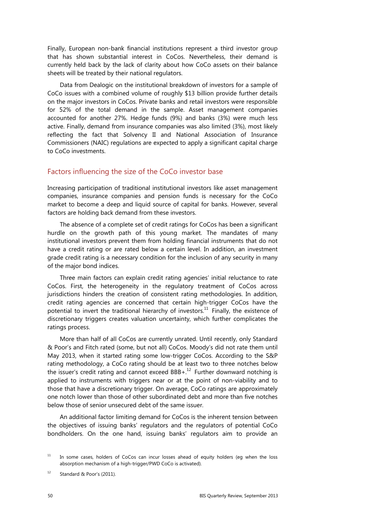Finally, European non-bank financial institutions represent a third investor group that has shown substantial interest in CoCos. Nevertheless, their demand is currently held back by the lack of clarity about how CoCo assets on their balance sheets will be treated by their national regulators.

Data from Dealogic on the institutional breakdown of investors for a sample of CoCo issues with a combined volume of roughly \$13 billion provide further details on the major investors in CoCos. Private banks and retail investors were responsible for 52% of the total demand in the sample. Asset management companies accounted for another 27%. Hedge funds (9%) and banks (3%) were much less active. Finally, demand from insurance companies was also limited (3%), most likely reflecting the fact that Solvency II and National Association of Insurance Commissioners (NAIC) regulations are expected to apply a significant capital charge to CoCo investments.

#### Factors influencing the size of the CoCo investor base

Increasing participation of traditional institutional investors like asset management companies, insurance companies and pension funds is necessary for the CoCo market to become a deep and liquid source of capital for banks. However, several factors are holding back demand from these investors.

The absence of a complete set of credit ratings for CoCos has been a significant hurdle on the growth path of this young market. The mandates of many institutional investors prevent them from holding financial instruments that do not have a credit rating or are rated below a certain level. In addition, an investment grade credit rating is a necessary condition for the inclusion of any security in many of the major bond indices.

Three main factors can explain credit rating agencies' initial reluctance to rate CoCos. First, the heterogeneity in the regulatory treatment of CoCos across jurisdictions hinders the creation of consistent rating methodologies. In addition, credit rating agencies are concerned that certain high-trigger CoCos have the potential to invert the traditional hierarchy of investors.<sup>11</sup> Finally, the existence of discretionary triggers creates valuation uncertainty, which further complicates the ratings process.

More than half of all CoCos are currently unrated. Until recently, only Standard & Poor's and Fitch rated (some, but not all) CoCos. Moody's did not rate them until May 2013, when it started rating some low-trigger CoCos. According to the S&P rating methodology, a CoCo rating should be at least two to three notches below the issuer's credit rating and cannot exceed  $BBB +$ .<sup>12</sup> Further downward notching is applied to instruments with triggers near or at the point of non-viability and to those that have a discretionary trigger. On average, CoCo ratings are approximately one notch lower than those of other subordinated debt and more than five notches below those of senior unsecured debt of the same issuer.

An additional factor limiting demand for CoCos is the inherent tension between the objectives of issuing banks' regulators and the regulators of potential CoCo bondholders. On the one hand, issuing banks' regulators aim to provide an

 $11$  In some cases, holders of CoCos can incur losses ahead of equity holders (eq when the loss absorption mechanism of a high-trigger/PWD CoCo is activated).

 $12$  Standard & Poor's (2011).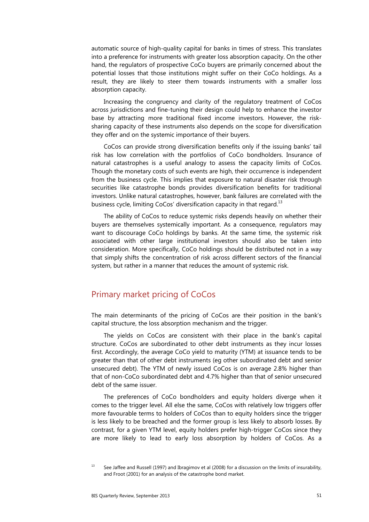automatic source of high-quality capital for banks in times of stress. This translates into a preference for instruments with greater loss absorption capacity. On the other hand, the regulators of prospective CoCo buyers are primarily concerned about the potential losses that those institutions might suffer on their CoCo holdings. As a result, they are likely to steer them towards instruments with a smaller loss absorption capacity.

Increasing the congruency and clarity of the regulatory treatment of CoCos across jurisdictions and fine-tuning their design could help to enhance the investor base by attracting more traditional fixed income investors. However, the risksharing capacity of these instruments also depends on the scope for diversification they offer and on the systemic importance of their buyers.

CoCos can provide strong diversification benefits only if the issuing banks' tail risk has low correlation with the portfolios of CoCo bondholders. Insurance of natural catastrophes is a useful analogy to assess the capacity limits of CoCos. Though the monetary costs of such events are high, their occurrence is independent from the business cycle. This implies that exposure to natural disaster risk through securities like catastrophe bonds provides diversification benefits for traditional investors. Unlike natural catastrophes, however, bank failures are correlated with the business cycle, limiting CoCos' diversification capacity in that regard.<sup>13</sup>

The ability of CoCos to reduce systemic risks depends heavily on whether their buyers are themselves systemically important. As a consequence, regulators may want to discourage CoCo holdings by banks. At the same time, the systemic risk associated with other large institutional investors should also be taken into consideration. More specifically, CoCo holdings should be distributed not in a way that simply shifts the concentration of risk across different sectors of the financial system, but rather in a manner that reduces the amount of systemic risk.

## Primary market pricing of CoCos

The main determinants of the pricing of CoCos are their position in the bank's capital structure, the loss absorption mechanism and the trigger.

The yields on CoCos are consistent with their place in the bank's capital structure. CoCos are subordinated to other debt instruments as they incur losses first. Accordingly, the average CoCo yield to maturity (YTM) at issuance tends to be greater than that of other debt instruments (eg other subordinated debt and senior unsecured debt). The YTM of newly issued CoCos is on average 2.8% higher than that of non-CoCo subordinated debt and 4.7% higher than that of senior unsecured debt of the same issuer.

The preferences of CoCo bondholders and equity holders diverge when it comes to the trigger level. All else the same, CoCos with relatively low triggers offer more favourable terms to holders of CoCos than to equity holders since the trigger is less likely to be breached and the former group is less likely to absorb losses. By contrast, for a given YTM level, equity holders prefer high-trigger CoCos since they are more likely to lead to early loss absorption by holders of CoCos. As a

<sup>&</sup>lt;sup>13</sup> See Jaffee and Russell (1997) and Ibragimov et al (2008) for a discussion on the limits of insurability, and Froot (2001) for an analysis of the catastrophe bond market.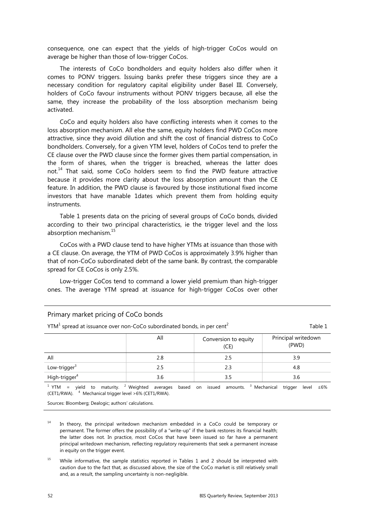consequence, one can expect that the yields of high-trigger CoCos would on average be higher than those of low-trigger CoCos.

The interests of CoCo bondholders and equity holders also differ when it comes to PONV triggers. Issuing banks prefer these triggers since they are a necessary condition for regulatory capital eligibility under Basel III. Conversely, holders of CoCo favour instruments without PONV triggers because, all else the same, they increase the probability of the loss absorption mechanism being activated.

CoCo and equity holders also have conflicting interests when it comes to the loss absorption mechanism. All else the same, equity holders find PWD CoCos more attractive, since they avoid dilution and shift the cost of financial distress to CoCo bondholders. Conversely, for a given YTM level, holders of CoCos tend to prefer the CE clause over the PWD clause since the former gives them partial compensation, in the form of shares, when the trigger is breached, whereas the latter does not.<sup>14</sup> That said, some CoCo holders seem to find the PWD feature attractive because it provides more clarity about the loss absorption amount than the CE feature. In addition, the PWD clause is favoured by those institutional fixed income investors that have manable 1dates which prevent them from holding equity instruments.

Table 1 presents data on the pricing of several groups of CoCo bonds, divided according to their two principal characteristics, ie the trigger level and the loss absorption mechanism.15

CoCos with a PWD clause tend to have higher YTMs at issuance than those with a CE clause. On average, the YTM of PWD CoCos is approximately 3.9% higher than that of non-CoCo subordinated debt of the same bank. By contrast, the comparable spread for CE CoCos is only 2.5%.

Low-trigger CoCos tend to command a lower yield premium than high-trigger ones. The average YTM spread at issuance for high-trigger CoCos over other

| Primary market pricing of CoCo bonds                                                            |     |                              |                              |  |  |
|-------------------------------------------------------------------------------------------------|-----|------------------------------|------------------------------|--|--|
| $YTM1$ spread at issuance over non-CoCo subordinated bonds, in per cent <sup>2</sup><br>Table 1 |     |                              |                              |  |  |
|                                                                                                 | All | Conversion to equity<br>(CE) | Principal writedown<br>(PWD) |  |  |
| All                                                                                             | 2.8 | 2.5                          | 3.9                          |  |  |
| Low-trigger $3$                                                                                 | 2.5 | 2.3                          | 4.8                          |  |  |

<sup>1</sup> YTM = yield to maturity.<sup>2</sup>  $3$  Weighted averages based on issued amounts.  $3$  Mechanical trigger level ≤6%  $(CET1/RWA)$ .  $4$  Mechanical trigger level >6% (CET1/RWA).

 $3.6$   $3.5$   $3.6$ 

Sources: Bloomberg; Dealogic; authors' calculations.

 $14$  In theory, the principal writedown mechanism embedded in a CoCo could be temporary or permanent. The former offers the possibility of a "write-up" if the bank restores its financial health; the latter does not. In practice, most CoCos that have been issued so far have a permanent principal writedown mechanism, reflecting regulatory requirements that seek a permanent increase in equity on the trigger event.

<sup>15</sup> While informative, the sample statistics reported in Tables 1 and 2 should be interpreted with caution due to the fact that, as discussed above, the size of the CoCo market is still relatively small and, as a result, the sampling uncertainty is non-negligible.

High-trigger $4$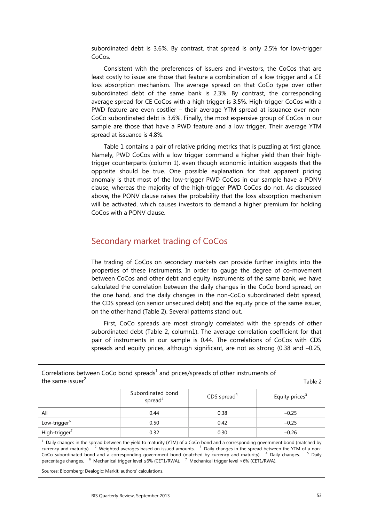subordinated debt is 3.6%. By contrast, that spread is only 2.5% for low-trigger CoCos.

Consistent with the preferences of issuers and investors, the CoCos that are least costly to issue are those that feature a combination of a low trigger and a CE loss absorption mechanism. The average spread on that CoCo type over other subordinated debt of the same bank is 2.3%. By contrast, the corresponding average spread for CE CoCos with a high trigger is 3.5%. High-trigger CoCos with a PWD feature are even costlier – their average YTM spread at issuance over non-CoCo subordinated debt is 3.6%. Finally, the most expensive group of CoCos in our sample are those that have a PWD feature and a low trigger. Their average YTM spread at issuance is 4.8%.

Table 1 contains a pair of relative pricing metrics that is puzzling at first glance. Namely, PWD CoCos with a low trigger command a higher yield than their hightrigger counterparts (column 1), even though economic intuition suggests that the opposite should be true. One possible explanation for that apparent pricing anomaly is that most of the low-trigger PWD CoCos in our sample have a PONV clause, whereas the majority of the high-trigger PWD CoCos do not. As discussed above, the PONV clause raises the probability that the loss absorption mechanism will be activated, which causes investors to demand a higher premium for holding CoCos with a PONV clause.

## Secondary market trading of CoCos

The trading of CoCos on secondary markets can provide further insights into the properties of these instruments. In order to gauge the degree of co-movement between CoCos and other debt and equity instruments of the same bank, we have calculated the correlation between the daily changes in the CoCo bond spread, on the one hand, and the daily changes in the non-CoCo subordinated debt spread, the CDS spread (on senior unsecured debt) and the equity price of the same issuer, on the other hand (Table 2). Several patterns stand out.

First, CoCo spreads are most strongly correlated with the spreads of other subordinated debt (Table 2, column1). The average correlation coefficient for that pair of instruments in our sample is 0.44. The correlations of CoCos with CDS spreads and equity prices, although significant, are not as strong (0.38 and –0.25,

the same issuer $^2$  Subordinated bond  $S$  cDS spread<sup>4</sup> cDS spread<sup>4</sup> Equity prices<sup>5</sup> All  $0.44$   $0.38$   $-0.25$ 

Correlations between CoCo bond spreads<sup>1</sup> and prices/spreads of other instruments of

 $<sup>1</sup>$  Daily changes in the spread between the yield to maturity (YTM) of a CoCo bond and a corresponding government bond (matched by</sup> currency and maturity). <sup>2</sup> Weighted averages based on issued amounts. <sup>3</sup> Daily changes in the spread between the YTM of a non-CoCo subordinated bond and a corresponding government bond (matched by currency and maturity). <sup>4</sup> Daily changes. <sup>5</sup> Daily percentage changes. <sup>6</sup> Mechanical trigger level ≤6% (CET1/RWA). <sup>7</sup> Mechanical trigger level >6% (CET1/RWA).

 $0.50$  0.42  $-0.25$ 

 $0.32$  0.30  $-0.26$ 

Sources: Bloomberg; Dealogic; Markit; authors' calculations.

Low-trigger<sup>6</sup>

High-trigger<sup>/</sup>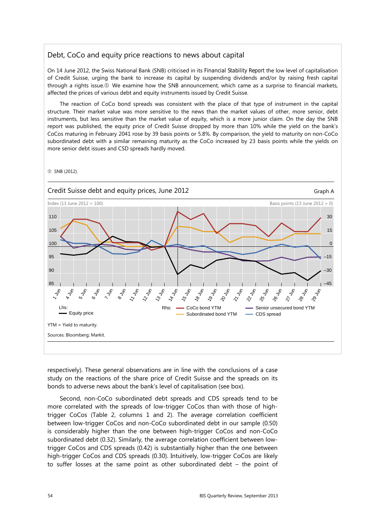#### Debt, CoCo and equity price reactions to news about capital

On 14 June 2012, the Swiss National Bank (SNB) criticised in its *Financial Stability Report* the low level of capitalisation of Credit Suisse, urging the bank to increase its capital by suspending dividends and/or by raising fresh capital through a rights issue. We examine how the SNB announcement, which came as a surprise to financial markets, affected the prices of various debt and equity instruments issued by Credit Suisse.

The reaction of CoCo bond spreads was consistent with the place of that type of instrument in the capital structure. Their market value was more sensitive to the news than the market values of other, more senior, debt instruments, but less sensitive than the market value of equity, which is a more junior claim. On the day the SNB report was published, the equity price of Credit Suisse dropped by more than 10% while the yield on the bank's CoCos maturing in February 2041 rose by 39 basis points or 5.8%. By comparison, the yield to maturity on non-CoCo subordinated debt with a similar remaining maturity as the CoCo increased by 23 basis points while the yields on more senior debt issues and CSD spreads hardly moved.



respectively). These general observations are in line with the conclusions of a case study on the reactions of the share price of Credit Suisse and the spreads on its bonds to adverse news about the bank's level of capitalisation (see box).

Second, non-CoCo subordinated debt spreads and CDS spreads tend to be more correlated with the spreads of low-trigger CoCos than with those of hightrigger CoCos (Table 2, columns 1 and 2). The average correlation coefficient between low-trigger CoCos and non-CoCo subordinated debt in our sample (0.50) is considerably higher than the one between high-trigger CoCos and non-CoCo subordinated debt (0.32). Similarly, the average correlation coefficient between lowtrigger CoCos and CDS spreads (0.42) is substantially higher than the one between high-trigger CoCos and CDS spreads (0.30). Intuitively, low-trigger CoCos are likely to suffer losses at the same point as other subordinated debt – the point of

SNB (2012).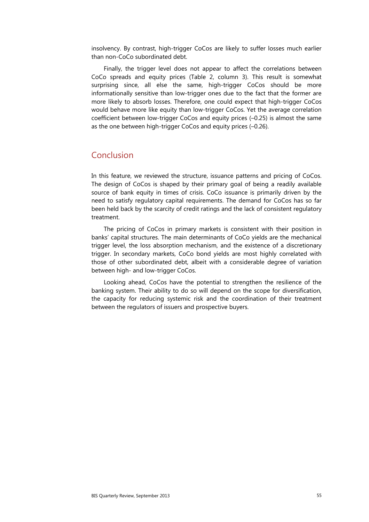insolvency. By contrast, high-trigger CoCos are likely to suffer losses much earlier than non-CoCo subordinated debt.

Finally, the trigger level does not appear to affect the correlations between CoCo spreads and equity prices (Table 2, column 3). This result is somewhat surprising since, all else the same, high-trigger CoCos should be more informationally sensitive than low-trigger ones due to the fact that the former are more likely to absorb losses. Therefore, one could expect that high-trigger CoCos would behave more like equity than low-trigger CoCos. Yet the average correlation coefficient between low-trigger CoCos and equity prices (–0.25) is almost the same as the one between high-trigger CoCos and equity prices (–0.26).

## Conclusion

In this feature, we reviewed the structure, issuance patterns and pricing of CoCos. The design of CoCos is shaped by their primary goal of being a readily available source of bank equity in times of crisis. CoCo issuance is primarily driven by the need to satisfy regulatory capital requirements. The demand for CoCos has so far been held back by the scarcity of credit ratings and the lack of consistent regulatory treatment.

The pricing of CoCos in primary markets is consistent with their position in banks' capital structures. The main determinants of CoCo yields are the mechanical trigger level, the loss absorption mechanism, and the existence of a discretionary trigger. In secondary markets, CoCo bond yields are most highly correlated with those of other subordinated debt, albeit with a considerable degree of variation between high- and low-trigger CoCos.

Looking ahead, CoCos have the potential to strengthen the resilience of the banking system. Their ability to do so will depend on the scope for diversification, the capacity for reducing systemic risk and the coordination of their treatment between the regulators of issuers and prospective buyers.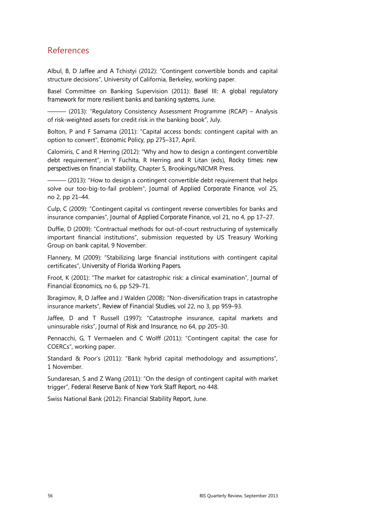## References

Albul, B, D Jaffee and A Tchistyi (2012): "Contingent convertible bonds and capital structure decisions", University of California, Berkeley, working paper.

Basel Committee on Banking Supervision (2011): *Basel III: A global regulatory framework for more resilient banks and banking systems*, June.

- (2013): "Regulatory Consistency Assessment Programme (RCAP) - Analysis of risk-weighted assets for credit risk in the banking book", July.

Bolton, P and F Samama (2011): "Capital access bonds: contingent capital with an option to convert", *Economic Policy*, pp 275–317, April.

Calomiris, C and R Herring (2012): "Why and how to design a contingent convertible debt requirement", in Y Fuchita, R Herring and R Litan (eds), *Rocky times: new perspectives on financial stability*, Chapter 5, Brookings/NICMR Press.

 $-$  (2013): "How to design a contingent convertible debt requirement that helps solve our too-big-to-fail problem", *Journal of Applied Corporate Finance*, vol 25, no 2, pp 21–44.

Culp, C (2009): "Contingent capital vs contingent reverse convertibles for banks and insurance companies", *Journal of Applied Corporate Finance,* vol 21, no 4, pp 17–27.

Duffie, D (2009): "Contractual methods for out-of-court restructuring of systemically important financial institutions", submission requested by US Treasury Working Group on bank capital, 9 November.

Flannery, M (2009): "Stabilizing large financial institutions with contingent capital certificates", *University of Florida Working Papers*.

Froot, K (2001): "The market for catastrophic risk: a clinical examination", *Journal of Financial Economics*, no 6, pp 529–71.

Ibragimov, R, D Jaffee and J Walden (2008): "Non-diversification traps in catastrophe insurance markets", *Review of Financial Studies*, vol 22, no 3, pp 959–93.

Jaffee, D and T Russell (1997): "Catastrophe insurance, capital markets and uninsurable risks", *Journal of Risk and Insurance*, no 64, pp 205–30.

Pennacchi, G, T Vermaelen and C Wolff (2011): "Contingent capital: the case for COERCs", working paper.

Standard & Poor's (2011): "Bank hybrid capital methodology and assumptions", 1 November.

Sundaresan, S and Z Wang (2011): "On the design of contingent capital with market trigger", *Federal Reserve Bank of New York Staff Report*, no 448.

Swiss National Bank (2012): *Financial Stability Report*, June.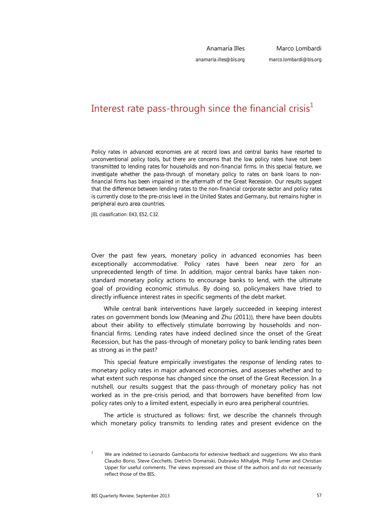Anamaria Illes *anamaria.illes@bis.org*

Marco Lombardi *marco.lombardi@bis.org*

# Interest rate pass-through since the financial crisis<sup>1</sup>

*Policy rates in advanced economies are at record lows and central banks have resorted to unconventional policy tools, but there are concerns that the low policy rates have not been transmitted to lending rates for households and non-financial firms. In this special feature, we investigate whether the pass-through of monetary policy to rates on bank loans to nonfinancial firms has been impaired in the aftermath of the Great Recession. Our results suggest that the difference between lending rates to the non-financial corporate sector and policy rates is currently close to the pre-crisis level in the United States and Germany, but remains higher in peripheral euro area countries.* 

*JEL classification: E43, E52, C32*.

Over the past few years, monetary policy in advanced economies has been exceptionally accommodative. Policy rates have been near zero for an unprecedented length of time. In addition, major central banks have taken nonstandard monetary policy actions to encourage banks to lend, with the ultimate goal of providing economic stimulus. By doing so, policymakers have tried to directly influence interest rates in specific segments of the debt market.

While central bank interventions have largely succeeded in keeping interest rates on government bonds low (Meaning and Zhu (2011)), there have been doubts about their ability to effectively stimulate borrowing by households and nonfinancial firms. Lending rates have indeed declined since the onset of the Great Recession, but has the pass-through of monetary policy to bank lending rates been as strong as in the past?

This special feature empirically investigates the response of lending rates to monetary policy rates in major advanced economies, and assesses whether and to what extent such response has changed since the onset of the Great Recession. In a nutshell, our results suggest that the pass-through of monetary policy has not worked as in the pre-crisis period, and that borrowers have benefited from low policy rates only to a limited extent, especially in euro area peripheral countries.

The article is structured as follows: first, we describe the channels through which monetary policy transmits to lending rates and present evidence on the

<sup>1</sup> We are indebted to Leonardo Gambacorta for extensive feedback and suggestions. We also thank Claudio Borio, Steve Cecchetti, Dietrich Domanski, Dubravko Mihaljek, Philip Turner and Christian Upper for useful comments. The views expressed are those of the authors and do not necessarily reflect those of the BIS.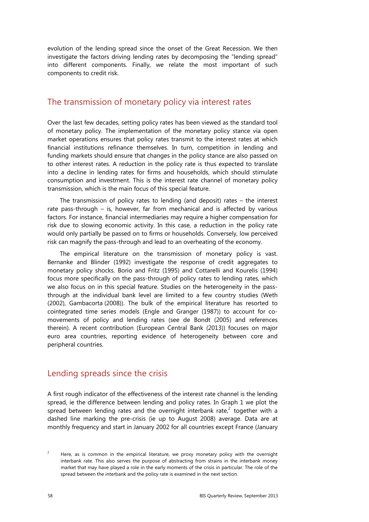evolution of the lending spread since the onset of the Great Recession. We then investigate the factors driving lending rates by decomposing the "lending spread" into different components. Finally, we relate the most important of such components to credit risk.

#### The transmission of monetary policy via interest rates

Over the last few decades, setting policy rates has been viewed as the standard tool of monetary policy. The implementation of the monetary policy stance via open market operations ensures that policy rates transmit to the interest rates at which financial institutions refinance themselves. In turn, competition in lending and funding markets should ensure that changes in the policy stance are also passed on to other interest rates. A reduction in the policy rate is thus expected to translate into a decline in lending rates for firms and households, which should stimulate consumption and investment. This is the interest rate channel of monetary policy transmission, which is the main focus of this special feature.

The transmission of policy rates to lending (and deposit) rates – the interest rate pass-through – is, however, far from mechanical and is affected by various factors. For instance, financial intermediaries may require a higher compensation for risk due to slowing economic activity. In this case, a reduction in the policy rate would only partially be passed on to firms or households. Conversely, low perceived risk can magnify the pass-through and lead to an overheating of the economy.

The empirical literature on the transmission of monetary policy is vast. Bernanke and Blinder (1992) investigate the response of credit aggregates to monetary policy shocks. Borio and Fritz (1995) and Cottarelli and Kourelis (1994) focus more specifically on the pass-through of policy rates to lending rates, which we also focus on in this special feature. Studies on the heterogeneity in the passthrough at the individual bank level are limited to a few country studies (Weth (2002), Gambacorta (2008)). The bulk of the empirical literature has resorted to cointegrated time series models (Engle and Granger (1987)) to account for comovements of policy and lending rates (see de Bondt (2005) and references therein). A recent contribution (European Central Bank (2013)) focuses on major euro area countries, reporting evidence of heterogeneity between core and peripheral countries.

## Lending spreads since the crisis

A first rough indicator of the effectiveness of the interest rate channel is the lending spread, ie the difference between lending and policy rates. In Graph 1 we plot the spread between lending rates and the overnight interbank rate, $^2$  together with a dashed line marking the pre-crisis (ie up to August 2008) average. Data are at monthly frequency and start in January 2002 for all countries except France (January

<sup>2</sup> Here, as is common in the empirical literature, we proxy monetary policy with the overnight interbank rate. This also serves the purpose of abstracting from strains in the interbank money market that may have played a role in the early moments of the crisis in particular. The role of the spread between the interbank and the policy rate is examined in the next section.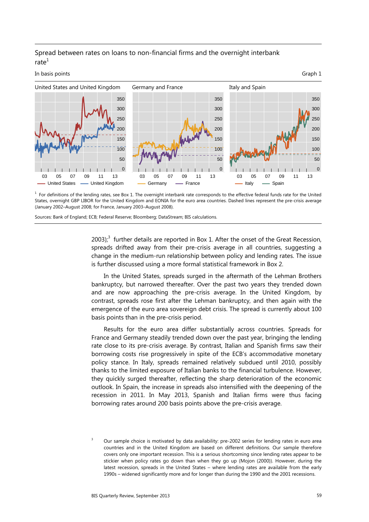#### Spread between rates on loans to non-financial firms and the overnight interbank rate $1$



 $<sup>1</sup>$  For definitions of the lending rates, see Box 1. The overnight interbank rate corresponds to the effective federal funds rate for the United</sup> States, overnight GBP LIBOR for the United Kingdom and EONIA for the euro area countries. Dashed lines represent the pre-crisis average (January 2002–August 2008; for France, January 2003–August 2008).

Sources: Bank of England; ECB; Federal Reserve; Bloomberg; DataStream; BIS calculations.

 $2003$ )<sup>3</sup> further details are reported in Box 1. After the onset of the Great Recession, spreads drifted away from their pre-crisis average in all countries, suggesting a change in the medium-run relationship between policy and lending rates. The issue is further discussed using a more formal statistical framework in Box 2.

In the United States, spreads surged in the aftermath of the Lehman Brothers bankruptcy, but narrowed thereafter. Over the past two years they trended down and are now approaching the pre-crisis average. In the United Kingdom, by contrast, spreads rose first after the Lehman bankruptcy, and then again with the emergence of the euro area sovereign debt crisis. The spread is currently about 100 basis points than in the pre-crisis period.

Results for the euro area differ substantially across countries. Spreads for France and Germany steadily trended down over the past year, bringing the lending rate close to its pre-crisis average. By contrast, Italian and Spanish firms saw their borrowing costs rise progressively in spite of the ECB's accommodative monetary policy stance. In Italy, spreads remained relatively subdued until 2010, possibly thanks to the limited exposure of Italian banks to the financial turbulence. However, they quickly surged thereafter, reflecting the sharp deterioration of the economic outlook. In Spain, the increase in spreads also intensified with the deepening of the recession in 2011. In May 2013, Spanish and Italian firms were thus facing borrowing rates around 200 basis points above the pre-crisis average.

<sup>3</sup> Our sample choice is motivated by data availability: pre-2002 series for lending rates in euro area countries and in the United Kingdom are based on different definitions. Our sample therefore covers only one important recession. This is a serious shortcoming since lending rates appear to be stickier when policy rates go down than when they go up (Mojon (2000)). However, during the latest recession, spreads in the United States – where lending rates are available from the early 1990s – widened significantly more and for longer than during the 1990 and the 2001 recessions.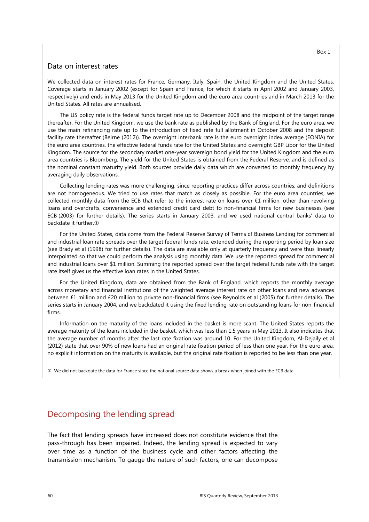#### Data on interest rates

We collected data on interest rates for France, Germany, Italy, Spain, the United Kingdom and the United States. Coverage starts in January 2002 (except for Spain and France, for which it starts in April 2002 and January 2003, respectively) and ends in May 2013 for the United Kingdom and the euro area countries and in March 2013 for the United States. All rates are annualised.

The US policy rate is the federal funds target rate up to December 2008 and the midpoint of the target range thereafter. For the United Kingdom, we use the bank rate as published by the Bank of England. For the euro area, we use the main refinancing rate up to the introduction of fixed rate full allotment in October 2008 and the deposit facility rate thereafter (Beirne (2012)). The overnight interbank rate is the euro overnight index average (EONIA) for the euro area countries, the effective federal funds rate for the United States and overnight GBP Libor for the United Kingdom. The source for the secondary market one-year sovereign bond yield for the United Kingdom and the euro area countries is Bloomberg. The yield for the United States is obtained from the Federal Reserve, and is defined as the nominal constant maturity yield. Both sources provide daily data which are converted to monthly frequency by averaging daily observations.

Collecting lending rates was more challenging, since reporting practices differ across countries, and definitions are not homogeneous. We tried to use rates that match as closely as possible. For the euro area countries, we collected monthly data from the ECB that refer to the interest rate on loans over €1 million, other than revolving loans and overdrafts, convenience and extended credit card debt to non-financial firms for new businesses (see ECB (2003) for further details). The series starts in January 2003, and we used national central banks' data to backdate it further.

For the United States, data come from the Federal Reserve *Survey of Terms of Business Lending* for commercial and industrial loan rate spreads over the target federal funds rate, extended during the reporting period by loan size (see Brady et al (1998) for further details). The data are available only at quarterly frequency and were thus linearly interpolated so that we could perform the analysis using monthly data. We use the reported spread for commercial and industrial loans over \$1 million. Summing the reported spread over the target federal funds rate with the target rate itself gives us the effective loan rates in the United States.

For the United Kingdom, data are obtained from the Bank of England, which reports the monthly average across monetary and financial institutions of the weighted average interest rate on other loans and new advances between £1 million and £20 million to private non-financial firms (see Reynolds et al (2005) for further details). The series starts in January 2004, and we backdated it using the fixed lending rate on outstanding loans for non-financial firms.

Information on the maturity of the loans included in the basket is more scant. The United States reports the average maturity of the loans included in the basket, which was less than 1.5 years in May 2013. It also indicates that the average number of months after the last rate fixation was around 10. For the United Kingdom, Al-Dejaily et al (2012) state that over 90% of new loans had an original rate fixation period of less than one year. For the euro area, no explicit information on the maturity is available, but the original rate fixation is reported to be less than one year.

We did not backdate the data for France since the national source data shows a break when joined with the ECB data.

## Decomposing the lending spread

The fact that lending spreads have increased does not constitute evidence that the pass-through has been impaired. Indeed, the lending spread is expected to vary over time as a function of the business cycle and other factors affecting the transmission mechanism. To gauge the nature of such factors, one can decompose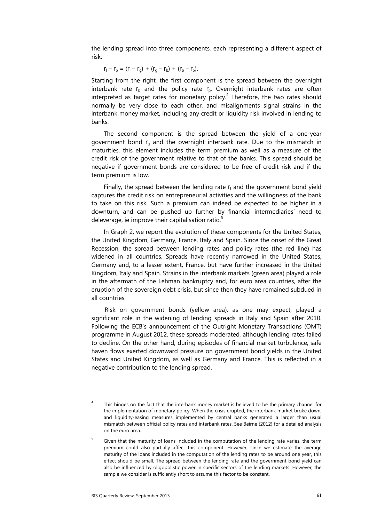the lending spread into three components, each representing a different aspect of risk:

$$
r_1 - r_p = (r_1 - r_g) + (r_g - r_b) + (r_b - r_p).
$$

Starting from the right, the first component is the spread between the overnight interbank rate  $r_b$  and the policy rate  $r_b$ . Overnight interbank rates are often interpreted as target rates for monetary policy. $<sup>4</sup>$  Therefore, the two rates should</sup> normally be very close to each other, and misalignments signal strains in the interbank money market, including any credit or liquidity risk involved in lending to banks.

The second component is the spread between the yield of a one-year government bond  $r_a$  and the overnight interbank rate. Due to the mismatch in maturities, this element includes the term premium as well as a measure of the credit risk of the government relative to that of the banks. This spread should be negative if government bonds are considered to be free of credit risk and if the term premium is low.

Finally, the spread between the lending rate  $r_i$  and the government bond yield captures the credit risk on entrepreneurial activities and the willingness of the bank to take on this risk. Such a premium can indeed be expected to be higher in a downturn, and can be pushed up further by financial intermediaries' need to deleverage, ie improve their capitalisation ratio.<sup>5</sup>

In Graph 2, we report the evolution of these components for the United States, the United Kingdom, Germany, France, Italy and Spain. Since the onset of the Great Recession, the spread between lending rates and policy rates (the red line) has widened in all countries. Spreads have recently narrowed in the United States, Germany and, to a lesser extent, France, but have further increased in the United Kingdom, Italy and Spain. Strains in the interbank markets (green area) played a role in the aftermath of the Lehman bankruptcy and, for euro area countries, after the eruption of the sovereign debt crisis, but since then they have remained subdued in all countries.

Risk on government bonds (yellow area), as one may expect, played a significant role in the widening of lending spreads in Italy and Spain after 2010. Following the ECB's announcement of the Outright Monetary Transactions (OMT) programme in August 2012, these spreads moderated, although lending rates failed to decline. On the other hand, during episodes of financial market turbulence, safe haven flows exerted downward pressure on government bond yields in the United States and United Kingdom, as well as Germany and France. This is reflected in a negative contribution to the lending spread.

<sup>4</sup> This hinges on the fact that the interbank money market is believed to be the primary channel for the implementation of monetary policy. When the crisis erupted, the interbank market broke down, and liquidity-easing measures implemented by central banks generated a larger than usual mismatch between official policy rates and interbank rates. See Beirne (2012) for a detailed analysis on the euro area.

<sup>5</sup> Given that the maturity of loans included in the computation of the lending rate varies, the term premium could also partially affect this component. However, since we estimate the average maturity of the loans included in the computation of the lending rates to be around one year, this effect should be small. The spread between the lending rate and the government bond yield can also be influenced by oligopolistic power in specific sectors of the lending markets. However, the sample we consider is sufficiently short to assume this factor to be constant.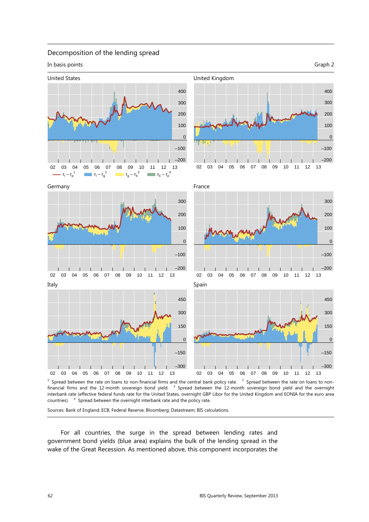#### Decomposition of the lending spread

In basis points Graph 2

0

0

 $\overline{0}$ 



 $<sup>1</sup>$  Spread between the rate on loans to non-financial firms and the central bank policy rate.  $<sup>2</sup>$  Spread between the rate on loans to non-</sup></sup> financial firms and the 12-month sovereign bond yield. <sup>3</sup> Spread between the 12-month sovereign bond yield and the overnight interbank rate (effective federal funds rate for the United States, overnight GBP Libor for the United Kingdom and EONIA for the euro area countries). <sup>4</sup>  $4$  Spread between the overnight interbank rate and the policy rate.

Sources: Bank of England; ECB; Federal Reserve; Bloomberg; Datastream; BIS calculations.

For all countries, the surge in the spread between lending rates and government bond yields (blue area) explains the bulk of the lending spread in the wake of the Great Recession. As mentioned above, this component incorporates the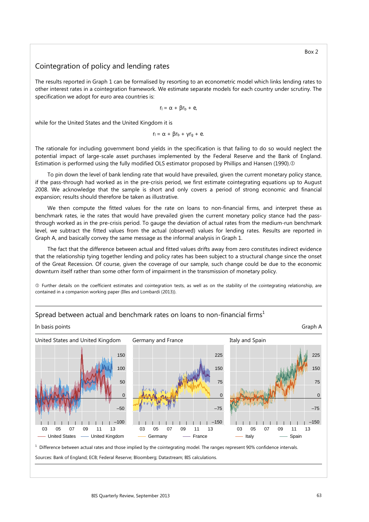#### Cointegration of policy and lending rates

The results reported in Graph 1 can be formalised by resorting to an econometric model which links lending rates to other interest rates in a cointegration framework. We estimate separate models for each country under scrutiny. The specification we adopt for euro area countries is:

 $r_1 = \alpha + \beta r_h + e$ 

while for the United States and the United Kingdom it is

$$
r_1 = \alpha + \beta r_b + \gamma r_g + e.
$$

The rationale for including government bond yields in the specification is that failing to do so would neglect the potential impact of large-scale asset purchases implemented by the Federal Reserve and the Bank of England. Estimation is performed using the fully modified OLS estimator proposed by Phillips and Hansen (1990).

To pin down the level of bank lending rate that would have prevailed, given the current monetary policy stance, if the pass-through had worked as in the pre-crisis period, we first estimate cointegrating equations up to August 2008. We acknowledge that the sample is short and only covers a period of strong economic and financial expansion; results should therefore be taken as illustrative.

We then compute the fitted values for the rate on loans to non-financial firms, and interpret these as benchmark rates, ie the rates that would have prevailed given the current monetary policy stance had the passthrough worked as in the pre-crisis period. To gauge the deviation of actual rates from the medium-run benchmark level, we subtract the fitted values from the actual (observed) values for lending rates. Results are reported in Graph A, and basically convey the same message as the informal analysis in Graph 1.

The fact that the difference between actual and fitted values drifts away from zero constitutes indirect evidence that the relationship tying together lending and policy rates has been subject to a structural change since the onset of the Great Recession. Of course, given the coverage of our sample, such change could be due to the economic downturn itself rather than some other form of impairment in the transmission of monetary policy.

 Further details on the coefficient estimates and cointegration tests, as well as on the stability of the cointegrating relationship, are contained in a companion working paper (Illes and Lombardi (2013)).



#### Spread between actual and benchmark rates on loans to non-financial firms<sup>1</sup>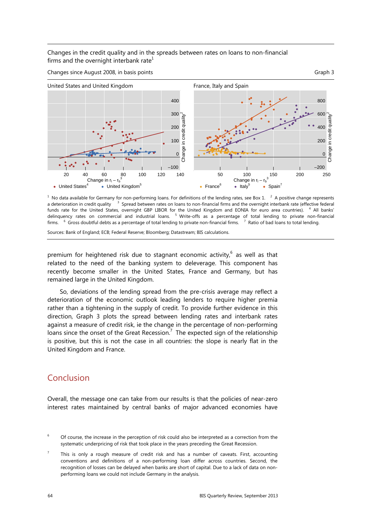Changes in the credit quality and in the spreads between rates on loans to non-financial firms and the overnight interbank rate $1$ 



 $^1$  No data available for Germany for non-performing loans. For definitions of the lending rates, see Box 1.  $^2$  A positive change represents a deterioration in credit quality  $3$  Spread between rates on loans to non-financial firms and the overnight interbank rate (effective federal funds rate for the United States, overnight GBP LIBOR for the United Kingdom and EONIA for euro area countries). <sup>4</sup> All banks' delinquency rates on commercial and industrial loans. <sup>5</sup> Write-offs as a percentage of total lending to private non-financial firms. <sup>6</sup> Gross doubtful debts as a percentage of total lending to private non-financial firms. <sup>7</sup> Ratio of bad loans to total lending.

Sources: Bank of England; ECB; Federal Reserve; Bloomberg; Datastream; BIS calculations.

premium for heightened risk due to stagnant economic activity, $^6$  as well as that related to the need of the banking system to deleverage. This component has recently become smaller in the United States, France and Germany, but has remained large in the United Kingdom.

So, deviations of the lending spread from the pre-crisis average may reflect a deterioration of the economic outlook leading lenders to require higher premia rather than a tightening in the supply of credit. To provide further evidence in this direction, Graph 3 plots the spread between lending rates and interbank rates against a measure of credit risk, ie the change in the percentage of non-performing loans since the onset of the Great Recession.<sup>7</sup> The expected sign of the relationship is positive, but this is not the case in all countries: the slope is nearly flat in the United Kingdom and France.

## Conclusion

Overall, the message one can take from our results is that the policies of near-zero interest rates maintained by central banks of major advanced economies have

<sup>6</sup> Of course, the increase in the perception of risk could also be interpreted as a correction from the systematic underpricing of risk that took place in the years preceding the Great Recession.

<sup>7</sup> This is only a rough measure of credit risk and has a number of caveats. First, accounting conventions and definitions of a non-performing loan differ across countries. Second, the recognition of losses can be delayed when banks are short of capital. Due to a lack of data on nonperforming loans we could not include Germany in the analysis.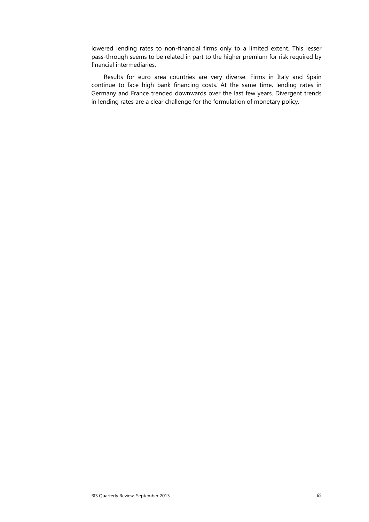lowered lending rates to non-financial firms only to a limited extent. This lesser pass-through seems to be related in part to the higher premium for risk required by financial intermediaries.

Results for euro area countries are very diverse. Firms in Italy and Spain continue to face high bank financing costs. At the same time, lending rates in Germany and France trended downwards over the last few years. Divergent trends in lending rates are a clear challenge for the formulation of monetary policy.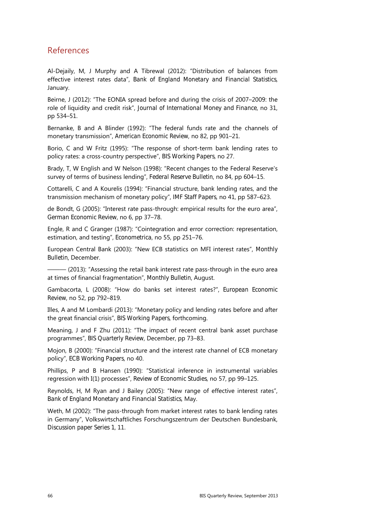## References

Al-Dejaily, M, J Murphy and A Tibrewal (2012): "Distribution of balances from effective interest rates data", *Bank of England Monetary and Financial Statistics*, January.

Beirne, J (2012): "The EONIA spread before and during the crisis of 2007–2009: the role of liquidity and credit risk", *Journal of International Money and Finance*, no 31, pp 534–51.

Bernanke, B and A Blinder (1992): "The federal funds rate and the channels of monetary transmission", *American Economic Review*, no 82, pp 901–21.

Borio, C and W Fritz (1995): "The response of short-term bank lending rates to policy rates: a cross-country perspective", *BIS Working Papers*, no 27.

Brady, T, W English and W Nelson (1998): "Recent changes to the Federal Reserve's survey of terms of business lending", *Federal Reserve Bulletin*, no 84, pp 604–15.

Cottarelli, C and A Kourelis (1994): "Financial structure, bank lending rates, and the transmission mechanism of monetary policy", *IMF Staff Papers*, no 41, pp 587–623.

de Bondt, G (2005): "Interest rate pass-through: empirical results for the euro area", *German Economic Review*, no 6, pp 37–78.

Engle, R and C Granger (1987): "Cointegration and error correction: representation, estimation, and testing", *Econometrica*, no 55, pp 251–76.

European Central Bank (2003): "New ECB statistics on MFI interest rates", *Monthly Bulletin*, December.

 $-$  (2013): "Assessing the retail bank interest rate pass-through in the euro area at times of financial fragmentation", *Monthly Bulletin*, August.

Gambacorta, L (2008): "How do banks set interest rates?", *European Economic Review*, no 52, pp 792–819.

Illes, A and M Lombardi (2013): "Monetary policy and lending rates before and after the great financial crisis", *BIS Working Papers*, forthcoming.

Meaning, J and F Zhu (2011): "The impact of recent central bank asset purchase programmes", *BIS Quarterly Review*, December, pp 73–83.

Mojon, B (2000): "Financial structure and the interest rate channel of ECB monetary policy", *ECB Working Papers*, no 40.

Phillips, P and B Hansen (1990): "Statistical inference in instrumental variables regression with I(1) processes", *Review of Economic Studies*, no 57, pp 99–125.

Reynolds, H, M Ryan and J Bailey (2005): "New range of effective interest rates", *Bank of England Monetary and Financial Statistics*, May.

Weth, M (2002): "The pass-through from market interest rates to bank lending rates in Germany", Volkswirtschaftliches Forschungszentrum der Deutschen Bundesbank, *Discussion paper Series 1*, 11.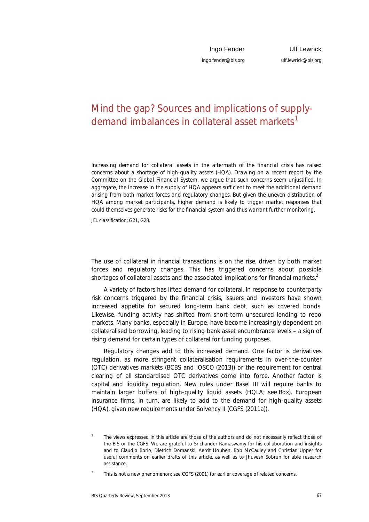# Mind the gap? Sources and implications of supplydemand imbalances in collateral asset markets<sup>1</sup>

*Increasing demand for collateral assets in the aftermath of the financial crisis has raised concerns about a shortage of high-quality assets (HQA). Drawing on a recent report by the Committee on the Global Financial System, we argue that such concerns seem unjustified. In aggregate, the increase in the supply of HQA appears sufficient to meet the additional demand arising from both market forces and regulatory changes. But given the uneven distribution of HQA among market participants, higher demand is likely to trigger market responses that could themselves generate risks for the financial system and thus warrant further monitoring.* 

*JEL classification: G21, G28*.

The use of collateral in financial transactions is on the rise, driven by both market forces and regulatory changes. This has triggered concerns about possible shortages of collateral assets and the associated implications for financial markets. $2$ 

A variety of factors has lifted demand for collateral. In response to counterparty risk concerns triggered by the financial crisis, issuers and investors have shown increased appetite for secured long-term bank debt, such as covered bonds. Likewise, funding activity has shifted from short-term unsecured lending to repo markets. Many banks, especially in Europe, have become increasingly dependent on collateralised borrowing, leading to rising bank asset encumbrance levels – a sign of rising demand for certain types of collateral for funding purposes.

Regulatory changes add to this increased demand. One factor is derivatives regulation, as more stringent collateralisation requirements in over-the-counter (OTC) derivatives markets (BCBS and IOSCO (2013)) or the requirement for central clearing of all standardised OTC derivatives come into force. Another factor is capital and liquidity regulation. New rules under Basel III will require banks to maintain larger buffers of high-quality liquid assets (HQLA; see Box). European insurance firms, in turn, are likely to add to the demand for high-quality assets (HQA), given new requirements under Solvency II (CGFS (2011a)).

<sup>1</sup> The views expressed in this article are those of the authors and do not necessarily reflect those of the BIS or the CGFS. We are grateful to Srichander Ramaswamy for his collaboration and insights and to Claudio Borio, Dietrich Domanski, Aerdt Houben, Bob McCauley and Christian Upper for useful comments on earlier drafts of this article, as well as to Jhuvesh Sobrun for able research assistance.

 $\overline{2}$ This is not a new phenomenon; see CGFS (2001) for earlier coverage of related concerns.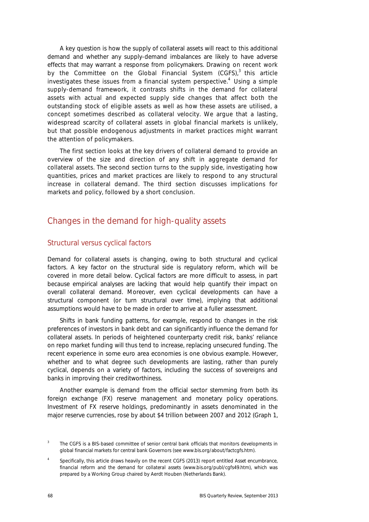A key question is how the supply of collateral assets will react to this additional demand and whether any supply-demand imbalances are likely to have adverse effects that may warrant a response from policymakers. Drawing on recent work by the Committee on the Global Financial System (CGFS),<sup>3</sup> this article investigates these issues from a financial system perspective.<sup>4</sup> Using a simple supply-demand framework, it contrasts shifts in the demand for collateral assets with actual and expected supply side changes that affect both the outstanding stock of eligible assets as well as how these assets are utilised, a concept sometimes described as collateral velocity. We argue that a lasting, widespread scarcity of collateral assets in global financial markets is unlikely, but that possible endogenous adjustments in market practices might warrant the attention of policymakers.

The first section looks at the key drivers of collateral demand to provide an overview of the size and direction of any shift in aggregate demand for collateral assets. The second section turns to the supply side, investigating how quantities, prices and market practices are likely to respond to any structural increase in collateral demand. The third section discusses implications for markets and policy, followed by a short conclusion.

## Changes in the demand for high-quality assets

#### Structural versus cyclical factors

Demand for collateral assets is changing, owing to both structural and cyclical factors. A key factor on the structural side is regulatory reform, which will be covered in more detail below. Cyclical factors are more difficult to assess, in part because empirical analyses are lacking that would help quantify their impact on overall collateral demand. Moreover, even cyclical developments can have a structural component (or turn structural over time), implying that additional assumptions would have to be made in order to arrive at a fuller assessment.

Shifts in bank funding patterns, for example, respond to changes in the risk preferences of investors in bank debt and can significantly influence the demand for collateral assets. In periods of heightened counterparty credit risk, banks' reliance on repo market funding will thus tend to increase, replacing unsecured funding. The recent experience in some euro area economies is one obvious example. However, whether and to what degree such developments are lasting, rather than purely cyclical, depends on a variety of factors, including the success of sovereigns and banks in improving their creditworthiness.

Another example is demand from the official sector stemming from both its foreign exchange (FX) reserve management and monetary policy operations. Investment of FX reserve holdings, predominantly in assets denominated in the major reserve currencies, rose by about \$4 trillion between 2007 and 2012 (Graph 1,

<sup>3</sup> The CGFS is a BIS-based committee of senior central bank officials that monitors developments in global financial markets for central bank Governors (see www.bis.org/about/factcgfs.htm).

<sup>4</sup> Specifically, this article draws heavily on the recent CGFS (2013) report entitled *Asset encumbrance, financial reform and the demand for collateral assets* (www.bis.org/publ/cgfs49.htm), which was prepared by a Working Group chaired by Aerdt Houben (Netherlands Bank).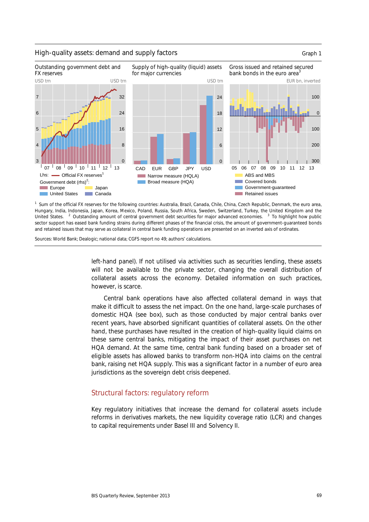

#### High-quality assets: demand and supply factors example that the control of Graph 1



Sources: World Bank; Dealogic; national data; CGFS report no 49; authors' calculations.

left-hand panel). If not utilised via activities such as securities lending, these assets will not be available to the private sector, changing the overall distribution of collateral assets across the economy. Detailed information on such practices, however, is scarce.

Central bank operations have also affected collateral demand in ways that make it difficult to assess the net impact. On the one hand, large-scale purchases of domestic HQA (see box), such as those conducted by major central banks over recent years, have absorbed significant quantities of collateral assets. On the other hand, these purchases have resulted in the creation of high-quality liquid claims on these same central banks, mitigating the impact of their asset purchases on net HQA demand. At the same time, central bank funding based on a broader set of eligible assets has allowed banks to transform non-HQA into claims on the central bank, raising net HQA supply. This was a significant factor in a number of euro area jurisdictions as the sovereign debt crisis deepened.

#### Structural factors: regulatory reform

Key regulatory initiatives that increase the demand for collateral assets include reforms in derivatives markets, the new liquidity coverage ratio (LCR) and changes to capital requirements under Basel III and Solvency II.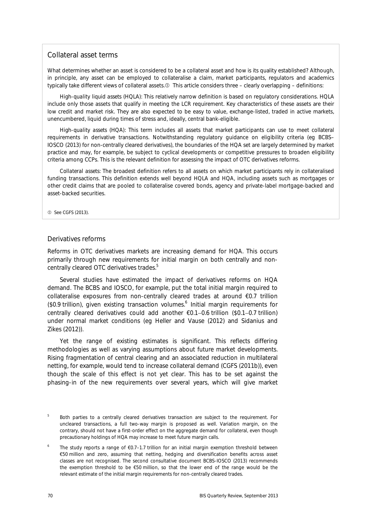#### Collateral asset terms

What determines whether an asset is considered to be a collateral asset and how is its quality established? Although, in principle, any asset can be employed to collateralise a claim, market participants, regulators and academics typically take different views of collateral assets. This article considers three – clearly overlapping – definitions:

*High-quality liquid assets (HQLA):* This relatively narrow definition is based on regulatory considerations. HQLA include only those assets that qualify in meeting the LCR requirement. Key characteristics of these assets are their low credit and market risk. They are also expected to be easy to value, exchange-listed, traded in active markets, unencumbered, liquid during times of stress and, ideally, central bank-eligible.

*High-quality assets (HQA):* This term includes all assets that market participants can use to meet collateral requirements in derivative transactions. Notwithstanding regulatory guidance on eligibility criteria (eg BCBS– IOSCO (2013) for non-centrally cleared derivatives), the boundaries of the HQA set are largely determined by market practice and may, for example, be subject to cyclical developments or competitive pressures to broaden eligibility criteria among CCPs. This is the relevant definition for assessing the impact of OTC derivatives reforms.

*Collateral assets:* The broadest definition refers to all assets on which market participants rely in collateralised funding transactions. This definition extends well beyond HQLA and HQA, including assets such as mortgages or other credit claims that are pooled to collateralise covered bonds, agency and private-label mortgage-backed and asset-backed securities.

**12** See CGFS (2013).

#### Derivatives reforms

Reforms in OTC derivatives markets are increasing demand for HQA. This occurs primarily through new requirements for initial margin on both centrally and noncentrally cleared OTC derivatives trades. $5$ 

Several studies have estimated the impact of derivatives reforms on HQA demand. The BCBS and IOSCO, for example, put the total initial margin required to collateralise exposures from non-centrally cleared trades at around €0.7 trillion (\$0.9 trillion), given existing transaction volumes. $6$  Initial margin requirements for centrally cleared derivatives could add another  $\epsilon$ 0.1-0.6 trillion (\$0.1-0.7 trillion) under normal market conditions (eg Heller and Vause (2012) and Sidanius and Zikes (2012)).

Yet the range of existing estimates is significant. This reflects differing methodologies as well as varying assumptions about future market developments. Rising fragmentation of central clearing and an associated reduction in multilateral netting, for example, would tend to increase collateral demand (CGFS (2011b)), even though the scale of this effect is not yet clear. This has to be set against the phasing-in of the new requirements over several years, which will give market

<sup>5</sup> Both parties to a centrally cleared derivatives transaction are subject to the requirement. For uncleared transactions, a full two-way margin is proposed as well. Variation margin, on the contrary, should not have a first-order effect on the aggregate demand for collateral, even though precautionary holdings of HQA may increase to meet future margin calls.

<sup>6</sup> The study reports a range of €0.7–1.7 trillion for an initial margin exemption threshold between €50 million and zero, assuming that netting, hedging and diversification benefits across asset classes are not recognised. The second consultative document BCBS-IOSCO (2013) recommends the exemption threshold to be €50 million, so that the lower end of the range would be the relevant estimate of the initial margin requirements for non-centrally cleared trades.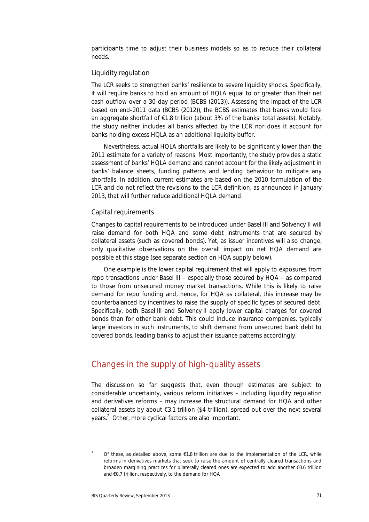participants time to adjust their business models so as to reduce their collateral needs.

#### Liquidity regulation

The LCR seeks to strengthen banks' resilience to severe liquidity shocks. Specifically, it will require banks to hold an amount of HQLA equal to or greater than their net cash outflow over a 30-day period (BCBS (2013)). Assessing the impact of the LCR based on end-2011 data (BCBS (2012)), the BCBS estimates that banks would face an aggregate shortfall of  $E1.8$  trillion (about 3% of the banks' total assets). Notably, the study neither includes all banks affected by the LCR nor does it account for banks holding excess HQLA as an additional liquidity buffer.

Nevertheless, actual HQLA shortfalls are likely to be significantly lower than the 2011 estimate for a variety of reasons. Most importantly, the study provides a static assessment of banks' HQLA demand and cannot account for the likely adjustment in banks' balance sheets, funding patterns and lending behaviour to mitigate any shortfalls. In addition, current estimates are based on the 2010 formulation of the LCR and do not reflect the revisions to the LCR definition, as announced in January 2013, that will further reduce additional HQLA demand.

#### Capital requirements

Changes to capital requirements to be introduced under Basel III and Solvency II will raise demand for both HQA and some debt instruments that are secured by collateral assets (such as covered bonds). Yet, as issuer incentives will also change, only qualitative observations on the overall impact on net HQA demand are possible at this stage (see separate section on HQA supply below).

One example is the lower capital requirement that will apply to exposures from repo transactions under Basel III – especially those secured by HQA – as compared to those from unsecured money market transactions. While this is likely to raise demand for repo funding and, hence, for HQA as collateral, this increase may be counterbalanced by incentives to raise the supply of specific types of secured debt. Specifically, both Basel III and Solvency II apply lower capital charges for covered bonds than for other bank debt. This could induce insurance companies, typically large investors in such instruments, to shift demand from unsecured bank debt to covered bonds, leading banks to adjust their issuance patterns accordingly.

## Changes in the supply of high-quality assets

The discussion so far suggests that, even though estimates are subject to considerable uncertainty, various reform initiatives – including liquidity regulation and derivatives reforms – may increase the structural demand for HQA and other collateral assets by about €3.1 trillion (\$4 trillion), spread out over the next several years.<sup>7</sup> Other, more cyclical factors are also important.

<sup>7</sup> Of these, as detailed above, some  $\epsilon$ 1.8 trillion are due to the implementation of the LCR, while reforms in derivatives markets that seek to raise the amount of centrally cleared transactions and broaden margining practices for bilaterally cleared ones are expected to add another €0.6 trillion and €0.7 trillion, respectively, to the demand for HQA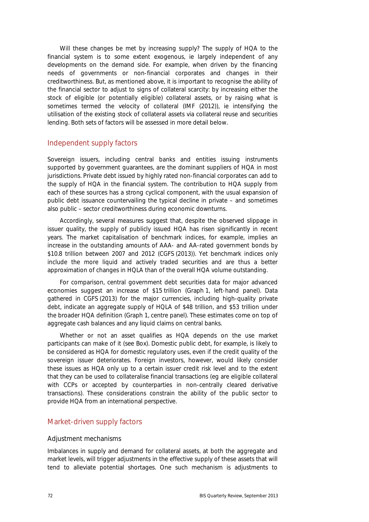Will these changes be met by increasing supply? The supply of HQA to the financial system is to some extent exogenous, ie largely independent of any developments on the demand side. For example, when driven by the financing needs of governments or non-financial corporates and changes in their creditworthiness. But, as mentioned above, it is important to recognise the ability of the financial sector to adjust to signs of collateral scarcity: by increasing either the stock of eligible (or potentially eligible) collateral assets, or by raising what is sometimes termed the velocity of collateral (IMF (2012)), ie intensifying the utilisation of the existing stock of collateral assets via collateral reuse and securities lending. Both sets of factors will be assessed in more detail below.

#### Independent supply factors

Sovereign issuers, including central banks and entities issuing instruments supported by government guarantees, are the dominant suppliers of HQA in most jurisdictions. Private debt issued by highly rated non-financial corporates can add to the supply of HQA in the financial system. The contribution to HQA supply from each of these sources has a strong cyclical component, with the usual expansion of public debt issuance countervailing the typical decline in private – and sometimes also public – sector creditworthiness during economic downturns.

Accordingly, several measures suggest that, despite the observed slippage in issuer quality, the supply of publicly issued HQA has risen significantly in recent years. The market capitalisation of benchmark indices, for example, implies an increase in the outstanding amounts of AAA- and AA-rated government bonds by \$10.8 trillion between 2007 and 2012 (CGFS (2013)). Yet benchmark indices only include the more liquid and actively traded securities and are thus a better approximation of changes in HQLA than of the overall HQA volume outstanding.

For comparison, central government debt securities data for major advanced economies suggest an increase of \$15 trillion (Graph 1, left-hand panel). Data gathered in CGFS (2013) for the major currencies, including high-quality private debt, indicate an aggregate supply of HQLA of \$48 trillion, and \$53 trillion under the broader HQA definition (Graph 1, centre panel). These estimates come on top of aggregate cash balances and any liquid claims on central banks.

Whether or not an asset qualifies as HQA depends on the use market participants can make of it (see Box). Domestic public debt, for example, is likely to be considered as HQA for domestic regulatory uses, even if the credit quality of the sovereign issuer deteriorates. Foreign investors, however, would likely consider these issues as HQA only up to a certain issuer credit risk level and to the extent that they can be used to collateralise financial transactions (eg are eligible collateral with CCPs or accepted by counterparties in non-centrally cleared derivative transactions). These considerations constrain the ability of the public sector to provide HQA from an international perspective.

#### Market-driven supply factors

#### Adjustment mechanisms

Imbalances in supply and demand for collateral assets, at both the aggregate and market levels, will trigger adjustments in the effective supply of these assets that will tend to alleviate potential shortages. One such mechanism is adjustments to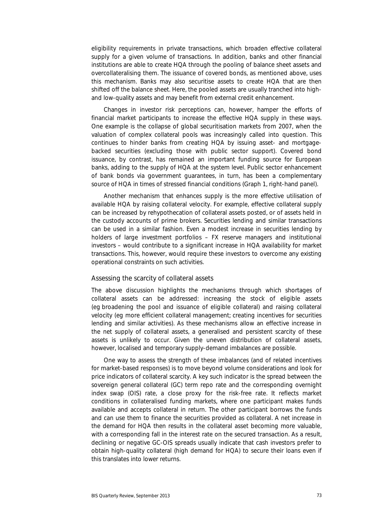eligibility requirements in private transactions, which broaden effective collateral supply for a given volume of transactions. In addition, banks and other financial institutions are able to create HQA through the pooling of balance sheet assets and overcollateralising them. The issuance of covered bonds, as mentioned above, uses this mechanism. Banks may also securitise assets to create HQA that are then shifted off the balance sheet. Here, the pooled assets are usually tranched into highand low-quality assets and may benefit from external credit enhancement.

Changes in investor risk perceptions can, however, hamper the efforts of financial market participants to increase the effective HQA supply in these ways. One example is the collapse of global securitisation markets from 2007, when the valuation of complex collateral pools was increasingly called into question. This continues to hinder banks from creating HQA by issuing asset- and mortgagebacked securities (excluding those with public sector support). Covered bond issuance, by contrast, has remained an important funding source for European banks, adding to the supply of HQA at the system level. Public sector enhancement of bank bonds via government guarantees, in turn, has been a complementary source of HQA in times of stressed financial conditions (Graph 1, right-hand panel).

Another mechanism that enhances supply is the more effective utilisation of available HQA by raising collateral velocity. For example, effective collateral supply can be increased by rehypothecation of collateral assets posted, or of assets held in the custody accounts of prime brokers. Securities lending and similar transactions can be used in a similar fashion. Even a modest increase in securities lending by holders of large investment portfolios – FX reserve managers and institutional investors – would contribute to a significant increase in HQA availability for market transactions. This, however, would require these investors to overcome any existing operational constraints on such activities.

#### Assessing the scarcity of collateral assets

The above discussion highlights the mechanisms through which shortages of collateral assets can be addressed: increasing the stock of eligible assets (eg broadening the pool and issuance of eligible collateral) and raising collateral velocity (eg more efficient collateral management; creating incentives for securities lending and similar activities). As these mechanisms allow an effective increase in the net supply of collateral assets, a generalised and persistent scarcity of these assets is unlikely to occur. Given the uneven distribution of collateral assets, however, localised and temporary supply-demand imbalances are possible.

One way to assess the strength of these imbalances (and of related incentives for market-based responses) is to move beyond volume considerations and look for price indicators of collateral scarcity. A key such indicator is the spread between the sovereign general collateral (GC) term repo rate and the corresponding overnight index swap (OIS) rate, a close proxy for the risk-free rate. It reflects market conditions in collateralised funding markets, where one participant makes funds available and accepts collateral in return. The other participant borrows the funds and can use them to finance the securities provided as collateral. A net increase in the demand for HQA then results in the collateral asset becoming more valuable, with a corresponding fall in the interest rate on the secured transaction. As a result, declining or negative GC-OIS spreads usually indicate that cash investors prefer to obtain high-quality collateral (high demand for HQA) to secure their loans even if this translates into lower returns.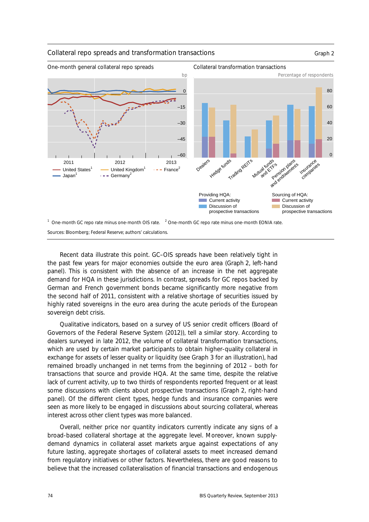

Recent data illustrate this point. GC–OIS spreads have been relatively tight in the past few years for major economies outside the euro area (Graph 2, left-hand panel). This is consistent with the absence of an increase in the net aggregate demand for HQA in these jurisdictions. In contrast, spreads for GC repos backed by German and French government bonds became significantly more negative from the second half of 2011, consistent with a relative shortage of securities issued by highly rated sovereigns in the euro area during the acute periods of the European sovereign debt crisis.

Qualitative indicators, based on a survey of US senior credit officers (Board of Governors of the Federal Reserve System (2012)), tell a similar story. According to dealers surveyed in late 2012, the volume of collateral transformation transactions, which are used by certain market participants to obtain higher-quality collateral in exchange for assets of lesser quality or liquidity (see Graph 3 for an illustration), had remained broadly unchanged in net terms from the beginning of 2012 – both for transactions that source and provide HQA. At the same time, despite the relative lack of current activity, up to two thirds of respondents reported frequent or at least some discussions with clients about prospective transactions (Graph 2, right-hand panel). Of the different client types, hedge funds and insurance companies were seen as more likely to be engaged in discussions about sourcing collateral, whereas interest across other client types was more balanced.

Overall, neither price nor quantity indicators currently indicate any signs of a broad-based collateral shortage at the aggregate level. Moreover, known supplydemand dynamics in collateral asset markets argue against expectations of any future lasting, aggregate shortages of collateral assets to meet increased demand from regulatory initiatives or other factors. Nevertheless, there are good reasons to believe that the increased collateralisation of financial transactions and endogenous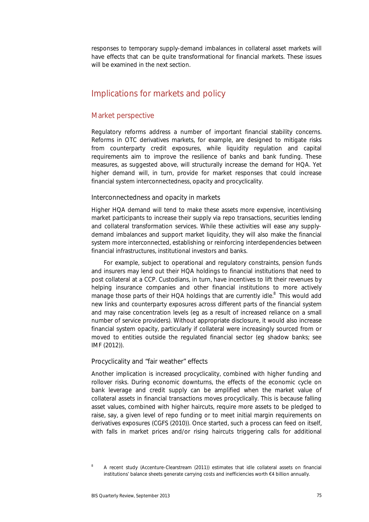responses to temporary supply-demand imbalances in collateral asset markets will have effects that can be quite transformational for financial markets. These issues will be examined in the next section.

## Implications for markets and policy

#### Market perspective

Regulatory reforms address a number of important financial stability concerns. Reforms in OTC derivatives markets, for example, are designed to mitigate risks from counterparty credit exposures, while liquidity regulation and capital requirements aim to improve the resilience of banks and bank funding. These measures, as suggested above, will structurally increase the demand for HQA. Yet higher demand will, in turn, provide for market responses that could increase financial system interconnectedness, opacity and procyclicality.

#### Interconnectedness and opacity in markets

Higher HQA demand will tend to make these assets more expensive, incentivising market participants to increase their supply via repo transactions, securities lending and collateral transformation services. While these activities will ease any supplydemand imbalances and support market liquidity, they will also make the financial system more interconnected, establishing or reinforcing interdependencies between financial infrastructures, institutional investors and banks.

For example, subject to operational and regulatory constraints, pension funds and insurers may lend out their HQA holdings to financial institutions that need to post collateral at a CCP. Custodians, in turn, have incentives to lift their revenues by helping insurance companies and other financial institutions to more actively manage those parts of their HQA holdings that are currently idle.<sup>8</sup> This would add new links and counterparty exposures across different parts of the financial system and may raise concentration levels (eg as a result of increased reliance on a small number of service providers). Without appropriate disclosure, it would also increase financial system opacity, particularly if collateral were increasingly sourced from or moved to entities outside the regulated financial sector (eg shadow banks; see IMF (2012)).

#### Procyclicality and "fair weather" effects

Another implication is increased procyclicality, combined with higher funding and rollover risks. During economic downturns, the effects of the economic cycle on bank leverage and credit supply can be amplified when the market value of collateral assets in financial transactions moves procyclically. This is because falling asset values, combined with higher haircuts, require more assets to be pledged to raise, say, a given level of repo funding or to meet initial margin requirements on derivatives exposures (CGFS (2010)). Once started, such a process can feed on itself, with falls in market prices and/or rising haircuts triggering calls for additional

<sup>8</sup> A recent study (Accenture-Clearstream (2011)) estimates that idle collateral assets on financial institutions' balance sheets generate carrying costs and inefficiencies worth €4 billion annually.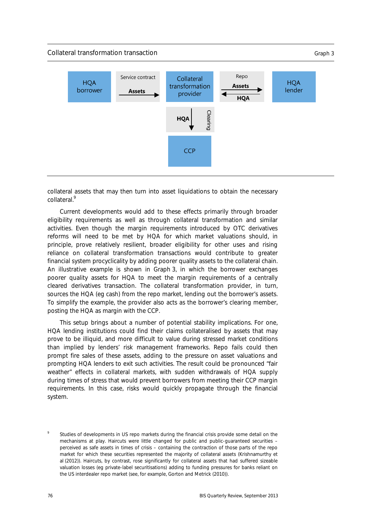

collateral assets that may then turn into asset liquidations to obtain the necessary collateral.<sup>9</sup>

Current developments would add to these effects primarily through broader eligibility requirements as well as through collateral transformation and similar activities. Even though the margin requirements introduced by OTC derivatives reforms will need to be met by HQA for which market valuations should, in principle, prove relatively resilient, broader eligibility for other uses and rising reliance on collateral transformation transactions would contribute to greater financial system procyclicality by adding poorer quality assets to the collateral chain. An illustrative example is shown in Graph 3, in which the borrower exchanges poorer quality assets for HQA to meet the margin requirements of a centrally cleared derivatives transaction. The collateral transformation provider, in turn, sources the HQA (eg cash) from the repo market, lending out the borrower's assets. To simplify the example, the provider also acts as the borrower's clearing member, posting the HQA as margin with the CCP.

This setup brings about a number of potential stability implications. For one, HQA lending institutions could find their claims collateralised by assets that may prove to be illiquid, and more difficult to value during stressed market conditions than implied by lenders' risk management frameworks. Repo fails could then prompt fire sales of these assets, adding to the pressure on asset valuations and prompting HQA lenders to exit such activities. The result could be pronounced "fair weather" effects in collateral markets, with sudden withdrawals of HQA supply during times of stress that would prevent borrowers from meeting their CCP margin requirements. In this case, risks would quickly propagate through the financial system.

<sup>9</sup> Studies of developments in US repo markets during the financial crisis provide some detail on the mechanisms at play. Haircuts were little changed for public and public-guaranteed securities – perceived as safe assets in times of crisis – containing the contraction of those parts of the repo market for which these securities represented the majority of collateral assets (Krishnamurthy et al (2012)). Haircuts, by contrast, rose significantly for collateral assets that had suffered sizeable valuation losses (eg private-label securitisations) adding to funding pressures for banks reliant on the US interdealer repo market (see, for example, Gorton and Metrick (2010)).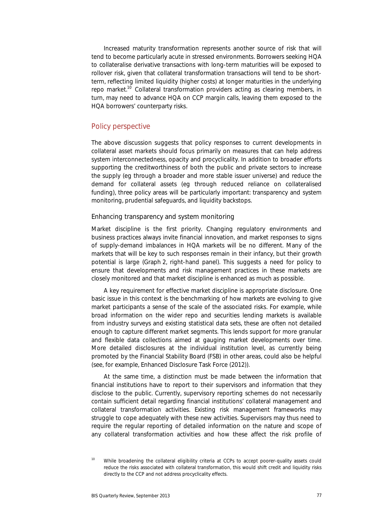Increased maturity transformation represents another source of risk that will tend to become particularly acute in stressed environments. Borrowers seeking HQA to collateralise derivative transactions with long-term maturities will be exposed to rollover risk, given that collateral transformation transactions will tend to be shortterm, reflecting limited liquidity (higher costs) at longer maturities in the underlying repo market.<sup>10</sup> Collateral transformation providers acting as clearing members, in turn, may need to advance HQA on CCP margin calls, leaving them exposed to the HQA borrowers' counterparty risks.

#### Policy perspective

The above discussion suggests that policy responses to current developments in collateral asset markets should focus primarily on measures that can help address system interconnectedness, opacity and procyclicality. In addition to broader efforts supporting the creditworthiness of both the public and private sectors to increase the supply (eg through a broader and more stable issuer universe) and reduce the demand for collateral assets (eg through reduced reliance on collateralised funding), three policy areas will be particularly important: transparency and system monitoring, prudential safeguards, and liquidity backstops.

#### Enhancing transparency and system monitoring

Market discipline is the first priority. Changing regulatory environments and business practices always invite financial innovation, and market responses to signs of supply-demand imbalances in HQA markets will be no different. Many of the markets that will be key to such responses remain in their infancy, but their growth potential is large (Graph 2, right-hand panel). This suggests a need for policy to ensure that developments and risk management practices in these markets are closely monitored and that market discipline is enhanced as much as possible.

A key requirement for effective market discipline is appropriate disclosure. One basic issue in this context is the benchmarking of how markets are evolving to give market participants a sense of the scale of the associated risks. For example, while broad information on the wider repo and securities lending markets is available from industry surveys and existing statistical data sets, these are often not detailed enough to capture different market segments. This lends support for more granular and flexible data collections aimed at gauging market developments over time. More detailed disclosures at the individual institution level, as currently being promoted by the Financial Stability Board (FSB) in other areas, could also be helpful (see, for example, Enhanced Disclosure Task Force (2012)).

At the same time, a distinction must be made between the information that financial institutions have to report to their supervisors and information that they disclose to the public. Currently, supervisory reporting schemes do not necessarily contain sufficient detail regarding financial institutions' collateral management and collateral transformation activities. Existing risk management frameworks may struggle to cope adequately with these new activities. Supervisors may thus need to require the regular reporting of detailed information on the nature and scope of any collateral transformation activities and how these affect the risk profile of

<sup>10</sup> While broadening the collateral eligibility criteria at CCPs to accept poorer-quality assets could reduce the risks associated with collateral transformation, this would shift credit and liquidity risks directly to the CCP and not address procyclicality effects.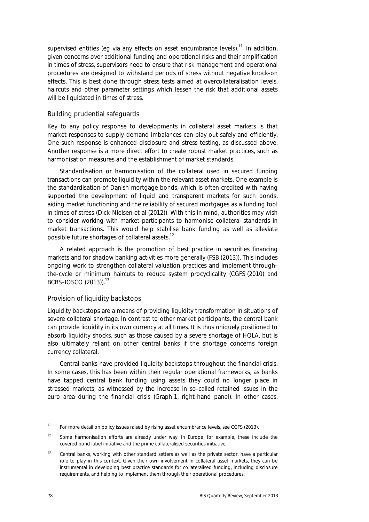supervised entities (eq via any effects on asset encumbrance levels).<sup>11</sup> In addition, given concerns over additional funding and operational risks and their amplification in times of stress, supervisors need to ensure that risk management and operational procedures are designed to withstand periods of stress without negative knock-on effects. This is best done through stress tests aimed at overcollateralisation levels, haircuts and other parameter settings which lessen the risk that additional assets will be liquidated in times of stress.

#### Building prudential safeguards

Key to any policy response to developments in collateral asset markets is that market responses to supply-demand imbalances can play out safely and efficiently. One such response is enhanced disclosure and stress testing, as discussed above. Another response is a more direct effort to create robust market practices, such as harmonisation measures and the establishment of market standards.

Standardisation or harmonisation of the collateral used in secured funding transactions can promote liquidity within the relevant asset markets. One example is the standardisation of Danish mortgage bonds, which is often credited with having supported the development of liquid and transparent markets for such bonds, aiding market functioning and the reliability of secured mortgages as a funding tool in times of stress (Dick-Nielsen et al (2012)). With this in mind, authorities may wish to consider working with market participants to harmonise collateral standards in market transactions. This would help stabilise bank funding as well as alleviate possible future shortages of collateral assets.<sup>12</sup>

A related approach is the promotion of best practice in securities financing markets and for shadow banking activities more generally (FSB (2013)). This includes ongoing work to strengthen collateral valuation practices and implement throughthe-cycle or minimum haircuts to reduce system procyclicality (CGFS (2010) and BCBS–IOSCO (2013)).13

#### Provision of liquidity backstops

Liquidity backstops are a means of providing liquidity transformation in situations of severe collateral shortage. In contrast to other market participants, the central bank can provide liquidity in its own currency at all times. It is thus uniquely positioned to absorb liquidity shocks, such as those caused by a severe shortage of HQLA, but is also ultimately reliant on other central banks if the shortage concerns foreign currency collateral.

Central banks have provided liquidity backstops throughout the financial crisis. In some cases, this has been within their regular operational frameworks, as banks have tapped central bank funding using assets they could no longer place in stressed markets, as witnessed by the increase in so-called retained issues in the euro area during the financial crisis (Graph 1, right-hand panel). In other cases,

<sup>&</sup>lt;sup>11</sup> For more detail on policy issues raised by rising asset encumbrance levels, see CGFS (2013).

<sup>&</sup>lt;sup>12</sup> Some harmonisation efforts are already under way. In Europe, for example, these include the covered bond label initiative and the prime collateralised securities initiative.

 $13$  Central banks, working with other standard setters as well as the private sector, have a particular role to play in this context. Given their own involvement in collateral asset markets, they can be instrumental in developing best practice standards for collateralised funding, including disclosure requirements, and helping to implement them through their operational procedures.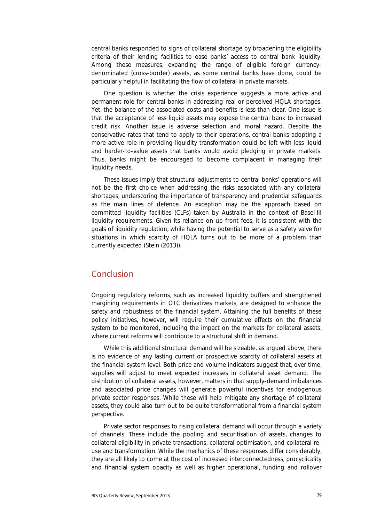central banks responded to signs of collateral shortage by broadening the eligibility criteria of their lending facilities to ease banks' access to central bank liquidity. Among these measures, expanding the range of eligible foreign currencydenominated (cross-border) assets, as some central banks have done, could be particularly helpful in facilitating the flow of collateral in private markets.

One question is whether the crisis experience suggests a more active and permanent role for central banks in addressing real or perceived HQLA shortages. Yet, the balance of the associated costs and benefits is less than clear. One issue is that the acceptance of less liquid assets may expose the central bank to increased credit risk. Another issue is adverse selection and moral hazard. Despite the conservative rates that tend to apply to their operations, central banks adopting a more active role in providing liquidity transformation could be left with less liquid and harder-to-value assets that banks would avoid pledging in private markets. Thus, banks might be encouraged to become complacent in managing their liquidity needs.

These issues imply that structural adjustments to central banks' operations will not be the first choice when addressing the risks associated with any collateral shortages, underscoring the importance of transparency and prudential safeguards as the main lines of defence. An exception may be the approach based on committed liquidity facilities (CLFs) taken by Australia in the context of Basel III liquidity requirements. Given its reliance on up-front fees, it is consistent with the goals of liquidity regulation, while having the potential to serve as a safety valve for situations in which scarcity of HQLA turns out to be more of a problem than currently expected (Stein (2013)).

## Conclusion

Ongoing regulatory reforms, such as increased liquidity buffers and strengthened margining requirements in OTC derivatives markets, are designed to enhance the safety and robustness of the financial system. Attaining the full benefits of these policy initiatives, however, will require their cumulative effects on the financial system to be monitored, including the impact on the markets for collateral assets, where current reforms will contribute to a structural shift in demand.

While this additional structural demand will be sizeable, as argued above, there is no evidence of any lasting current or prospective scarcity of collateral assets at the financial system level. Both price and volume indicators suggest that, over time, supplies will adjust to meet expected increases in collateral asset demand. The distribution of collateral assets, however, matters in that supply-demand imbalances and associated price changes will generate powerful incentives for endogenous private sector responses. While these will help mitigate any shortage of collateral assets, they could also turn out to be quite transformational from a financial system perspective.

Private sector responses to rising collateral demand will occur through a variety of channels. These include the pooling and securitisation of assets, changes to collateral eligibility in private transactions, collateral optimisation, and collateral reuse and transformation. While the mechanics of these responses differ considerably, they are all likely to come at the cost of increased interconnectedness, procyclicality and financial system opacity as well as higher operational, funding and rollover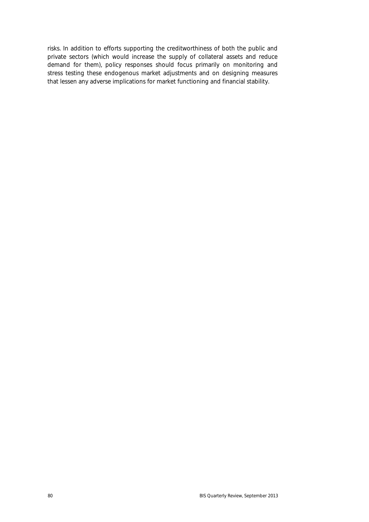risks. In addition to efforts supporting the creditworthiness of both the public and private sectors (which would increase the supply of collateral assets and reduce demand for them), policy responses should focus primarily on monitoring and stress testing these endogenous market adjustments and on designing measures that lessen any adverse implications for market functioning and financial stability.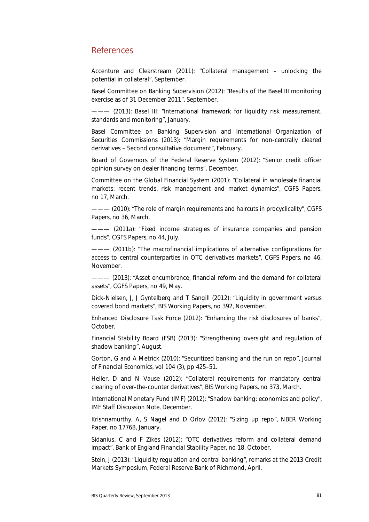## References

Accenture and Clearstream (2011): "Collateral management – unlocking the potential in collateral", September.

Basel Committee on Banking Supervision (2012): "Results of the Basel III monitoring exercise as of 31 December 2011", September.

- (2013): Basel III: "International framework for liquidity risk measurement, standards and monitoring", January.

Basel Committee on Banking Supervision and International Organization of Securities Commissions (2013): "Margin requirements for non-centrally cleared derivatives – Second consultative document", February.

Board of Governors of the Federal Reserve System (2012): "Senior credit officer opinion survey on dealer financing terms", December.

Committee on the Global Financial System (2001): "Collateral in wholesale financial markets: recent trends, risk management and market dynamics", *CGFS Papers*, no 17, March.

——— (2010): "The role of margin requirements and haircuts in procyclicality", *CGFS Papers*, no 36, March.

——— (2011a): "Fixed income strategies of insurance companies and pension funds", *CGFS Papers*, no 44, July.

——— (2011b): "The macrofinancial implications of alternative configurations for access to central counterparties in OTC derivatives markets", *CGFS Papers*, no 46, November.

——— (2013): "Asset encumbrance, financial reform and the demand for collateral assets", *CGFS Papers*, no 49, May.

Dick-Nielsen, J, J Gyntelberg and T Sangill (2012): "Liquidity in government versus covered bond markets", *BIS Working Papers*, no 392, November.

Enhanced Disclosure Task Force (2012): "Enhancing the risk disclosures of banks", October.

Financial Stability Board (FSB) (2013): "Strengthening oversight and regulation of shadow banking", August.

Gorton, G and A Metrick (2010): "Securitized banking and the run on repo", *Journal of Financial Economics*, vol 104 (3), pp 425–51.

Heller, D and N Vause (2012): "Collateral requirements for mandatory central clearing of over-the-counter derivatives", *BIS Working Papers*, no 373, March.

International Monetary Fund (IMF) (2012): "Shadow banking: economics and policy", *IMF Staff Discussion Note*, December.

Krishnamurthy, A, S Nagel and D Orlov (2012): "Sizing up repo", *NBER Working Paper*, no 17768, January.

Sidanius, C and F Zikes (2012): "OTC derivatives reform and collateral demand impact", *Bank of England Financial Stability Paper*, no 18, October.

Stein, J (2013): "Liquidity regulation and central banking", remarks at the 2013 Credit Markets Symposium, Federal Reserve Bank of Richmond, April.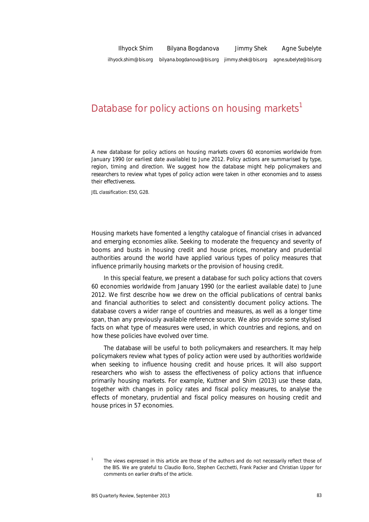# Database for policy actions on housing markets<sup>1</sup>

*A new database for policy actions on housing markets covers 60 economies worldwide from January 1990 (or earliest date available) to June 2012. Policy actions are summarised by type, region, timing and direction. We suggest how the database might help policymakers and researchers to review what types of policy action were taken in other economies and to assess their effectiveness.* 

*JEL classification: E50, G28*.

Housing markets have fomented a lengthy catalogue of financial crises in advanced and emerging economies alike. Seeking to moderate the frequency and severity of booms and busts in housing credit and house prices, monetary and prudential authorities around the world have applied various types of policy measures that influence primarily housing markets or the provision of housing credit.

In this special feature, we present a database for such policy actions that covers 60 economies worldwide from January 1990 (or the earliest available date) to June 2012. We first describe how we drew on the official publications of central banks and financial authorities to select and consistently document policy actions. The database covers a wider range of countries and measures, as well as a longer time span, than any previously available reference source. We also provide some stylised facts on what type of measures were used, in which countries and regions, and on how these policies have evolved over time.

The database will be useful to both policymakers and researchers. It may help policymakers review what types of policy action were used by authorities worldwide when seeking to influence housing credit and house prices. It will also support researchers who wish to assess the effectiveness of policy actions that influence primarily housing markets. For example, Kuttner and Shim (2013) use these data, together with changes in policy rates and fiscal policy measures, to analyse the effects of monetary, prudential and fiscal policy measures on housing credit and house prices in 57 economies.

<sup>1</sup> The views expressed in this article are those of the authors and do not necessarily reflect those of the BIS. We are grateful to Claudio Borio, Stephen Cecchetti, Frank Packer and Christian Upper for comments on earlier drafts of the article.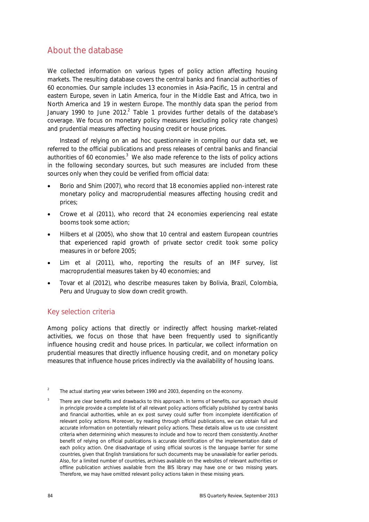## About the database

We collected information on various types of policy action affecting housing markets. The resulting database covers the central banks and financial authorities of 60 economies. Our sample includes 13 economies in Asia-Pacific, 15 in central and eastern Europe, seven in Latin America, four in the Middle East and Africa, two in North America and 19 in western Europe. The monthly data span the period from January 1990 to June 2012.<sup>2</sup> Table 1 provides further details of the database's coverage. We focus on monetary policy measures (excluding policy rate changes) and prudential measures affecting housing credit or house prices.

Instead of relying on an ad hoc questionnaire in compiling our data set, we referred to the official publications and press releases of central banks and financial authorities of 60 economies.<sup>3</sup> We also made reference to the lists of policy actions in the following secondary sources, but such measures are included from these sources only when they could be verified from official data:

- Borio and Shim (2007), who record that 18 economies applied non-interest rate monetary policy and macroprudential measures affecting housing credit and prices;
- Crowe et al (2011), who record that 24 economies experiencing real estate booms took some action;
- Hilbers et al (2005), who show that 10 central and eastern European countries that experienced rapid growth of private sector credit took some policy measures in or before 2005;
- Lim et al (2011), who, reporting the results of an IMF survey, list macroprudential measures taken by 40 economies; and
- Tovar et al (2012), who describe measures taken by Bolivia, Brazil, Colombia, Peru and Uruguay to slow down credit growth.

## Key selection criteria

Among policy actions that directly or indirectly affect housing market-related activities, we focus on those that have been frequently used to significantly influence housing credit and house prices. In particular, we collect information on prudential measures that directly influence housing credit, and on monetary policy measures that influence house prices indirectly via the availability of housing loans.

<sup>2</sup> The actual starting year varies between 1990 and 2003, depending on the economy.

<sup>3</sup> There are clear benefits and drawbacks to this approach. In terms of benefits, our approach should in principle provide a complete list of all relevant policy actions officially published by central banks and financial authorities, while an ex post survey could suffer from incomplete identification of relevant policy actions. Moreover, by reading through official publications, we can obtain full and accurate information on potentially relevant policy actions. These details allow us to use consistent criteria when determining which measures to include and how to record them consistently. Another benefit of relying on official publications is accurate identification of the implementation date of each policy action. One disadvantage of using official sources is the language barrier for some countries, given that English translations for such documents may be unavailable for earlier periods. Also, for a limited number of countries, archives available on the websites of relevant authorities or offline publication archives available from the BIS library may have one or two missing years. Therefore, we may have omitted relevant policy actions taken in these missing years.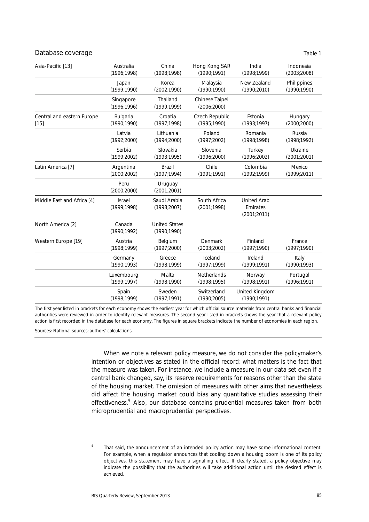| Database coverage          |                               |                                      |                               |                                               | Table 1      |
|----------------------------|-------------------------------|--------------------------------------|-------------------------------|-----------------------------------------------|--------------|
| Asia-Pacific [13]          | Australia                     | China                                | Hong Kong SAR                 | India                                         | Indonesia    |
|                            | (1996; 1998)                  | (1998; 1998)                         | (1990:1991)                   | (1998; 1999)                                  | (2003;2008)  |
|                            | Japan                         | Korea                                | Malaysia                      | New Zealand                                   | Philippines  |
|                            | (1999; 1990)                  | (2002;1990)                          | (1990; 1990)                  | (1990;2010)                                   | (1990;1990)  |
|                            | Singapore<br>(1996; 1996)     | Thailand<br>(1999; 1999)             | Chinese Taipei<br>(2006;2000) |                                               |              |
| Central and eastern Europe | Bulgaria                      | Croatia                              | Czech Republic                | Estonia                                       | Hungary      |
| $[15]$                     | (1990; 1990)                  | (1997; 1998)                         | (1995; 1990)                  | (1993; 1997)                                  | (2000;2000)  |
|                            | Latvia                        | Lithuania                            | Poland                        | Romania                                       | Russia       |
|                            | (1992;2000)                   | (1994;2000)                          | (1997;2002)                   | (1998; 1998)                                  | (1998;1992)  |
|                            | Serbia                        | Slovakia                             | Slovenia                      | Turkey                                        | Ukraine      |
|                            | (1999;2002)                   | (1993; 1995)                         | (1996;2000)                   | (1996;2002)                                   | (2001;2001)  |
| Latin America [7]          | Argentina                     | <b>Brazil</b>                        | Chile                         | Colombia                                      | Mexico       |
|                            | (2000;2002)                   | (1997; 1994)                         | (1991; 1991)                  | (1992; 1999)                                  | (1999;2011)  |
|                            | Peru<br>(2000;2000)           | Uruguay<br>(2001;2001)               |                               |                                               |              |
| Middle East and Africa [4] | <b>Israel</b><br>(1999; 1998) | Saudi Arabia<br>(1998;2007)          | South Africa<br>(2001;1998)   | <b>United Arab</b><br>Emirates<br>(2001;2011) |              |
| North America [2]          | Canada<br>(1990; 1992)        | <b>United States</b><br>(1990; 1990) |                               |                                               |              |
| Western Europe [19]        | Austria                       | Belgium                              | Denmark                       | Finland                                       | France       |
|                            | (1998; 1999)                  | (1997;2000)                          | (2003;2002)                   | (1997; 1990)                                  | (1997; 1990) |
|                            | Germany                       | Greece                               | Iceland                       | Ireland                                       | Italy        |
|                            | (1990; 1993)                  | (1998:1999)                          | (1997; 1999)                  | (1999; 1991)                                  | (1990; 1993) |
|                            | Luxembourg                    | Malta                                | Netherlands                   | Norway                                        | Portugal     |
|                            | (1999; 1997)                  | (1998; 1990)                         | (1998; 1995)                  | (1998; 1991)                                  | (1996; 1991) |
|                            | Spain<br>(1998; 1999)         | Sweden<br>(1997; 1991)               | Switzerland<br>(1990;2005)    | United Kingdom<br>(1990; 1991)                |              |

The first year listed in brackets for each economy shows the earliest year for which official source materials from central banks and financial authorities were reviewed in order to identify relevant measures. The second year listed in brackets shows the year that a relevant policy action is first recorded in the database for each economy. The figures in square brackets indicate the number of economies in each region.

Sources: National sources; authors' calculations.

When we note a relevant policy measure, we do not consider the policymaker's intention or objectives as stated in the official record: what matters is the fact that the measure was taken. For instance, we include a measure in our data set even if a central bank changed, say, its reserve requirements for reasons other than the state of the housing market. The omission of measures with other aims that nevertheless did affect the housing market could bias any quantitative studies assessing their effectiveness.<sup>4</sup> Also, our database contains prudential measures taken from both microprudential and macroprudential perspectives.

<sup>4</sup> That said, the announcement of an intended policy action may have some informational content. For example, when a regulator announces that cooling down a housing boom is one of its policy objectives, this statement may have a signalling effect. If clearly stated, a policy objective may indicate the possibility that the authorities will take additional action until the desired effect is achieved.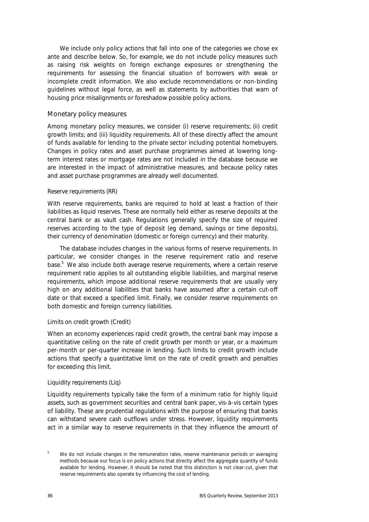We include only policy actions that fall into one of the categories we chose ex ante and describe below. So, for example, we do not include policy measures such as raising risk weights on foreign exchange exposures or strengthening the requirements for assessing the financial situation of borrowers with weak or incomplete credit information. We also exclude recommendations or non-binding guidelines without legal force, as well as statements by authorities that warn of housing price misalignments or foreshadow possible policy actions.

#### Monetary policy measures

Among monetary policy measures, we consider (i) reserve requirements; (ii) credit growth limits; and (iii) liquidity requirements. All of these directly affect the amount of funds available for lending to the private sector including potential homebuyers. Changes in policy rates and asset purchase programmes aimed at lowering longterm interest rates or mortgage rates are not included in the database because we are interested in the impact of administrative measures, and because policy rates and asset purchase programmes are already well documented.

#### *Reserve requirements (RR)*

With reserve requirements, banks are required to hold at least a fraction of their liabilities as liquid reserves. These are normally held either as reserve deposits at the central bank or as vault cash. Regulations generally specify the size of required reserves according to the type of deposit (eg demand, savings or time deposits), their currency of denomination (domestic or foreign currency) and their maturity.

The database includes changes in the various forms of reserve requirements. In particular, we consider changes in the reserve requirement ratio and reserve base.<sup>5</sup> We also include both average reserve requirements, where a certain reserve requirement ratio applies to all outstanding eligible liabilities, and marginal reserve requirements, which impose additional reserve requirements that are usually very high on any additional liabilities that banks have assumed after a certain cut-off date or that exceed a specified limit. Finally, we consider reserve requirements on both domestic and foreign currency liabilities.

#### *Limits on credit growth (Credit)*

When an economy experiences rapid credit growth, the central bank may impose a quantitative ceiling on the rate of credit growth per month or year, or a maximum per-month or per-quarter increase in lending. Such limits to credit growth include actions that specify a quantitative limit on the rate of credit growth and penalties for exceeding this limit.

#### *Liquidity requirements (Liq)*

Liquidity requirements typically take the form of a minimum ratio for highly liquid assets, such as government securities and central bank paper, vis-à-vis certain types of liability. These are prudential regulations with the purpose of ensuring that banks can withstand severe cash outflows under stress. However, liquidity requirements act in a similar way to reserve requirements in that they influence the amount of

<sup>5</sup> We do not include changes in the remuneration rates, reserve maintenance periods or averaging methods because our focus is on policy actions that directly affect the aggregate quantity of funds available for lending. However, it should be noted that this distinction is not clear-cut, given that reserve requirements also operate by influencing the cost of lending.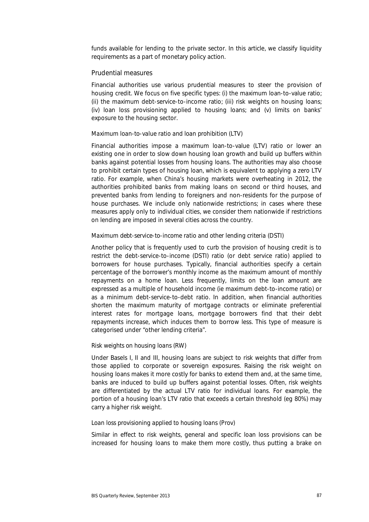funds available for lending to the private sector. In this article, we classify liquidity requirements as a part of monetary policy action.

#### Prudential measures

Financial authorities use various prudential measures to steer the provision of housing credit. We focus on five specific types: (i) the maximum loan-to-value ratio; (ii) the maximum debt-service-to-income ratio; (iii) risk weights on housing loans; (iv) loan loss provisioning applied to housing loans; and (v) limits on banks' exposure to the housing sector.

#### *Maximum loan-to-value ratio and loan prohibition (LTV)*

Financial authorities impose a maximum loan-to-value (LTV) ratio or lower an existing one in order to slow down housing loan growth and build up buffers within banks against potential losses from housing loans. The authorities may also choose to prohibit certain types of housing loan, which is equivalent to applying a zero LTV ratio. For example, when China's housing markets were overheating in 2012, the authorities prohibited banks from making loans on second or third houses, and prevented banks from lending to foreigners and non-residents for the purpose of house purchases. We include only nationwide restrictions; in cases where these measures apply only to individual cities, we consider them nationwide if restrictions on lending are imposed in several cities across the country.

#### *Maximum debt-service-to-income ratio and other lending criteria (DSTI)*

Another policy that is frequently used to curb the provision of housing credit is to restrict the debt-service-to-income (DSTI) ratio (or debt service ratio) applied to borrowers for house purchases. Typically, financial authorities specify a certain percentage of the borrower's monthly income as the maximum amount of monthly repayments on a home loan. Less frequently, limits on the loan amount are expressed as a multiple of household income (ie maximum debt-to-income ratio) or as a minimum debt-service-to-debt ratio. In addition, when financial authorities shorten the maximum maturity of mortgage contracts or eliminate preferential interest rates for mortgage loans, mortgage borrowers find that their debt repayments increase, which induces them to borrow less. This type of measure is categorised under "other lending criteria".

#### *Risk weights on housing loans (RW)*

Under Basels I, II and III, housing loans are subject to risk weights that differ from those applied to corporate or sovereign exposures. Raising the risk weight on housing loans makes it more costly for banks to extend them and, at the same time, banks are induced to build up buffers against potential losses. Often, risk weights are differentiated by the actual LTV ratio for individual loans. For example, the portion of a housing loan's LTV ratio that exceeds a certain threshold (eg 80%) may carry a higher risk weight.

#### *Loan loss provisioning applied to housing loans (Prov)*

Similar in effect to risk weights, general and specific loan loss provisions can be increased for housing loans to make them more costly, thus putting a brake on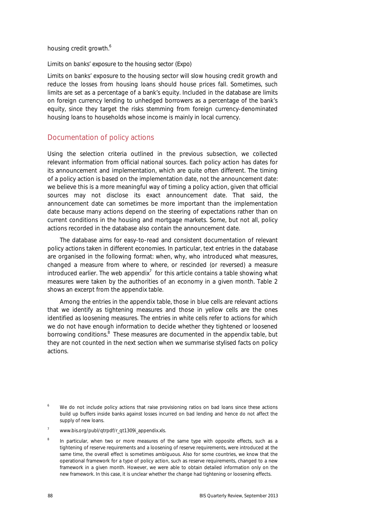housing credit growth.<sup>6</sup>

#### *Limits on banks' exposure to the housing sector (Expo)*

Limits on banks' exposure to the housing sector will slow housing credit growth and reduce the losses from housing loans should house prices fall. Sometimes, such limits are set as a percentage of a bank's equity. Included in the database are limits on foreign currency lending to unhedged borrowers as a percentage of the bank's equity, since they target the risks stemming from foreign currency-denominated housing loans to households whose income is mainly in local currency.

#### Documentation of policy actions

Using the selection criteria outlined in the previous subsection, we collected relevant information from official national sources. Each policy action has dates for its announcement and implementation, which are quite often different. The timing of a policy action is based on the implementation date, not the announcement date: we believe this is a more meaningful way of timing a policy action, given that official sources may not disclose its exact announcement date. That said, the announcement date can sometimes be more important than the implementation date because many actions depend on the steering of expectations rather than on current conditions in the housing and mortgage markets. Some, but not all, policy actions recorded in the database also contain the announcement date.

The database aims for easy-to-read and consistent documentation of relevant policy actions taken in different economies. In particular, text entries in the database are organised in the following format: when, why, who introduced what measures, changed a measure from where to where, or rescinded (or reversed) a measure introduced earlier. The web appendix<sup>7</sup> for this article contains a table showing what measures were taken by the authorities of an economy in a given month. Table 2 shows an excerpt from the appendix table.

Among the entries in the appendix table, those in blue cells are relevant actions that we identify as tightening measures and those in yellow cells are the ones identified as loosening measures. The entries in white cells refer to actions for which we do not have enough information to decide whether they tightened or loosened borrowing conditions.<sup>8</sup> These measures are documented in the appendix table, but they are not counted in the next section when we summarise stylised facts on policy actions.

<sup>6</sup> We do not include policy actions that raise provisioning ratios on bad loans since these actions build up buffers inside banks against losses incurred on bad lending and hence do not affect the supply of new loans.

<sup>7</sup> www.bis.org/publ/qtrpdf/r\_qt1309i\_appendix.xls.

<sup>8</sup> In particular, when two or more measures of the same type with opposite effects, such as a tightening of reserve requirements and a loosening of reserve requirements, were introduced at the same time, the overall effect is sometimes ambiguous. Also for some countries, we know that the operational framework for a type of policy action, such as reserve requirements, changed to a new framework in a given month. However, we were able to obtain detailed information only on the new framework. In this case, it is unclear whether the change had tightening or loosening effects.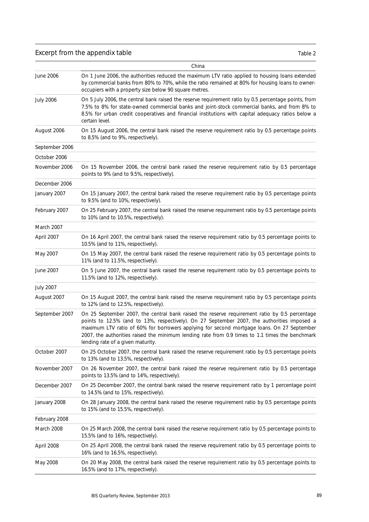## Excerpt from the appendix table

| n<br>. . |  |  |
|----------|--|--|
|----------|--|--|

|                  | China                                                                                                                                                                                                                                                                                                                                                                                                                              |
|------------------|------------------------------------------------------------------------------------------------------------------------------------------------------------------------------------------------------------------------------------------------------------------------------------------------------------------------------------------------------------------------------------------------------------------------------------|
| June 2006        | On 1 June 2006, the authorities reduced the maximum LTV ratio applied to housing loans extended<br>by commercial banks from 80% to 70%, while the ratio remained at 80% for housing loans to owner-<br>occupiers with a property size below 90 square metres.                                                                                                                                                                      |
| <b>July 2006</b> | On 5 July 2006, the central bank raised the reserve requirement ratio by 0.5 percentage points, from<br>7.5% to 8% for state-owned commercial banks and joint-stock commercial banks, and from 8% to<br>8.5% for urban credit cooperatives and financial institutions with capital adequacy ratios below a<br>certain level.                                                                                                       |
| August 2006      | On 15 August 2006, the central bank raised the reserve requirement ratio by 0.5 percentage points<br>to 8.5% (and to 9%, respectively).                                                                                                                                                                                                                                                                                            |
| September 2006   |                                                                                                                                                                                                                                                                                                                                                                                                                                    |
| October 2006     |                                                                                                                                                                                                                                                                                                                                                                                                                                    |
| November 2006    | On 15 November 2006, the central bank raised the reserve requirement ratio by 0.5 percentage<br>points to 9% (and to 9.5%, respectively).                                                                                                                                                                                                                                                                                          |
| December 2006    |                                                                                                                                                                                                                                                                                                                                                                                                                                    |
| January 2007     | On 15 January 2007, the central bank raised the reserve requirement ratio by 0.5 percentage points<br>to 9.5% (and to 10%, respectively).                                                                                                                                                                                                                                                                                          |
| February 2007    | On 25 February 2007, the central bank raised the reserve requirement ratio by 0.5 percentage points<br>to 10% (and to 10.5%, respectively).                                                                                                                                                                                                                                                                                        |
| March 2007       |                                                                                                                                                                                                                                                                                                                                                                                                                                    |
| April 2007       | On 16 April 2007, the central bank raised the reserve requirement ratio by 0.5 percentage points to<br>10.5% (and to 11%, respectively).                                                                                                                                                                                                                                                                                           |
| May 2007         | On 15 May 2007, the central bank raised the reserve requirement ratio by 0.5 percentage points to<br>11% (and to 11.5%, respectively).                                                                                                                                                                                                                                                                                             |
| June 2007        | On 5 June 2007, the central bank raised the reserve requirement ratio by 0.5 percentage points to<br>11.5% (and to 12%, respectively).                                                                                                                                                                                                                                                                                             |
| <b>July 2007</b> |                                                                                                                                                                                                                                                                                                                                                                                                                                    |
| August 2007      | On 15 August 2007, the central bank raised the reserve requirement ratio by 0.5 percentage points<br>to 12% (and to 12.5%, respectively).                                                                                                                                                                                                                                                                                          |
| September 2007   | On 25 September 2007, the central bank raised the reserve requirement ratio by 0.5 percentage<br>points to 12.5% (and to 13%, respectively). On 27 September 2007, the authorities imposed a<br>maximum LTV ratio of 60% for borrowers applying for second mortgage loans. On 27 September<br>2007, the authorities raised the minimum lending rate from 0.9 times to 1.1 times the benchmark<br>lending rate of a given maturity. |
| October 2007     | On 25 October 2007, the central bank raised the reserve requirement ratio by 0.5 percentage points<br>to 13% (and to 13.5%, respectively).                                                                                                                                                                                                                                                                                         |
| November 2007    | On 26 November 2007, the central bank raised the reserve requirement ratio by 0.5 percentage<br>points to 13.5% (and to 14%, respectively).                                                                                                                                                                                                                                                                                        |
| December 2007    | On 25 December 2007, the central bank raised the reserve requirement ratio by 1 percentage point<br>to 14.5% (and to 15%, respectively).                                                                                                                                                                                                                                                                                           |
| January 2008     | On 28 January 2008, the central bank raised the reserve requirement ratio by 0.5 percentage points<br>to 15% (and to 15.5%, respectively).                                                                                                                                                                                                                                                                                         |
| February 2008    |                                                                                                                                                                                                                                                                                                                                                                                                                                    |
| March 2008       | On 25 March 2008, the central bank raised the reserve requirement ratio by 0.5 percentage points to<br>15.5% (and to 16%, respectively).                                                                                                                                                                                                                                                                                           |
| April 2008       | On 25 April 2008, the central bank raised the reserve requirement ratio by 0.5 percentage points to<br>16% (and to 16.5%, respectively).                                                                                                                                                                                                                                                                                           |
| May 2008         | On 20 May 2008, the central bank raised the reserve requirement ratio by 0.5 percentage points to<br>16.5% (and to 17%, respectively).                                                                                                                                                                                                                                                                                             |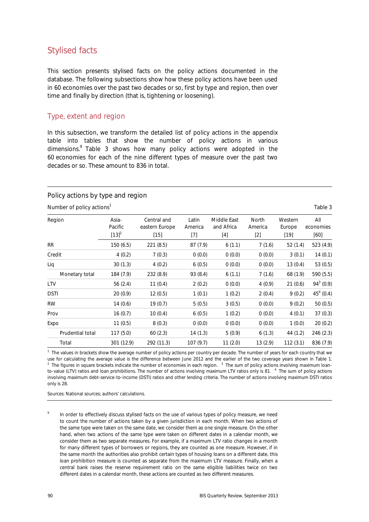## Stylised facts

This section presents stylised facts on the policy actions documented in the database. The following subsections show how these policy actions have been used in 60 economies over the past two decades or so, first by type and region, then over time and finally by direction (that is, tightening or loosening).

### Type, extent and region

In this subsection, we transform the detailed list of policy actions in the appendix table into tables that show the number of policy actions in various dimensions.<sup>9</sup> Table 3 shows how many policy actions were adopted in the 60 economies for each of the nine different types of measure over the past two decades or so. These amount to 836 in total.

#### Policy actions by type and region

Number of policy actions<sup>1</sup> Table 3

| Region           | Asia-<br>Pacific<br>$[13]^{2}$ | Central and<br>eastern Europe<br>$[15]$ | Latin<br>America<br>$[7] % \includegraphics[width=0.9\columnwidth]{figures/fig_10.pdf} \caption{The 3D (black) model for the estimators in the left and right. The left and right is the same as in the right.} \label{fig:2}$ | Middle East<br>and Africa<br>[4] | North<br>America<br>$[2]$ | Western<br>Europe<br>$[19]$ | All<br>economies<br>[60] |
|------------------|--------------------------------|-----------------------------------------|--------------------------------------------------------------------------------------------------------------------------------------------------------------------------------------------------------------------------------|----------------------------------|---------------------------|-----------------------------|--------------------------|
| <b>RR</b>        | 150(6.5)                       | 221(8.5)                                | 87(7.9)                                                                                                                                                                                                                        | 6(1.1)                           | 7(1.6)                    | 52(1.4)                     | 523 (4.9)                |
| Credit           | 4(0.2)                         | 7(0.3)                                  | 0(0.0)                                                                                                                                                                                                                         | 0(0.0)                           | 0(0.0)                    | 3(0.1)                      | 14(0.1)                  |
| Liq              | 30(1.3)                        | 4(0.2)                                  | 6(0.5)                                                                                                                                                                                                                         | 0(0.0)                           | 0(0.0)                    | 13(0.4)                     | 53 (0.5)                 |
| Monetary total   | 184 (7.9)                      | 232 (8.9)                               | 93 (8.4)                                                                                                                                                                                                                       | 6(1.1)                           | 7(1.6)                    | 68 (1.9)                    | 590 (5.5)                |
| <b>LTV</b>       | 56 $(2.4)$                     | 11(0.4)                                 | 2(0.2)                                                                                                                                                                                                                         | 0(0.0)                           | 4(0.9)                    | 21(0.6)                     | $94^3$ (0.9)             |
| <b>DSTI</b>      | 20(0.9)                        | 12(0.5)                                 | 1(0.1)                                                                                                                                                                                                                         | 1(0.2)                           | 2(0.4)                    | 9(0.2)                      | $45^4$ (0.4)             |
| <b>RW</b>        | 14(0.6)                        | 19(0.7)                                 | 5(0.5)                                                                                                                                                                                                                         | 3(0.5)                           | 0(0.0)                    | 9(0.2)                      | 50(0.5)                  |
| Prov             | 16(0.7)                        | 10(0.4)                                 | 6(0.5)                                                                                                                                                                                                                         | 1(0.2)                           | 0(0.0)                    | 4(0.1)                      | 37(0.3)                  |
| Expo             | 11(0.5)                        | 8(0.3)                                  | 0(0.0)                                                                                                                                                                                                                         | 0(0.0)                           | 0(0.0)                    | 1(0.0)                      | 20(0.2)                  |
| Prudential total | 117 (5.0)                      | 60(2.3)                                 | 14(1.3)                                                                                                                                                                                                                        | 5(0.9)                           | 6(1.3)                    | 44 (1.2)                    | 246 (2.3)                |
| Total            | 301 (12.9)                     | 292 (11.3)                              | 107(9.7)                                                                                                                                                                                                                       | 11(2.0)                          | 13(2.9)                   | 112(3.1)                    | 836 (7.9)                |

<sup>1</sup> The values in brackets show the average number of policy actions per country per decade. The number of years for each country that we use for calculating the average value is the difference between June 2012 and the earlier of the two coverage years shown in Table 1.<br><sup>2</sup> The figures in square brackets indicate the number of economies in each region. <sup>3</sup> to-value (LTV) ratios and loan prohibitions. The number of actions involving maximum LTV ratios only is 81. <sup>4</sup> The sum of policy actions involving maximum debt-service-to-income (DSTI) ratios and other lending criteria. The number of actions involving maximum DSTI ratios only is 28.

Sources: National sources; authors' calculations.

9 In order to effectively discuss stylised facts on the use of various types of policy measure, we need to count the number of actions taken by a given jurisdiction in each month. When two actions of the same type were taken on the same date, we consider them as one single measure. On the other hand, when two actions of the same type were taken on different dates in a calendar month, we consider them as two separate measures. For example, if a maximum LTV ratio changes in a month for many different types of borrowers or regions, they are counted as one measure. However, if in the same month the authorities also prohibit certain types of housing loans on a different date, this loan prohibition measure is counted as separate from the maximum LTV measure. Finally, when a central bank raises the reserve requirement ratio on the same eligible liabilities twice on two different dates in a calendar month, these actions are counted as two different measures.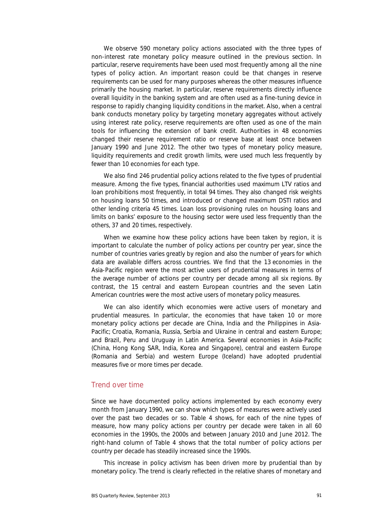We observe 590 monetary policy actions associated with the three types of non-interest rate monetary policy measure outlined in the previous section. In particular, reserve requirements have been used most frequently among all the nine types of policy action. An important reason could be that changes in reserve requirements can be used for many purposes whereas the other measures influence primarily the housing market. In particular, reserve requirements directly influence overall liquidity in the banking system and are often used as a fine-tuning device in response to rapidly changing liquidity conditions in the market. Also, when a central bank conducts monetary policy by targeting monetary aggregates without actively using interest rate policy, reserve requirements are often used as one of the main tools for influencing the extension of bank credit. Authorities in 48 economies changed their reserve requirement ratio or reserve base at least once between January 1990 and June 2012. The other two types of monetary policy measure, liquidity requirements and credit growth limits, were used much less frequently by fewer than 10 economies for each type.

We also find 246 prudential policy actions related to the five types of prudential measure. Among the five types, financial authorities used maximum LTV ratios and loan prohibitions most frequently, in total 94 times. They also changed risk weights on housing loans 50 times, and introduced or changed maximum DSTI ratios and other lending criteria 45 times. Loan loss provisioning rules on housing loans and limits on banks' exposure to the housing sector were used less frequently than the others, 37 and 20 times, respectively.

When we examine how these policy actions have been taken by region, it is important to calculate the number of policy actions per country per year, since the number of countries varies greatly by region and also the number of years for which data are available differs across countries. We find that the 13 economies in the Asia-Pacific region were the most active users of prudential measures in terms of the average number of actions per country per decade among all six regions. By contrast, the 15 central and eastern European countries and the seven Latin American countries were the most active users of monetary policy measures.

We can also identify which economies were active users of monetary and prudential measures. In particular, the economies that have taken 10 or more monetary policy actions per decade are China, India and the Philippines in Asia-Pacific; Croatia, Romania, Russia, Serbia and Ukraine in central and eastern Europe; and Brazil, Peru and Uruguay in Latin America. Several economies in Asia-Pacific (China, Hong Kong SAR, India, Korea and Singapore), central and eastern Europe (Romania and Serbia) and western Europe (Iceland) have adopted prudential measures five or more times per decade.

#### Trend over time

Since we have documented policy actions implemented by each economy every month from January 1990, we can show which types of measures were actively used over the past two decades or so. Table 4 shows, for each of the nine types of measure, how many policy actions per country per decade were taken in all 60 economies in the 1990s, the 2000s and between January 2010 and June 2012. The right-hand column of Table 4 shows that the total number of policy actions per country per decade has steadily increased since the 1990s.

This increase in policy activism has been driven more by prudential than by monetary policy. The trend is clearly reflected in the relative shares of monetary and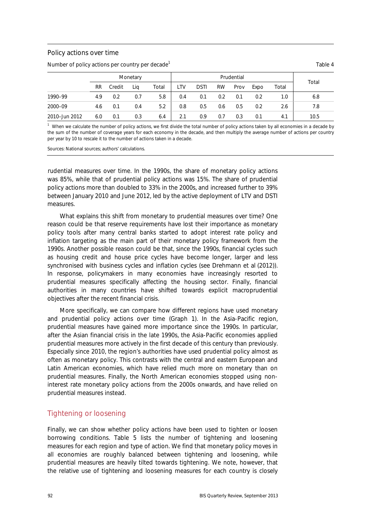#### Policy actions over time

Number of policy actions per country per decade<sup>1</sup>

|               | Monetary  |        |     | Prudential |     |             |           |      |      |       |       |
|---------------|-----------|--------|-----|------------|-----|-------------|-----------|------|------|-------|-------|
|               | <b>RR</b> | Credit | Lia | Total      | LTV | <b>DSTI</b> | <b>RW</b> | Prov | Expo | Total | Total |
| 1990-99       | 4.9       | 0.2    | 0.7 | 5.8        | 0.4 | 0.1         | 0.2       | 0.1  | 0.2  | 1.0   | 6.8   |
| 2000-09       | 4.6       | 0.1    | 0.4 | 5.2        | 0.8 | 0.5         | 0.6       | 0.5  | 0.2  | 2.6   | 7.8   |
| 2010-Jun 2012 | 6.0       | 0.1    | 0.3 | 6.4        | 2.1 | 0.9         | 0.7       | 0.3  | 0.1  | 4.1   | 10.5  |

 $1$  When we calculate the number of policy actions, we first divide the total number of policy actions taken by all economies in a decade by the sum of the number of coverage years for each economy in the decade, and then multiply the average number of actions per country per year by 10 to rescale it to the number of actions taken in a decade.

Sources: National sources; authors' calculations.

prudential measures over time. In the 1990s, the share of monetary policy actions was 85%, while that of prudential policy actions was 15%. The share of prudential policy actions more than doubled to 33% in the 2000s, and increased further to 39% between January 2010 and June 2012, led by the active deployment of LTV and DSTI measures.

What explains this shift from monetary to prudential measures over time? One reason could be that reserve requirements have lost their importance as monetary policy tools after many central banks started to adopt interest rate policy and inflation targeting as the main part of their monetary policy framework from the 1990s. Another possible reason could be that, since the 1990s, financial cycles such as housing credit and house price cycles have become longer, larger and less synchronised with business cycles and inflation cycles (see Drehmann et al (2012)). In response, policymakers in many economies have increasingly resorted to prudential measures specifically affecting the housing sector. Finally, financial authorities in many countries have shifted towards explicit macroprudential objectives after the recent financial crisis.

More specifically, we can compare how different regions have used monetary and prudential policy actions over time (Graph 1). In the Asia-Pacific region, prudential measures have gained more importance since the 1990s. In particular, after the Asian financial crisis in the late 1990s, the Asia-Pacific economies applied prudential measures more actively in the first decade of this century than previously. Especially since 2010, the region's authorities have used prudential policy almost as often as monetary policy. This contrasts with the central and eastern European and Latin American economies, which have relied much more on monetary than on prudential measures. Finally, the North American economies stopped using noninterest rate monetary policy actions from the 2000s onwards, and have relied on prudential measures instead.

#### Tightening or loosening

Finally, we can show whether policy actions have been used to tighten or loosen borrowing conditions. Table 5 lists the number of tightening and loosening measures for each region and type of action. We find that monetary policy moves in all economies are roughly balanced between tightening and loosening, while prudential measures are heavily tilted towards tightening. We note, however, that the relative use of tightening and loosening measures for each country is closely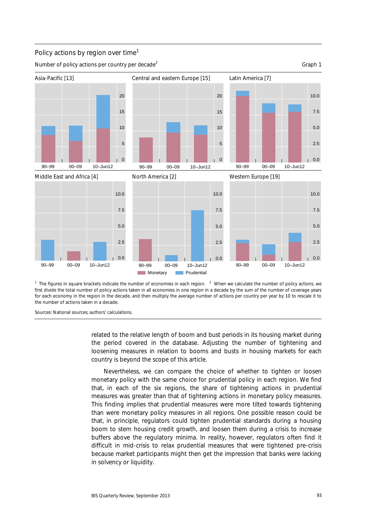

Policy actions by region over time<sup>1</sup>

Number of policy actions per country per decade<sup>2</sup>

Graph 1

<sup>1</sup> The figures in square brackets indicate the number of economies in each region. <sup>2</sup> When we calculate the number of policy actions, we first divide the total number of policy actions taken in all economies in one region in a decade by the sum of the number of coverage years for each economy in the region in the decade, and then multiply the average number of actions per country per year by 10 to rescale it to the number of actions taken in a decade.

Sources: National sources; authors' calculations.

related to the relative length of boom and bust periods in its housing market during the period covered in the database. Adjusting the number of tightening and loosening measures in relation to booms and busts in housing markets for each country is beyond the scope of this article.

Nevertheless, we can compare the choice of whether to tighten or loosen monetary policy with the same choice for prudential policy in each region. We find that, in each of the six regions, the share of tightening actions in prudential measures was greater than that of tightening actions in monetary policy measures. This finding implies that prudential measures were more tilted towards tightening than were monetary policy measures in all regions. One possible reason could be that, in principle, regulators could tighten prudential standards during a housing boom to stem housing credit growth, and loosen them during a crisis to increase buffers above the regulatory minima. In reality, however, regulators often find it difficult in mid-crisis to relax prudential measures that were tightened pre-crisis because market participants might then get the impression that banks were lacking in solvency or liquidity.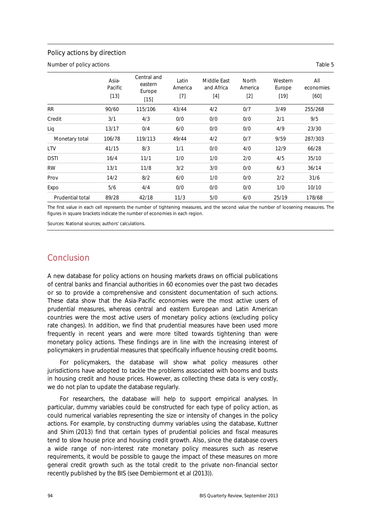#### Policy actions by direction

Number of policy actions Table 5

|                  | Asia-<br>Pacific<br>$[13]$ | Central and<br>eastern<br>Europe<br>$[15]$ | Latin<br>America<br>$[7]$ | Middle East<br>and Africa<br>$[4]$ | <b>North</b><br>America<br>$[2]$ | Western<br>Europe<br>$[19]$ | All<br>economies<br>[60] |
|------------------|----------------------------|--------------------------------------------|---------------------------|------------------------------------|----------------------------------|-----------------------------|--------------------------|
| <b>RR</b>        | 90/60                      | 115/106                                    | 43/44                     | 4/2                                | 0/7                              | 3/49                        | 255/268                  |
| Credit           | 3/1                        | 4/3                                        | 0/0                       | 0/0                                | 0/0                              | 2/1                         | 9/5                      |
| Lig              | 13/17                      | 0/4                                        | 6/0                       | 0/0                                | 0/0                              | 4/9                         | 23/30                    |
| Monetary total   | 106/78                     | 119/113                                    | 49/44                     | 4/2                                | 0/7                              | 9/59                        | 287/303                  |
| LTV              | 41/15                      | 8/3                                        | 1/1                       | 0/0                                | 4/0                              | 12/9                        | 66/28                    |
| <b>DSTI</b>      | 16/4                       | 11/1                                       | 1/0                       | 1/0                                | 2/0                              | 4/5                         | 35/10                    |
| <b>RW</b>        | 13/1                       | 11/8                                       | 3/2                       | 3/0                                | 0/0                              | 6/3                         | 36/14                    |
| Prov             | 14/2                       | 8/2                                        | 6/0                       | 1/0                                | 0/0                              | 2/2                         | 31/6                     |
| Expo             | 5/6                        | 4/4                                        | 0/0                       | 0/0                                | 0/0                              | 1/0                         | 10/10                    |
| Prudential total | 89/28                      | 42/18                                      | 11/3                      | 5/0                                | 6/0                              | 25/19                       | 178/68                   |

The first value in each cell represents the number of tightening measures, and the second value the number of loosening measures. The figures in square brackets indicate the number of economies in each region.

Sources: National sources; authors' calculations.

## Conclusion

A new database for policy actions on housing markets draws on official publications of central banks and financial authorities in 60 economies over the past two decades or so to provide a comprehensive and consistent documentation of such actions. These data show that the Asia-Pacific economies were the most active users of prudential measures, whereas central and eastern European and Latin American countries were the most active users of monetary policy actions (excluding policy rate changes). In addition, we find that prudential measures have been used more frequently in recent years and were more tilted towards tightening than were monetary policy actions. These findings are in line with the increasing interest of policymakers in prudential measures that specifically influence housing credit booms.

For policymakers, the database will show what policy measures other jurisdictions have adopted to tackle the problems associated with booms and busts in housing credit and house prices. However, as collecting these data is very costly, we do not plan to update the database regularly.

For researchers, the database will help to support empirical analyses. In particular, dummy variables could be constructed for each type of policy action, as could numerical variables representing the size or intensity of changes in the policy actions. For example, by constructing dummy variables using the database, Kuttner and Shim (2013) find that certain types of prudential policies and fiscal measures tend to slow house price and housing credit growth. Also, since the database covers a wide range of non-interest rate monetary policy measures such as reserve requirements, it would be possible to gauge the impact of these measures on more general credit growth such as the total credit to the private non-financial sector recently published by the BIS (see Dembiermont et al (2013)).